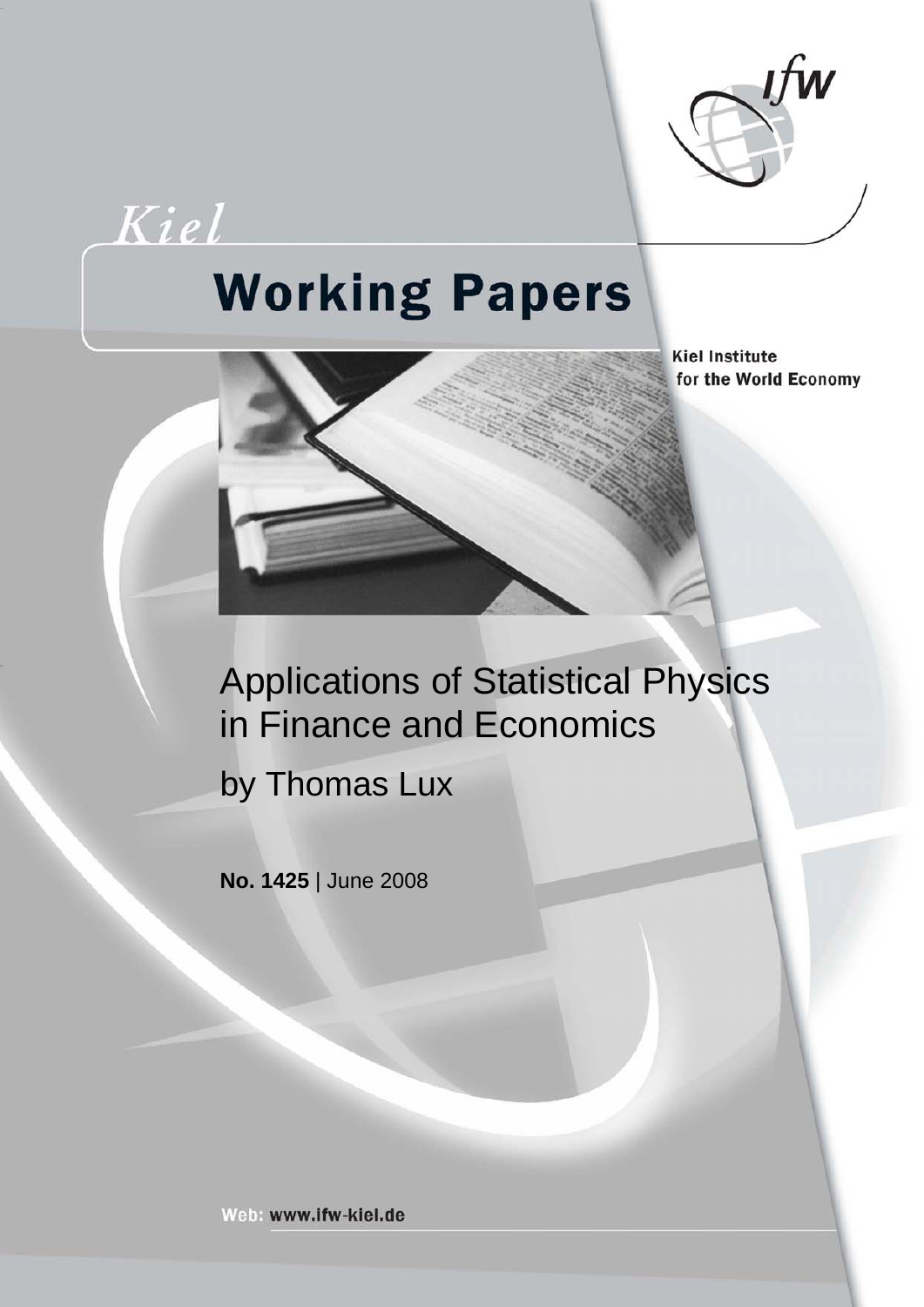

Kiel

# **Working Papers**

**Kiel Institute** for the World Economy

## Applications of Statistical Physics in Finance and Economics

by Thomas Lux

**No. 1425** | June 2008

Web: www.ifw-kiel.de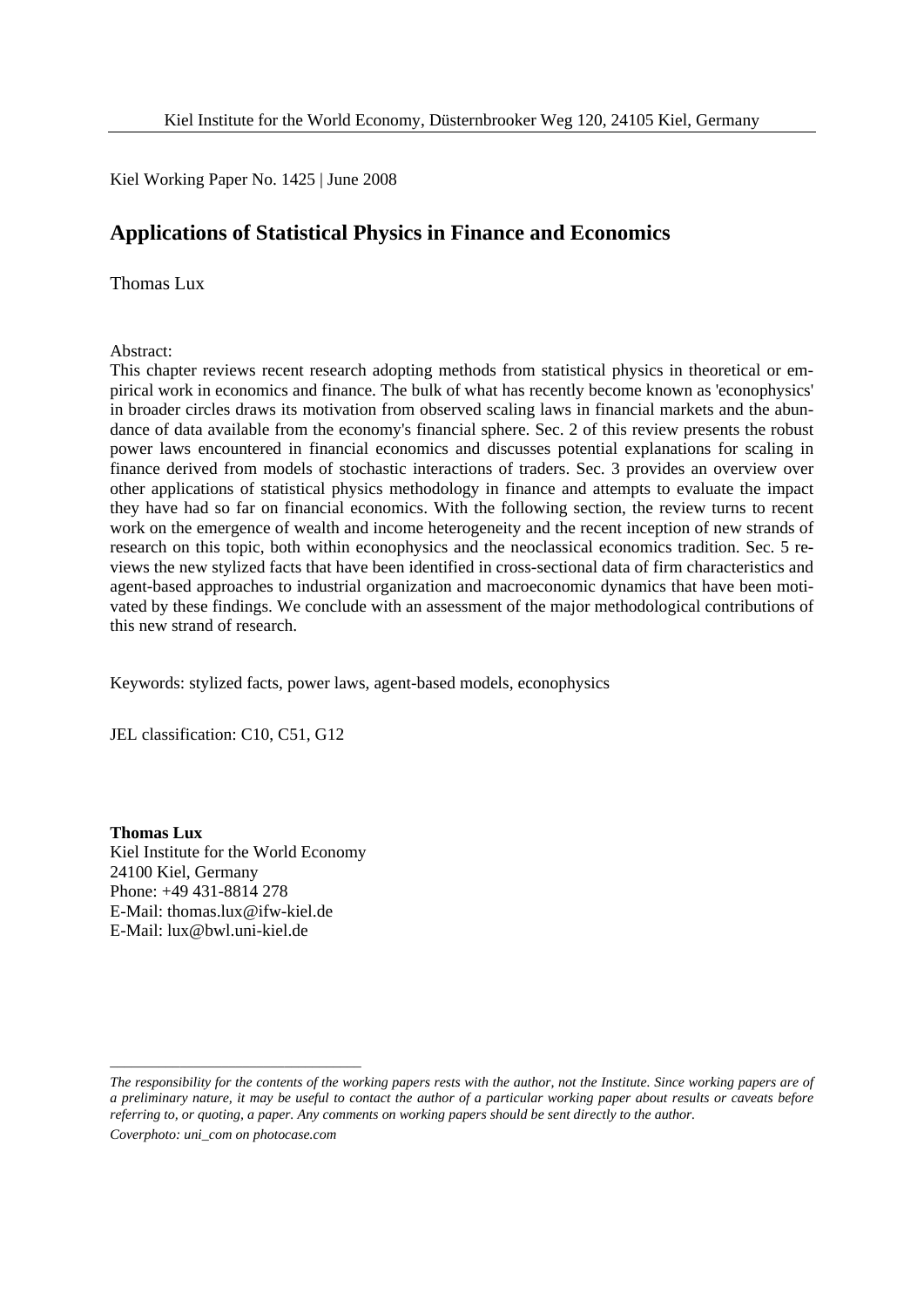Kiel Working Paper No. 1425 | June 2008

#### **Applications of Statistical Physics in Finance and Economics**

Thomas Lux

Abstract:

This chapter reviews recent research adopting methods from statistical physics in theoretical or empirical work in economics and finance. The bulk of what has recently become known as 'econophysics' in broader circles draws its motivation from observed scaling laws in financial markets and the abundance of data available from the economy's financial sphere. Sec. 2 of this review presents the robust power laws encountered in financial economics and discusses potential explanations for scaling in finance derived from models of stochastic interactions of traders. Sec. 3 provides an overview over other applications of statistical physics methodology in finance and attempts to evaluate the impact they have had so far on financial economics. With the following section, the review turns to recent work on the emergence of wealth and income heterogeneity and the recent inception of new strands of research on this topic, both within econophysics and the neoclassical economics tradition. Sec. 5 reviews the new stylized facts that have been identified in cross-sectional data of firm characteristics and agent-based approaches to industrial organization and macroeconomic dynamics that have been motivated by these findings. We conclude with an assessment of the major methodological contributions of this new strand of research.

Keywords: stylized facts, power laws, agent-based models, econophysics

JEL classification: C10, C51, G12

**Thomas Lux** Kiel Institute for the World Economy 24100 Kiel, Germany Phone: +49 431-8814 278 E-Mail: thomas.lux@ifw-kiel.de E-Mail: lux@bwl.uni-kiel.de

*Coverphoto: uni\_com on photocase.com* 

\_\_\_\_\_\_\_\_\_\_\_\_\_\_\_\_\_\_\_\_\_\_\_\_\_\_\_\_\_\_\_\_\_\_\_\_

*The responsibility for the contents of the working papers rests with the author, not the Institute. Since working papers are of a preliminary nature, it may be useful to contact the author of a particular working paper about results or caveats before referring to, or quoting, a paper. Any comments on working papers should be sent directly to the author.*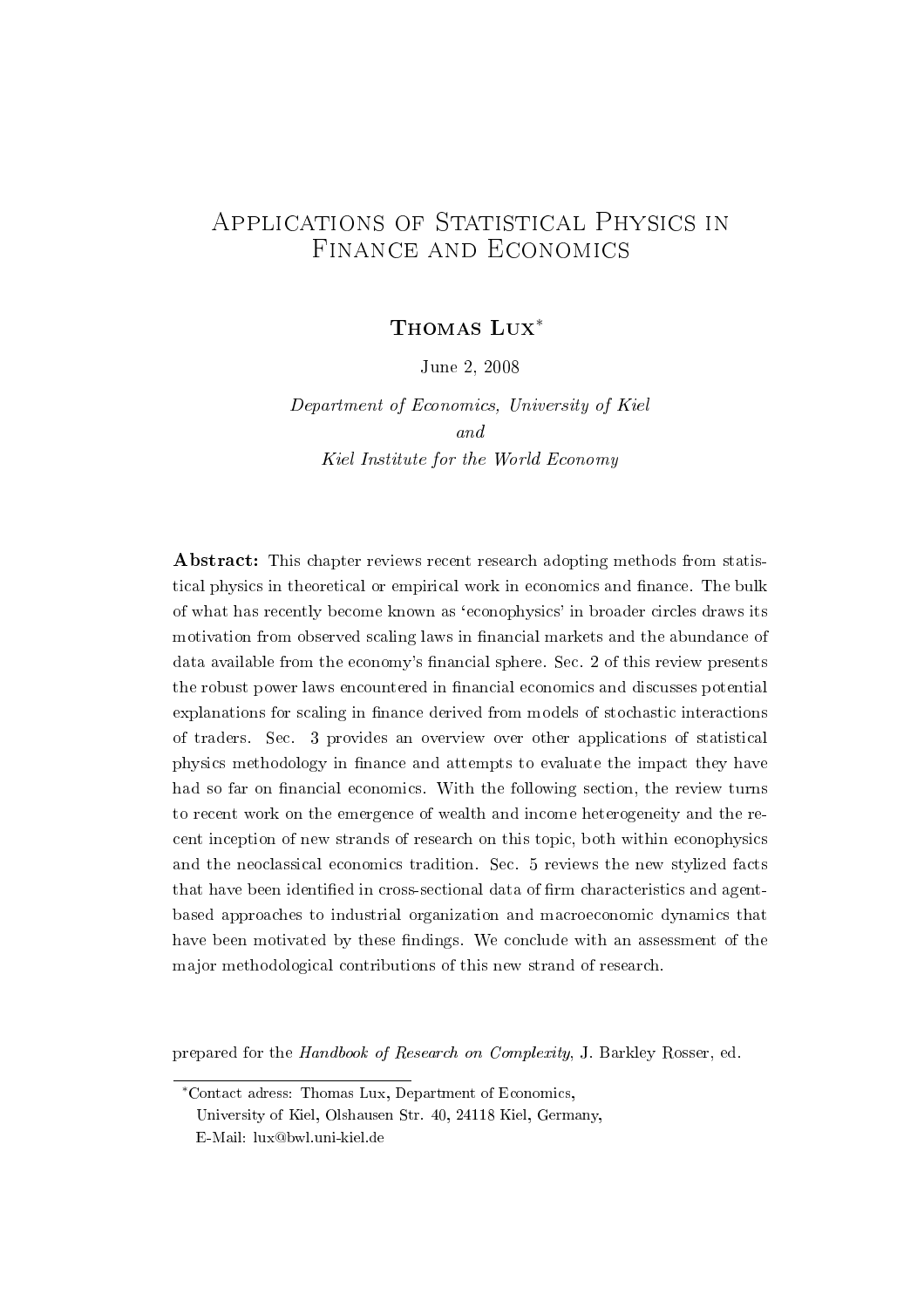## Applications of Statistical Physics in Finance and Economics

THOMAS LUX<sup>\*</sup>

June 2, 2008

Department of Economics, University of Kiel and Kiel Institute for the World Economy

Abstract: This chapter reviews recent research adopting methods from statistical physics in theoretical or empirical work in economics and finance. The bulk of what has recently become known as `econophysics' in broader circles draws its motivation from observed scaling laws in financial markets and the abundance of data available from the economy's financial sphere. Sec. 2 of this review presents the robust power laws encountered in financial economics and discusses potential explanations for scaling in finance derived from models of stochastic interactions of traders. Sec. 3 provides an overview over other applications of statistical physics methodology in nance and attempts to evaluate the impact they have had so far on financial economics. With the following section, the review turns to recent work on the emergence of wealth and income heterogeneity and the recent inception of new strands of research on this topic, both within econophysics and the neoclassical economics tradition. Sec. 5 reviews the new stylized facts that have been identified in cross-sectional data of firm characteristics and agentbased approaches to industrial organization and macroeconomic dynamics that have been motivated by these findings. We conclude with an assessment of the major methodological contributions of this new strand of research.

prepared for the Handbook of Research on Complexity, J. Barkley Rosser, ed.

<sup>∗</sup>Contact adress: Thomas Lux, Department of Economics,

University of Kiel, Olshausen Str. 40, 24118 Kiel, Germany,

E-Mail: lux@bwl.uni-kiel.de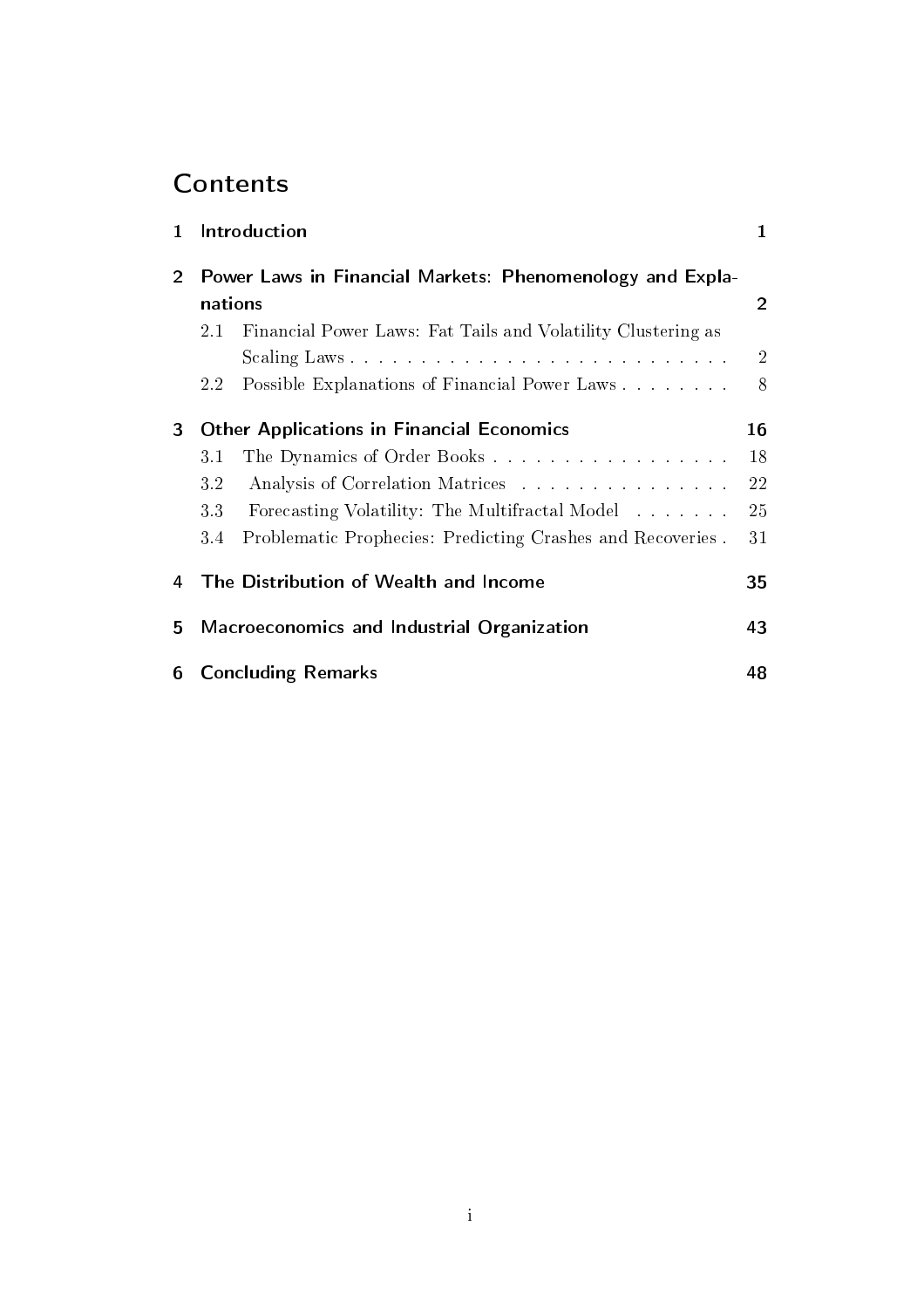## **Contents**

| $\mathbf{1}$                                                                           | <b>Introduction</b> |                                                              | $\mathbf{1}$   |
|----------------------------------------------------------------------------------------|---------------------|--------------------------------------------------------------|----------------|
| Power Laws in Financial Markets: Phenomenology and Expla-<br>$\overline{2}$<br>nations |                     | $\overline{2}$                                               |                |
|                                                                                        | 2.1                 | Financial Power Laws: Fat Tails and Volatility Clustering as |                |
|                                                                                        |                     |                                                              | $\overline{2}$ |
|                                                                                        | $2.2^{\circ}$       | Possible Explanations of Financial Power Laws                | 8              |
| 3<br><b>Other Applications in Financial Economics</b>                                  |                     |                                                              | 16             |
|                                                                                        | 3.1                 | The Dynamics of Order Books                                  | 18             |
|                                                                                        | $3.2\,$             | Analysis of Correlation Matrices                             | 22             |
|                                                                                        | 3.3                 | Forecasting Volatility: The Multifractal Model               | 25             |
|                                                                                        | 3.4                 | Problematic Prophecies: Predicting Crashes and Recoveries.   | 31             |
|                                                                                        |                     | 4 The Distribution of Wealth and Income                      | 35             |
| 5.                                                                                     |                     | Macroeconomics and Industrial Organization                   | 43             |
| 6                                                                                      |                     | <b>Concluding Remarks</b>                                    | 48             |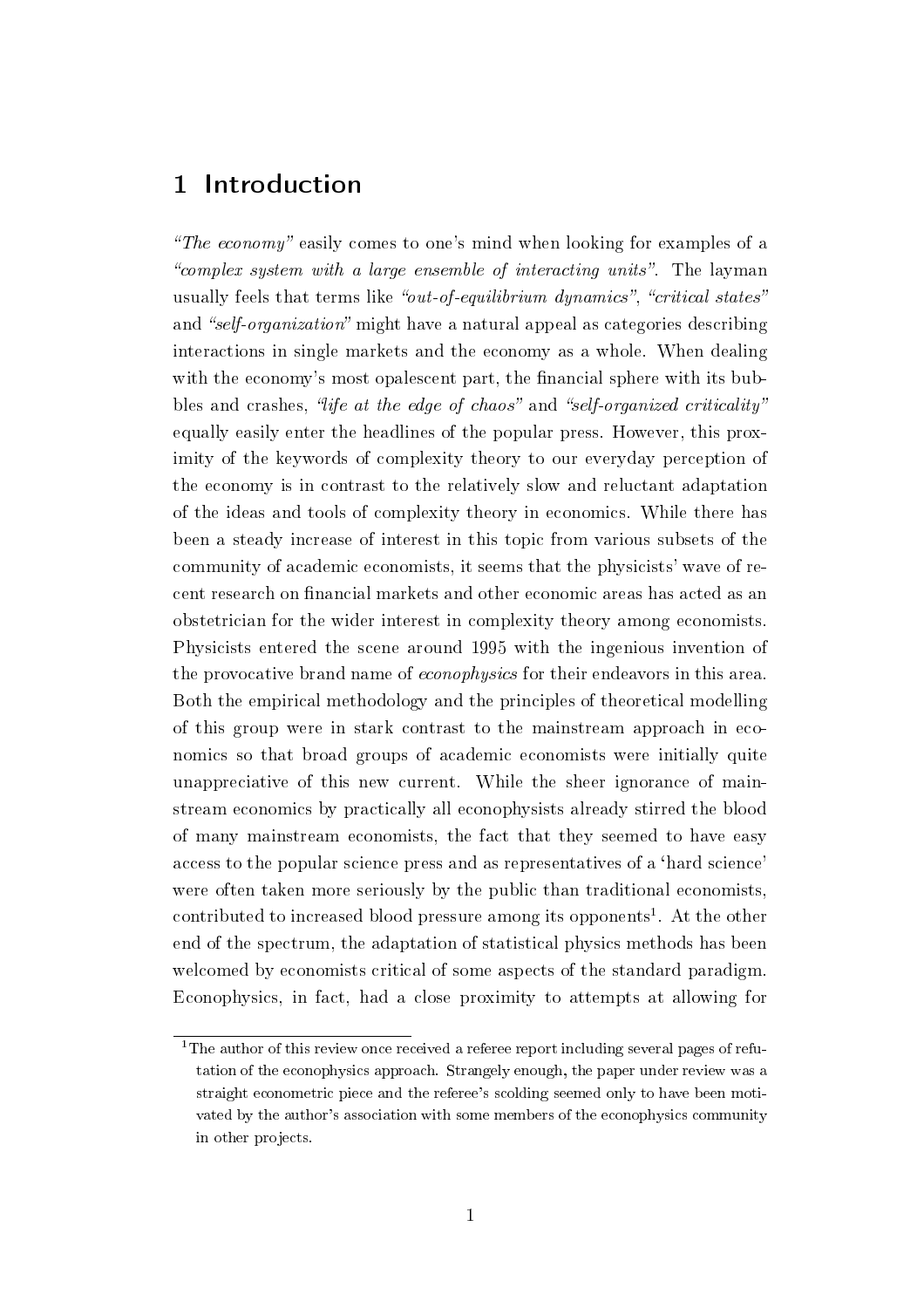## 1 Introduction

"The economy" easily comes to one's mind when looking for examples of a "complex system with a large ensemble of interacting units". The layman usually feels that terms like "out-of-equilibrium dynamics", "critical states" and "self-organization" might have a natural appeal as categories describing interactions in single markets and the economy as a whole. When dealing with the economy's most opalescent part, the financial sphere with its bubbles and crashes, "life at the edge of chaos" and "self-organized criticality" equally easily enter the headlines of the popular press. However, this proximity of the keywords of complexity theory to our everyday perception of the economy is in contrast to the relatively slow and reluctant adaptation of the ideas and tools of complexity theory in economics. While there has been a steady increase of interest in this topic from various subsets of the community of academic economists, it seems that the physicists' wave of recent research on financial markets and other economic areas has acted as an obstetrician for the wider interest in complexity theory among economists. Physicists entered the scene around 1995 with the ingenious invention of the provocative brand name of econophysics for their endeavors in this area. Both the empirical methodology and the principles of theoretical modelling of this group were in stark contrast to the mainstream approach in economics so that broad groups of academic economists were initially quite unappreciative of this new current. While the sheer ignorance of mainstream economics by practically all econophysists already stirred the blood of many mainstream economists, the fact that they seemed to have easy access to the popular science press and as representatives of a `hard science' were often taken more seriously by the public than traditional economists, contributed to increased blood pressure among its opponents<sup>1</sup>. At the other end of the spectrum, the adaptation of statistical physics methods has been welcomed by economists critical of some aspects of the standard paradigm. Econophysics, in fact, had a close proximity to attempts at allowing for

<sup>&</sup>lt;sup>1</sup>The author of this review once received a referee report including several pages of refutation of the econophysics approach. Strangely enough, the paper under review was a straight econometric piece and the referee's scolding seemed only to have been motivated by the author's association with some members of the econophysics community in other projects.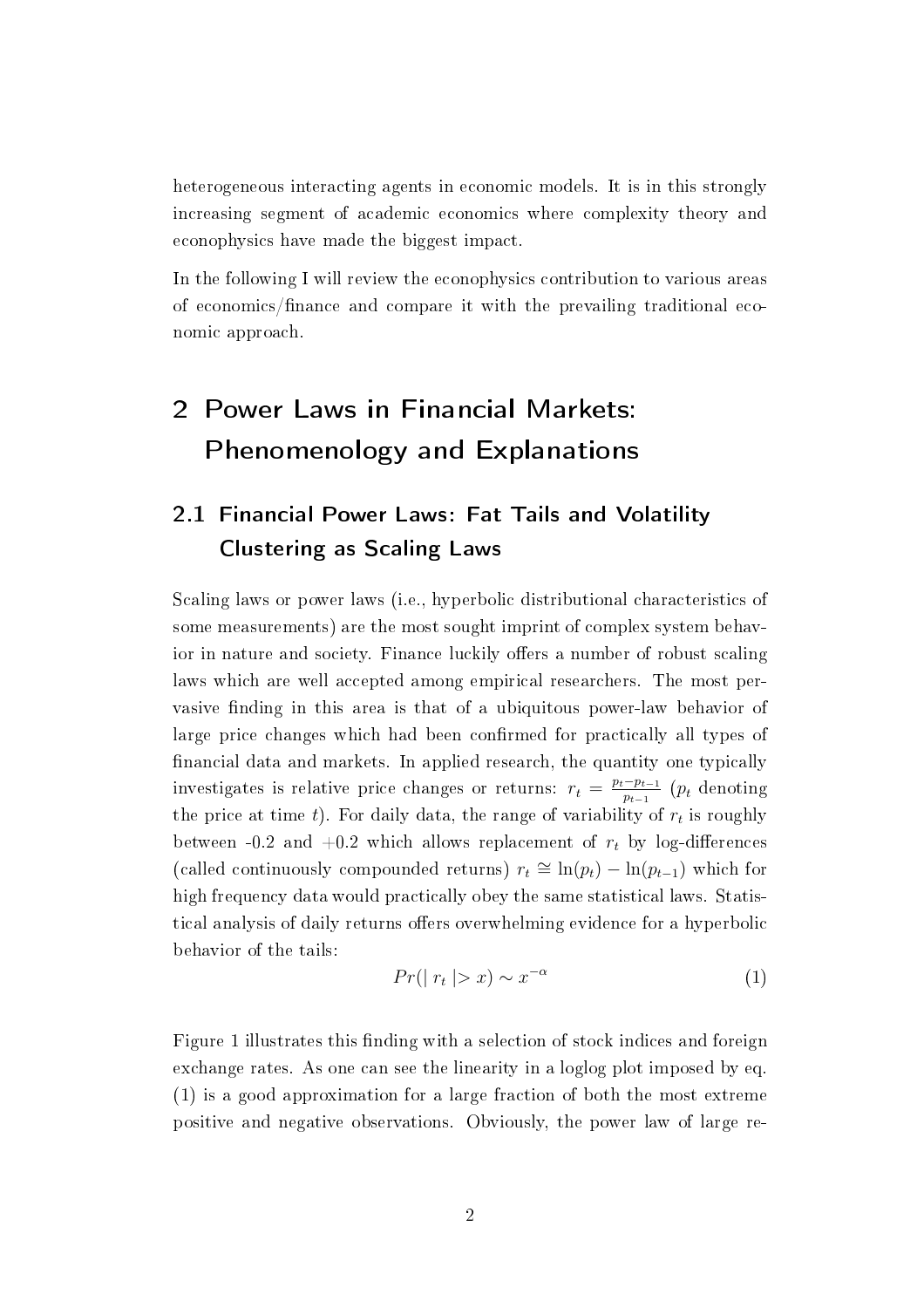heterogeneous interacting agents in economic models. It is in this strongly increasing segment of academic economics where complexity theory and econophysics have made the biggest impact.

In the following I will review the econophysics contribution to various areas of economics/nance and compare it with the prevailing traditional economic approach.

## 2 Power Laws in Financial Markets: Phenomenology and Explanations

## 2.1 Financial Power Laws: Fat Tails and Volatility Clustering as Scaling Laws

Scaling laws or power laws (i.e., hyperbolic distributional characteristics of some measurements) are the most sought imprint of complex system behavior in nature and society. Finance luckily offers a number of robust scaling laws which are well accepted among empirical researchers. The most pervasive finding in this area is that of a ubiquitous power-law behavior of large price changes which had been confirmed for practically all types of nancial data and markets. In applied research, the quantity one typically investigates is relative price changes or returns:  $r_t = \frac{p_t - p_{t-1}}{p_{t-1}}$  $\frac{-p_{t-1}}{p_{t-1}}$  ( $p_t$  denoting the price at time  $t$ ). For daily data, the range of variability of  $r_t$  is roughly between -0.2 and +0.2 which allows replacement of  $r_t$  by log-differences (called continuously compounded returns)  $r_t \approx \ln(p_t) - \ln(p_{t-1})$  which for high frequency data would practically obey the same statistical laws. Statistical analysis of daily returns offers overwhelming evidence for a hyperbolic behavior of the tails:

$$
Pr(|r_t| > x) \sim x^{-\alpha} \tag{1}
$$

Figure 1 illustrates this finding with a selection of stock indices and foreign exchange rates. As one can see the linearity in a loglog plot imposed by eq. (1) is a good approximation for a large fraction of both the most extreme positive and negative observations. Obviously, the power law of large re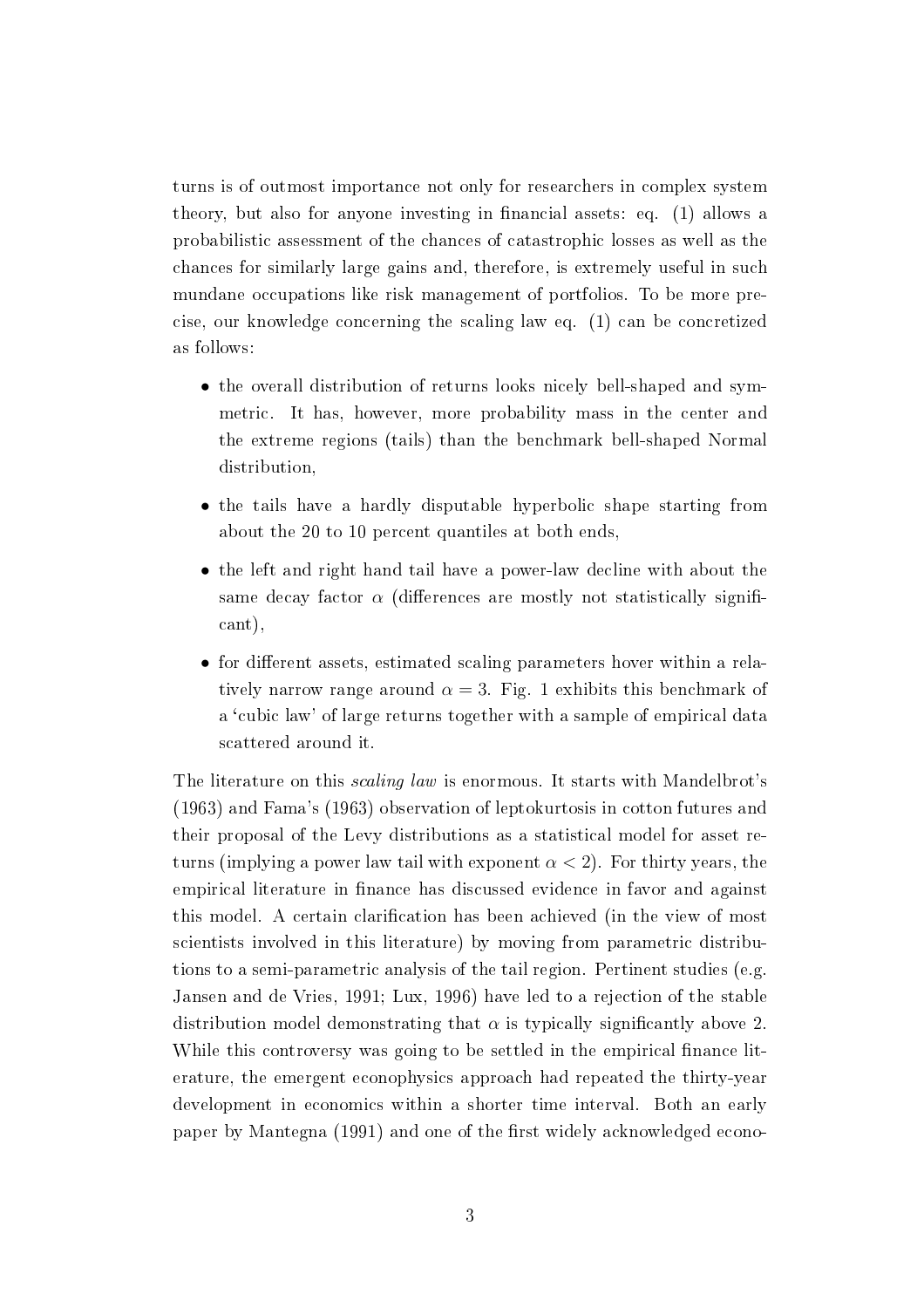turns is of outmost importance not only for researchers in complex system theory, but also for anyone investing in financial assets: eq.  $(1)$  allows a probabilistic assessment of the chances of catastrophic losses as well as the chances for similarly large gains and, therefore, is extremely useful in such mundane occupations like risk management of portfolios. To be more precise, our knowledge concerning the scaling law eq. (1) can be concretized as follows:

- the overall distribution of returns looks nicely bell-shaped and symmetric. It has, however, more probability mass in the center and the extreme regions (tails) than the benchmark bell-shaped Normal distribution,
- the tails have a hardly disputable hyperbolic shape starting from about the 20 to 10 percent quantiles at both ends,
- the left and right hand tail have a power-law decline with about the same decay factor  $\alpha$  (differences are mostly not statistically significant),
- for different assets, estimated scaling parameters hover within a relatively narrow range around  $\alpha = 3$ . Fig. 1 exhibits this benchmark of a 'cubic law' of large returns together with a sample of empirical data scattered around it.

The literature on this scaling law is enormous. It starts with Mandelbrot's (1963) and Fama's (1963) observation of leptokurtosis in cotton futures and their proposal of the Levy distributions as a statistical model for asset returns (implying a power law tail with exponent  $\alpha < 2$ ). For thirty years, the empirical literature in finance has discussed evidence in favor and against this model. A certain clarification has been achieved (in the view of most scientists involved in this literature) by moving from parametric distributions to a semi-parametric analysis of the tail region. Pertinent studies (e.g. Jansen and de Vries, 1991; Lux, 1996) have led to a rejection of the stable distribution model demonstrating that  $\alpha$  is typically significantly above 2. While this controversy was going to be settled in the empirical finance literature, the emergent econophysics approach had repeated the thirty-year development in economics within a shorter time interval. Both an early paper by Mantegna (1991) and one of the first widely acknowledged econo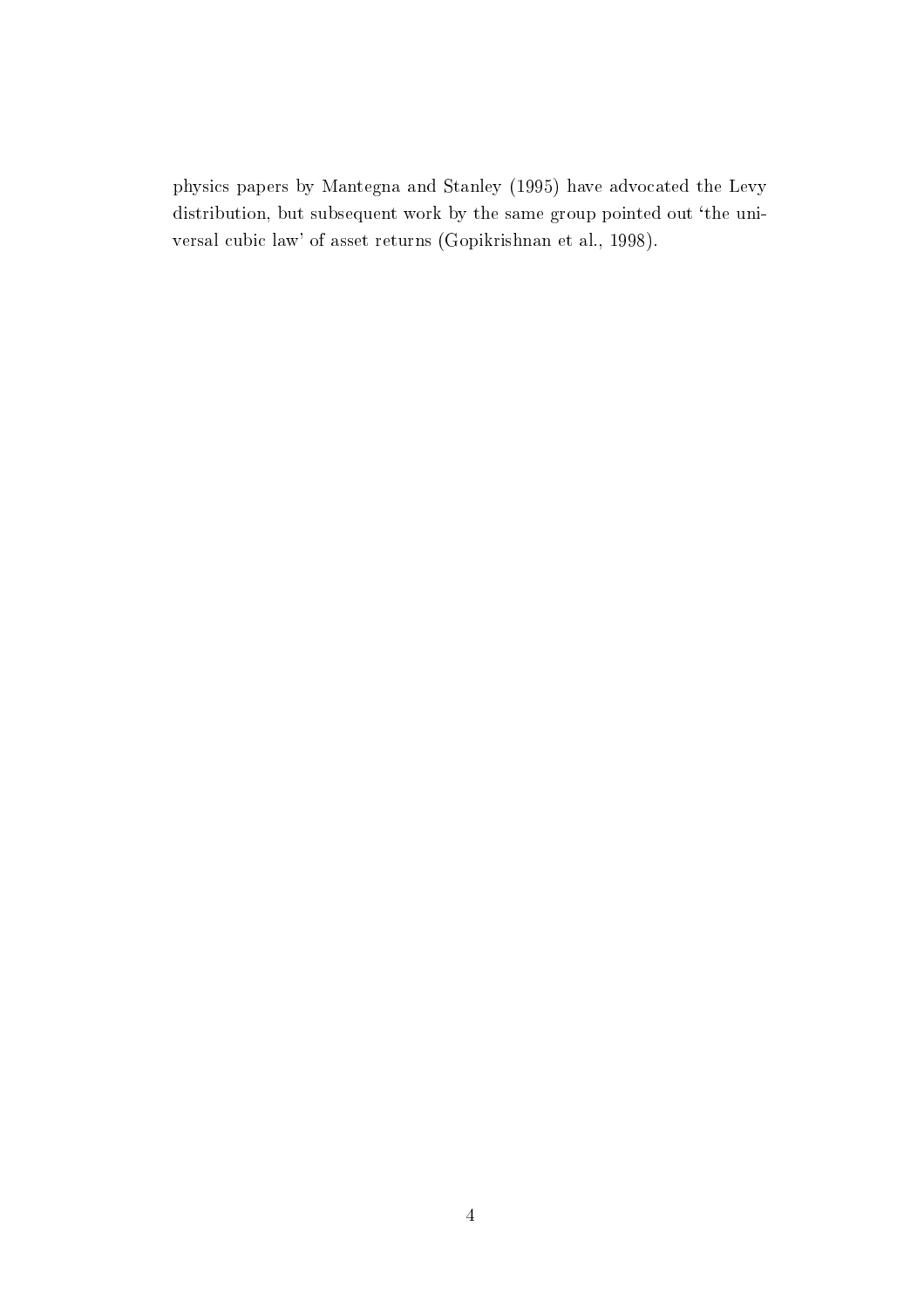physics papers by Mantegna and Stanley (1995) have advocated the Levy distribution, but subsequent work by the same group pointed out 'the universal cubic law' of asset returns (Gopikrishnan et al., 1998).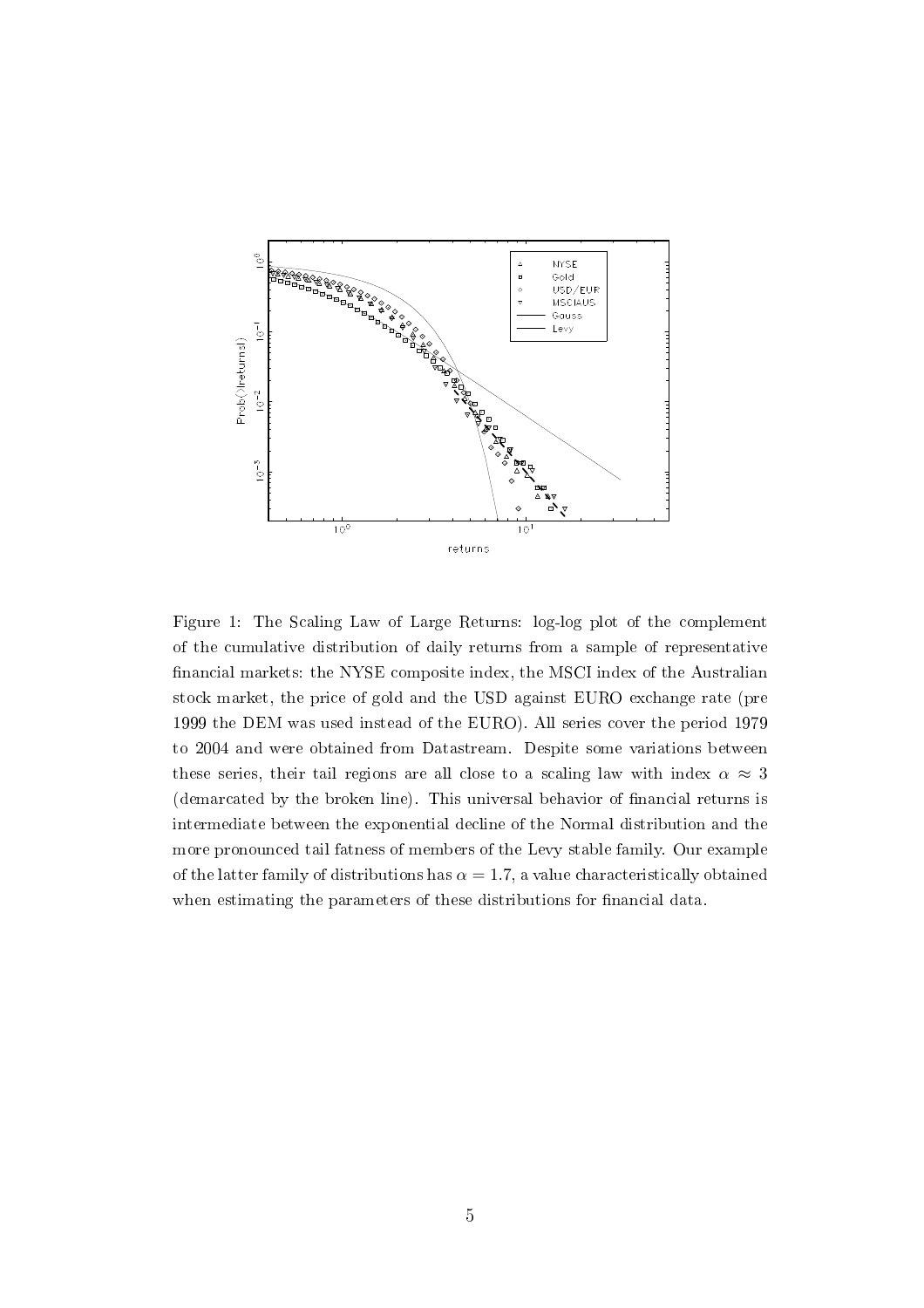

Figure 1: The Scaling Law of Large Returns: log-log plot of the complement of the cumulative distribution of daily returns from a sample of representative nancial markets: the NYSE composite index, the MSCI index of the Australian stock market, the price of gold and the USD against EURO exchange rate (pre 1999 the DEM was used instead of the EURO). All series cover the period 1979 to 2004 and were obtained from Datastream. Despite some variations between these series, their tail regions are all close to a scaling law with index  $\alpha \approx 3$ (demarcated by the broken line). This universal behavior of financial returns is intermediate between the exponential decline of the Normal distribution and the more pronounced tail fatness of members of the Levy stable family. Our example of the latter family of distributions has  $\alpha = 1.7$ , a value characteristically obtained when estimating the parameters of these distributions for financial data.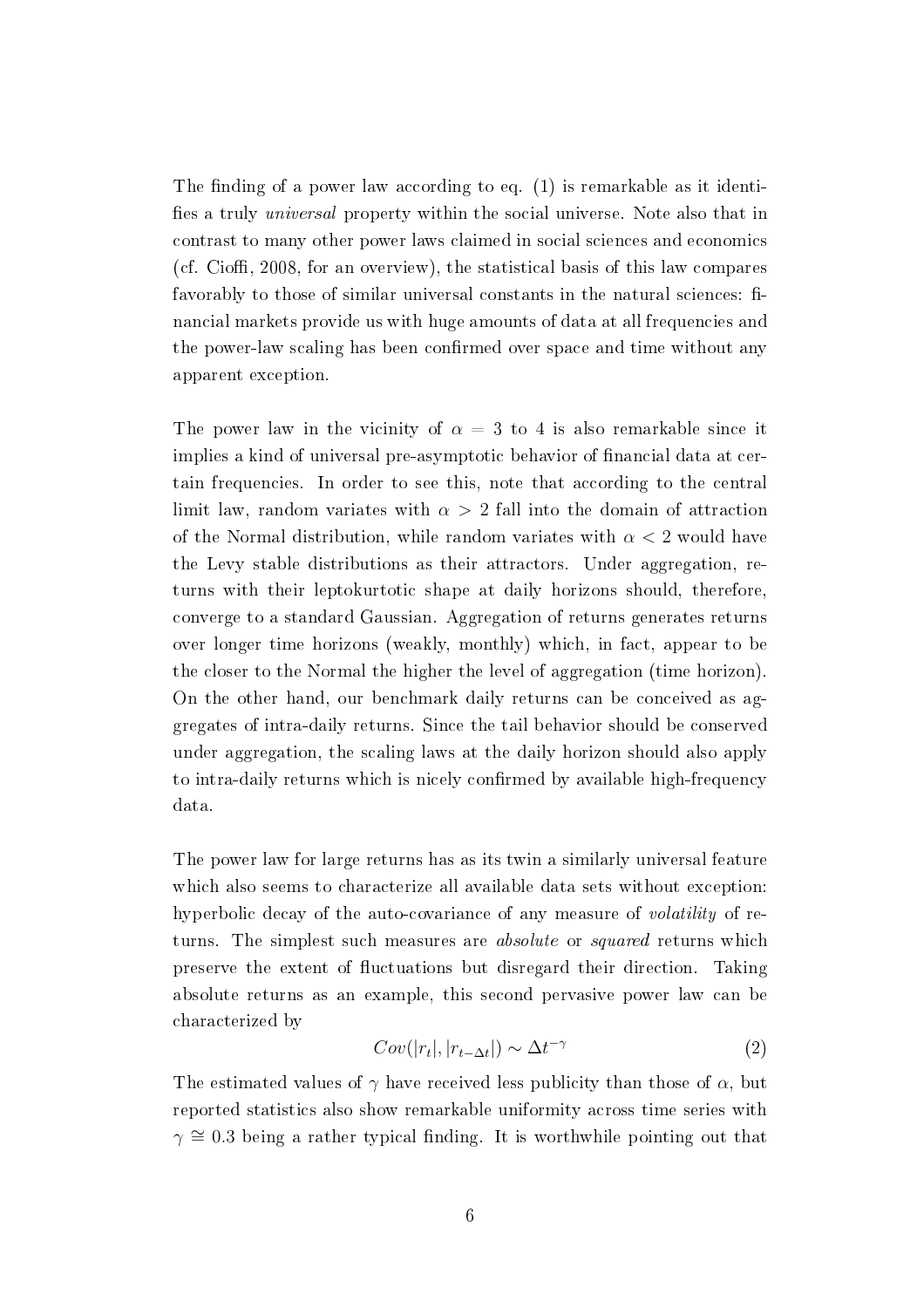The finding of a power law according to eq.  $(1)$  is remarkable as it identifies a truly *universal* property within the social universe. Note also that in contrast to many other power laws claimed in social sciences and economics (cf. Cioffi, 2008, for an overview), the statistical basis of this law compares favorably to those of similar universal constants in the natural sciences: financial markets provide us with huge amounts of data at all frequencies and the power-law scaling has been confirmed over space and time without any apparent exception.

The power law in the vicinity of  $\alpha = 3$  to 4 is also remarkable since it implies a kind of universal pre-asymptotic behavior of financial data at certain frequencies. In order to see this, note that according to the central limit law, random variates with  $\alpha > 2$  fall into the domain of attraction of the Normal distribution, while random variates with  $\alpha < 2$  would have the Levy stable distributions as their attractors. Under aggregation, returns with their leptokurtotic shape at daily horizons should, therefore, converge to a standard Gaussian. Aggregation of returns generates returns over longer time horizons (weakly, monthly) which, in fact, appear to be the closer to the Normal the higher the level of aggregation (time horizon). On the other hand, our benchmark daily returns can be conceived as aggregates of intra-daily returns. Since the tail behavior should be conserved under aggregation, the scaling laws at the daily horizon should also apply to intra-daily returns which is nicely confirmed by available high-frequency data.

The power law for large returns has as its twin a similarly universal feature which also seems to characterize all available data sets without exception: hyperbolic decay of the auto-covariance of any measure of *volatility* of returns. The simplest such measures are *absolute* or *squared* returns which preserve the extent of fluctuations but disregard their direction. Taking absolute returns as an example, this second pervasive power law can be characterized by

$$
Cov(|r_t|, |r_{t-\Delta t}|) \sim \Delta t^{-\gamma} \tag{2}
$$

The estimated values of  $\gamma$  have received less publicity than those of  $\alpha$ , but reported statistics also show remarkable uniformity across time series with  $\gamma \approx 0.3$  being a rather typical finding. It is worthwhile pointing out that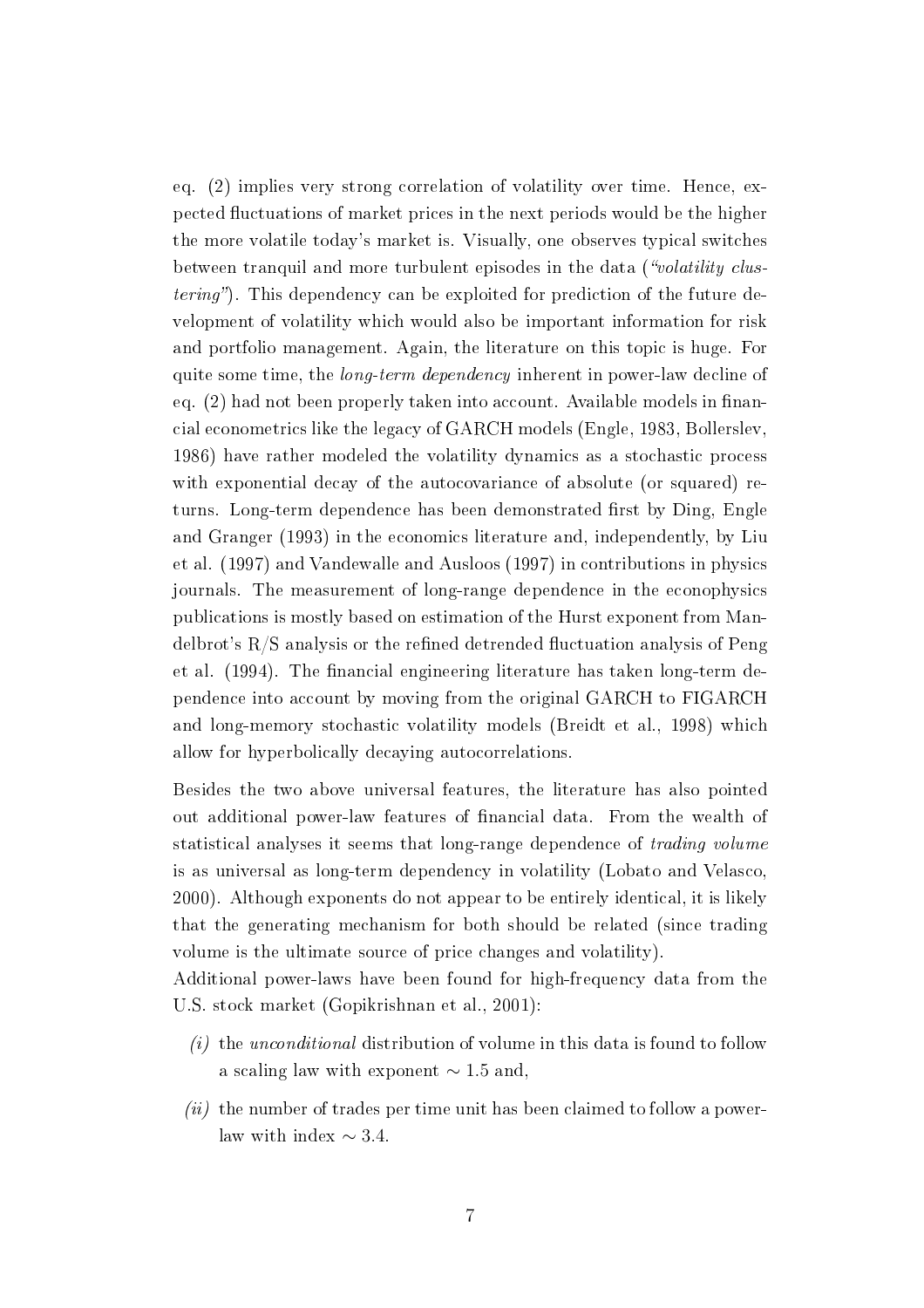eq. (2) implies very strong correlation of volatility over time. Hence, expected fluctuations of market prices in the next periods would be the higher the more volatile today's market is. Visually, one observes typical switches between tranquil and more turbulent episodes in the data ("volatility clus $tering$ ). This dependency can be exploited for prediction of the future development of volatility which would also be important information for risk and portfolio management. Again, the literature on this topic is huge. For quite some time, the *long-term dependency* inherent in power-law decline of eq.  $(2)$  had not been properly taken into account. Available models in financial econometrics like the legacy of GARCH models (Engle, 1983, Bollerslev, 1986) have rather modeled the volatility dynamics as a stochastic process with exponential decay of the autocovariance of absolute (or squared) returns. Long-term dependence has been demonstrated first by Ding, Engle and Granger (1993) in the economics literature and, independently, by Liu et al. (1997) and Vandewalle and Ausloos (1997) in contributions in physics journals. The measurement of long-range dependence in the econophysics publications is mostly based on estimation of the Hurst exponent from Mandelbrot's  $R/S$  analysis or the refined detrended fluctuation analysis of Peng et al. (1994). The financial engineering literature has taken long-term dependence into account by moving from the original GARCH to FIGARCH and long-memory stochastic volatility models (Breidt et al., 1998) which allow for hyperbolically decaying autocorrelations.

Besides the two above universal features, the literature has also pointed out additional power-law features of financial data. From the wealth of statistical analyses it seems that long-range dependence of trading volume is as universal as long-term dependency in volatility (Lobato and Velasco, 2000). Although exponents do not appear to be entirely identical, it is likely that the generating mechanism for both should be related (since trading volume is the ultimate source of price changes and volatility).

Additional power-laws have been found for high-frequency data from the U.S. stock market (Gopikrishnan et al., 2001):

- $(i)$  the unconditional distribution of volume in this data is found to follow a scaling law with exponent  $\sim$  1.5 and,
- $(iii)$  the number of trades per time unit has been claimed to follow a powerlaw with index  $\sim$  3.4.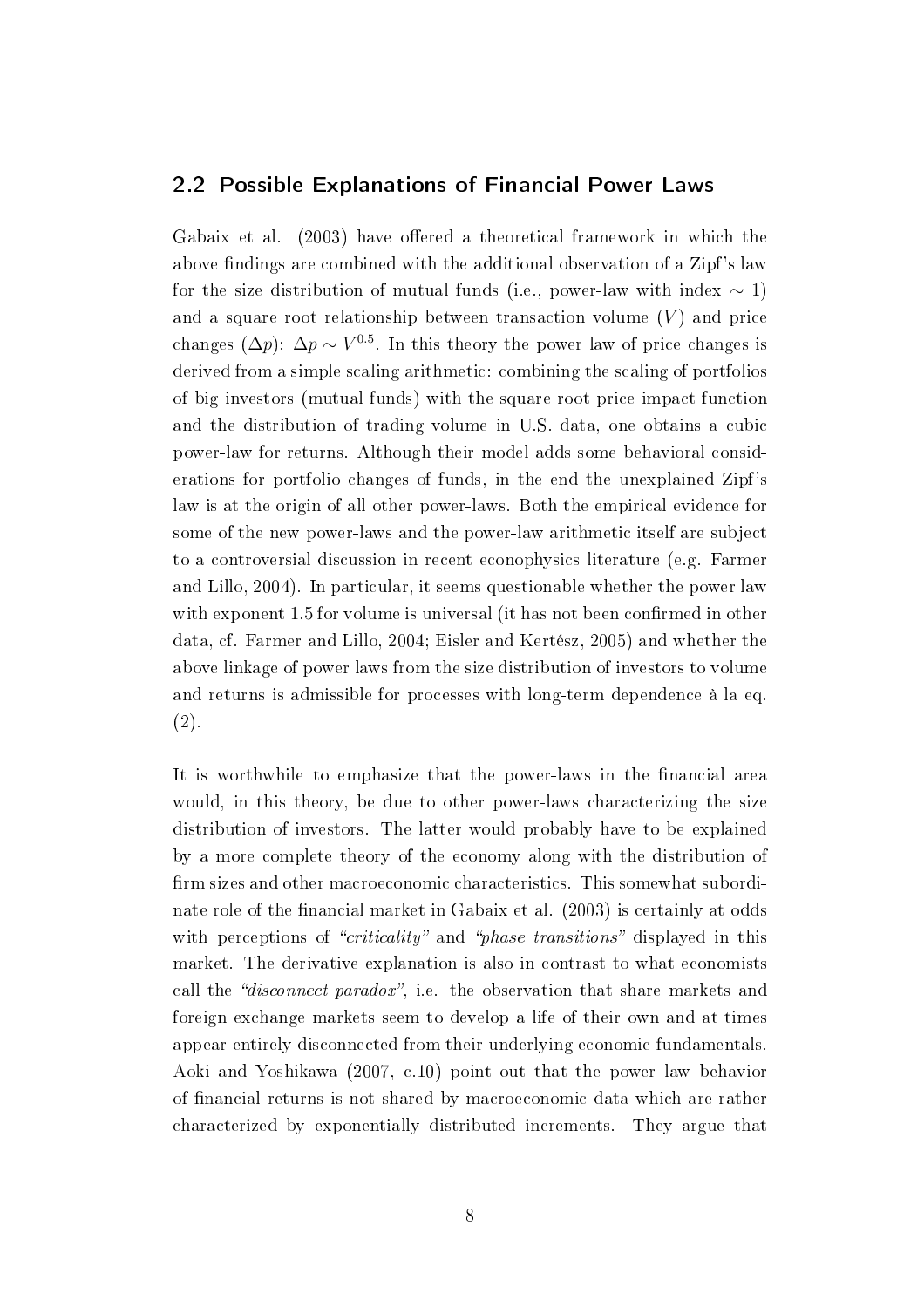#### 2.2 Possible Explanations of Financial Power Laws

Gabaix et al.  $(2003)$  have offered a theoretical framework in which the above findings are combined with the additional observation of a Zipf's law for the size distribution of mutual funds (i.e., power-law with index  $\sim$  1) and a square root relationship between transaction volume  $(V)$  and price changes  $(\Delta p)$ :  $\Delta p \sim V^{0.5}$ . In this theory the power law of price changes is derived from a simple scaling arithmetic: combining the scaling of portfolios of big investors (mutual funds) with the square root price impact function and the distribution of trading volume in U.S. data, one obtains a cubic power-law for returns. Although their model adds some behavioral considerations for portfolio changes of funds, in the end the unexplained Zipf's law is at the origin of all other power-laws. Both the empirical evidence for some of the new power-laws and the power-law arithmetic itself are subject to a controversial discussion in recent econophysics literature (e.g. Farmer and Lillo, 2004). In particular, it seems questionable whether the power law with exponent 1.5 for volume is universal (it has not been confirmed in other data, cf. Farmer and Lillo, 2004; Eisler and Kertész, 2005) and whether the above linkage of power laws from the size distribution of investors to volume and returns is admissible for processes with long-term dependence à la eq. (2).

It is worthwhile to emphasize that the power-laws in the financial area would, in this theory, be due to other power-laws characterizing the size distribution of investors. The latter would probably have to be explained by a more complete theory of the economy along with the distribution of firm sizes and other macroeconomic characteristics. This somewhat subordinate role of the financial market in Gabaix et al. (2003) is certainly at odds with perceptions of "criticality" and "phase transitions" displayed in this market. The derivative explanation is also in contrast to what economists call the "disconnect paradox", i.e. the observation that share markets and foreign exchange markets seem to develop a life of their own and at times appear entirely disconnected from their underlying economic fundamentals. Aoki and Yoshikawa (2007, c.10) point out that the power law behavior of nancial returns is not shared by macroeconomic data which are rather characterized by exponentially distributed increments. They argue that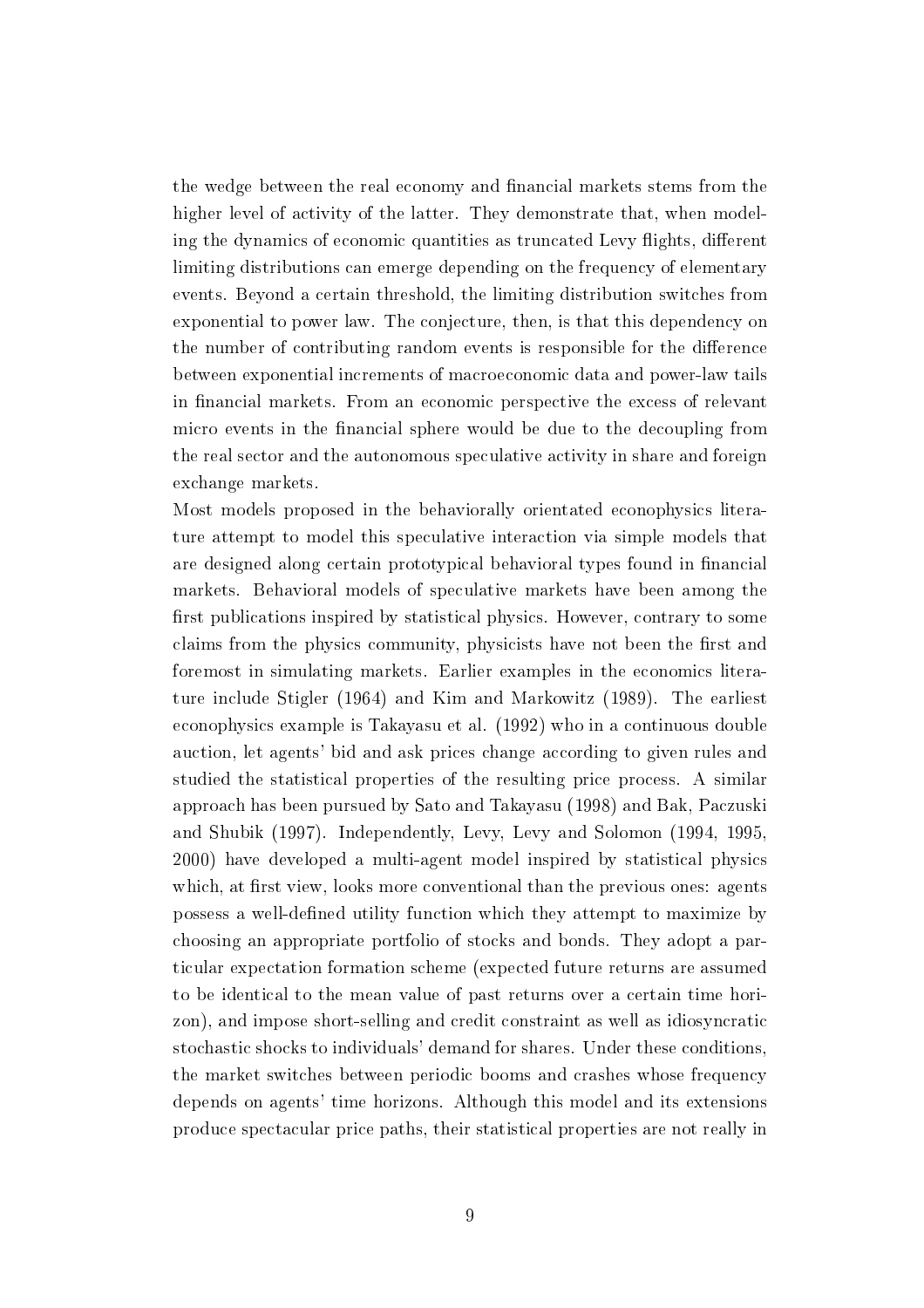the wedge between the real economy and financial markets stems from the higher level of activity of the latter. They demonstrate that, when modeling the dynamics of economic quantities as truncated Levy flights, different limiting distributions can emerge depending on the frequency of elementary events. Beyond a certain threshold, the limiting distribution switches from exponential to power law. The conjecture, then, is that this dependency on the number of contributing random events is responsible for the difference between exponential increments of macroeconomic data and power-law tails in financial markets. From an economic perspective the excess of relevant micro events in the financial sphere would be due to the decoupling from the real sector and the autonomous speculative activity in share and foreign exchange markets.

Most models proposed in the behaviorally orientated econophysics literature attempt to model this speculative interaction via simple models that are designed along certain prototypical behavioral types found in financial markets. Behavioral models of speculative markets have been among the first publications inspired by statistical physics. However, contrary to some claims from the physics community, physicists have not been the first and foremost in simulating markets. Earlier examples in the economics literature include Stigler (1964) and Kim and Markowitz (1989). The earliest econophysics example is Takayasu et al. (1992) who in a continuous double auction, let agents' bid and ask prices change according to given rules and studied the statistical properties of the resulting price process. A similar approach has been pursued by Sato and Takayasu (1998) and Bak, Paczuski and Shubik (1997). Independently, Levy, Levy and Solomon (1994, 1995, 2000) have developed a multi-agent model inspired by statistical physics which, at first view, looks more conventional than the previous ones: agents possess a well-dened utility function which they attempt to maximize by choosing an appropriate portfolio of stocks and bonds. They adopt a particular expectation formation scheme (expected future returns are assumed to be identical to the mean value of past returns over a certain time horizon), and impose short-selling and credit constraint as well as idiosyncratic stochastic shocks to individuals' demand for shares. Under these conditions, the market switches between periodic booms and crashes whose frequency depends on agents' time horizons. Although this model and its extensions produce spectacular price paths, their statistical properties are not really in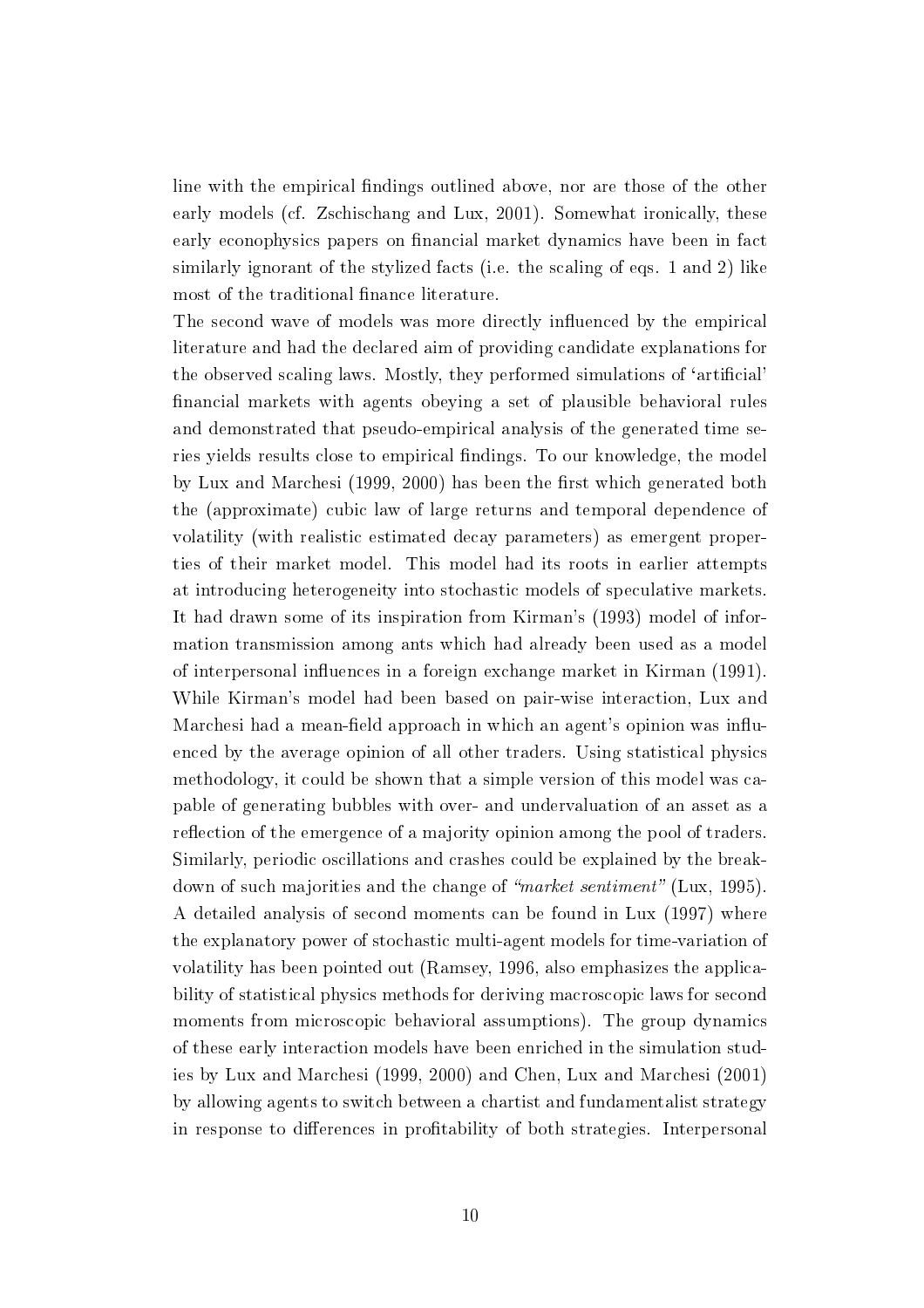line with the empirical findings outlined above, nor are those of the other early models (cf. Zschischang and Lux, 2001). Somewhat ironically, these early econophysics papers on financial market dynamics have been in fact similarly ignorant of the stylized facts (i.e. the scaling of eqs. 1 and 2) like most of the traditional finance literature.

The second wave of models was more directly influenced by the empirical literature and had the declared aim of providing candidate explanations for the observed scaling laws. Mostly, they performed simulations of 'artificial' nancial markets with agents obeying a set of plausible behavioral rules and demonstrated that pseudo-empirical analysis of the generated time series yields results close to empirical findings. To our knowledge, the model by Lux and Marchesi (1999, 2000) has been the first which generated both the (approximate) cubic law of large returns and temporal dependence of volatility (with realistic estimated decay parameters) as emergent properties of their market model. This model had its roots in earlier attempts at introducing heterogeneity into stochastic models of speculative markets. It had drawn some of its inspiration from Kirman's (1993) model of information transmission among ants which had already been used as a model of interpersonal inuences in a foreign exchange market in Kirman (1991). While Kirman's model had been based on pair-wise interaction, Lux and Marchesi had a mean-field approach in which an agent's opinion was influenced by the average opinion of all other traders. Using statistical physics methodology, it could be shown that a simple version of this model was capable of generating bubbles with over- and undervaluation of an asset as a reflection of the emergence of a majority opinion among the pool of traders. Similarly, periodic oscillations and crashes could be explained by the breakdown of such majorities and the change of "market sentiment" (Lux, 1995). A detailed analysis of second moments can be found in Lux (1997) where the explanatory power of stochastic multi-agent models for time-variation of volatility has been pointed out (Ramsey, 1996, also emphasizes the applicability of statistical physics methods for deriving macroscopic laws for second moments from microscopic behavioral assumptions). The group dynamics of these early interaction models have been enriched in the simulation studies by Lux and Marchesi (1999, 2000) and Chen, Lux and Marchesi (2001) by allowing agents to switch between a chartist and fundamentalist strategy in response to differences in profitability of both strategies. Interpersonal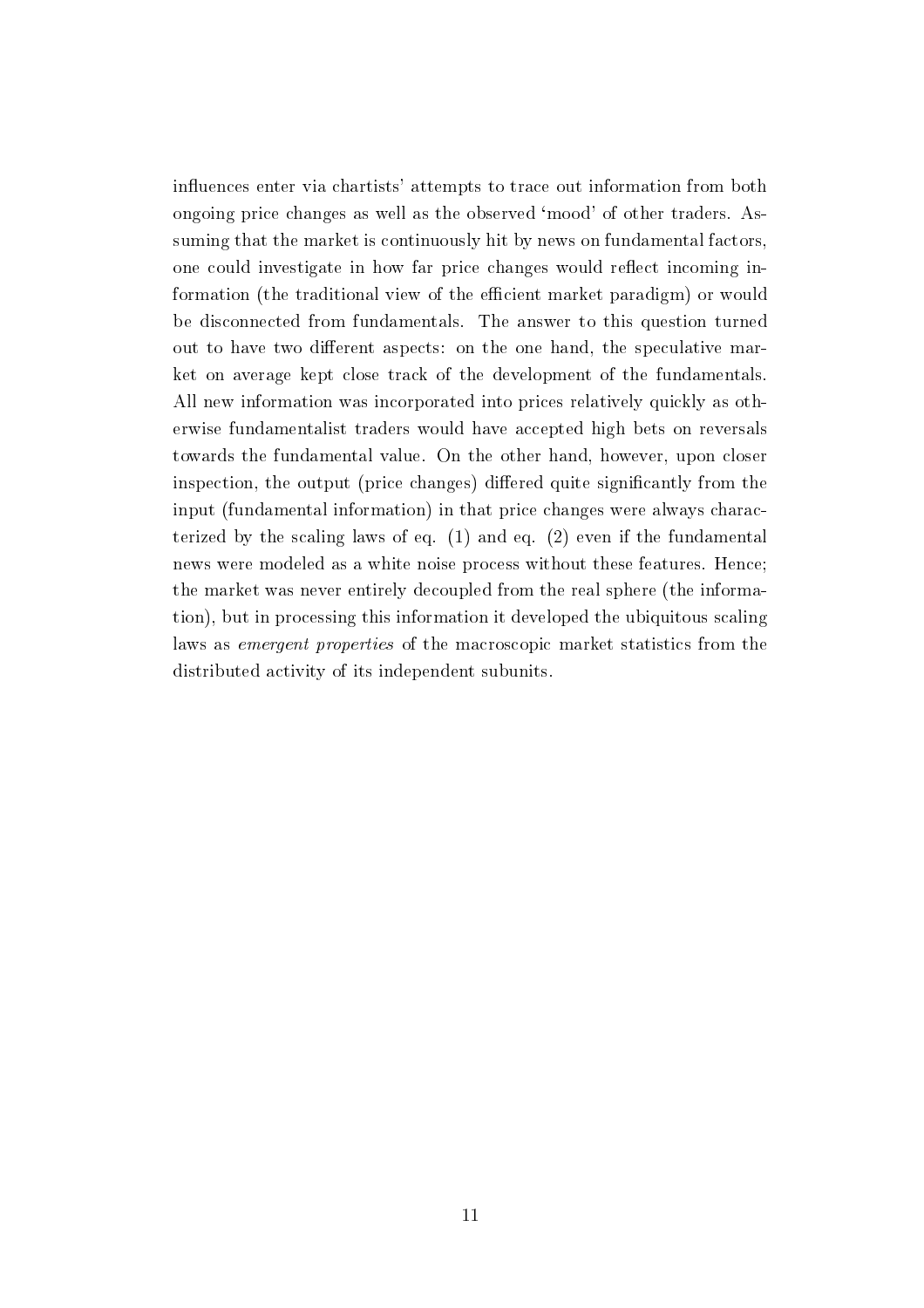influences enter via chartists' attempts to trace out information from both ongoing price changes as well as the observed `mood' of other traders. Assuming that the market is continuously hit by news on fundamental factors, one could investigate in how far price changes would reflect incoming information (the traditional view of the efficient market paradigm) or would be disconnected from fundamentals. The answer to this question turned out to have two different aspects: on the one hand, the speculative market on average kept close track of the development of the fundamentals. All new information was incorporated into prices relatively quickly as otherwise fundamentalist traders would have accepted high bets on reversals towards the fundamental value. On the other hand, however, upon closer inspection, the output (price changes) differed quite significantly from the input (fundamental information) in that price changes were always characterized by the scaling laws of eq. (1) and eq. (2) even if the fundamental news were modeled as a white noise process without these features. Hence; the market was never entirely decoupled from the real sphere (the information), but in processing this information it developed the ubiquitous scaling laws as emergent properties of the macroscopic market statistics from the distributed activity of its independent subunits.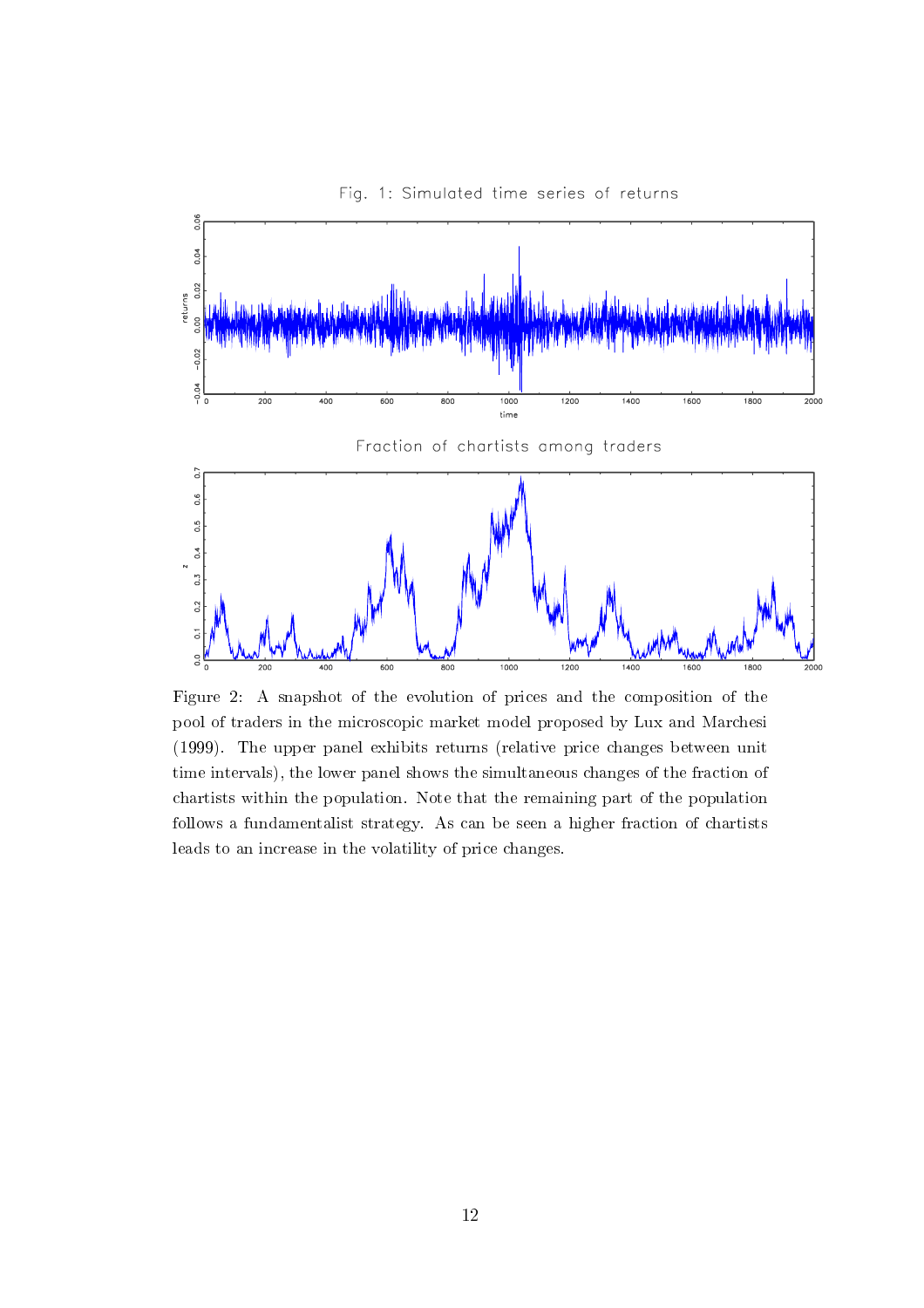

Figure 2: A snapshot of the evolution of prices and the composition of the pool of traders in the microscopic market model proposed by Lux and Marchesi (1999). The upper panel exhibits returns (relative price changes between unit time intervals), the lower panel shows the simultaneous changes of the fraction of chartists within the population. Note that the remaining part of the population follows a fundamentalist strategy. As can be seen a higher fraction of chartists leads to an increase in the volatility of price changes.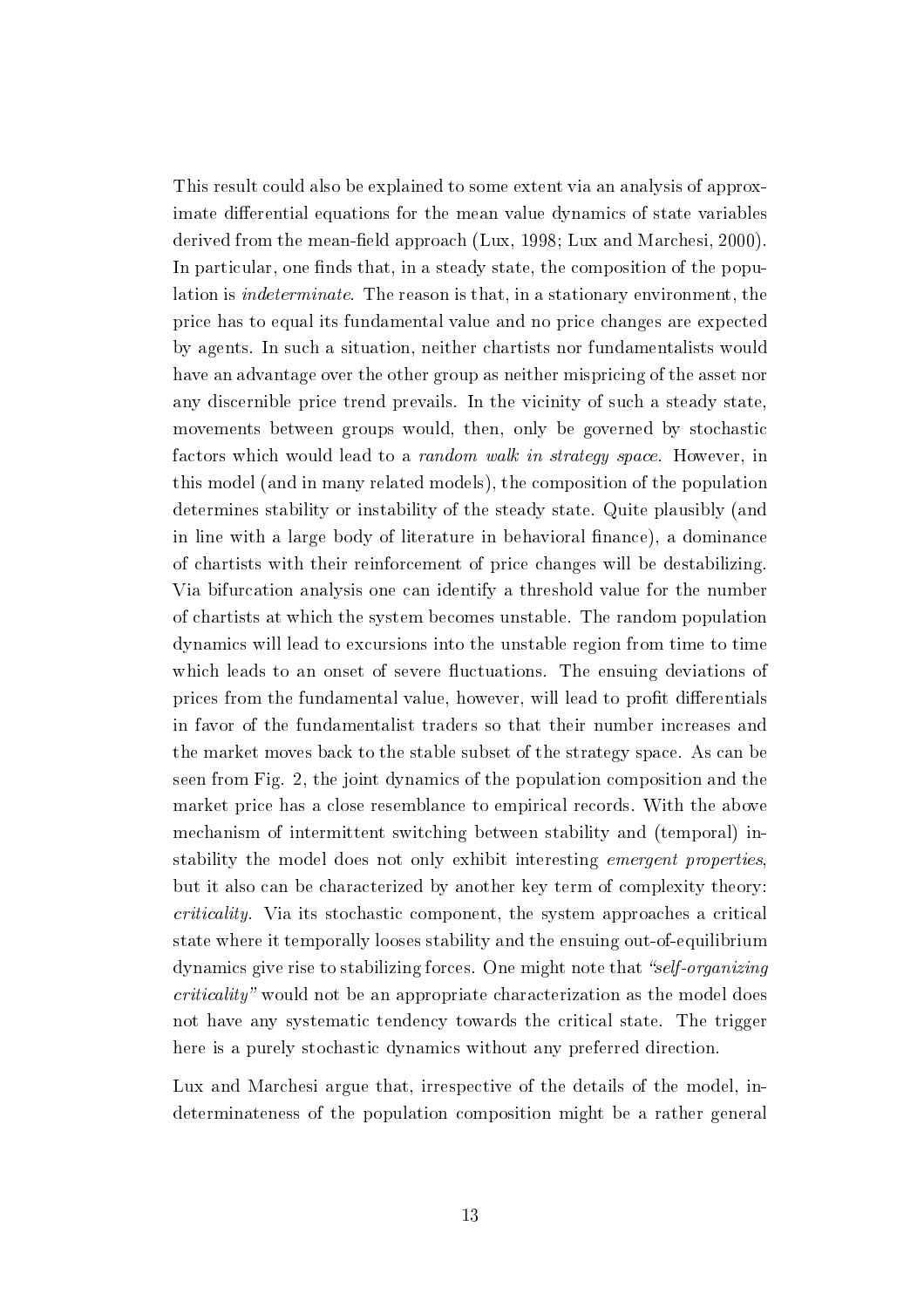This result could also be explained to some extent via an analysis of approximate differential equations for the mean value dynamics of state variables derived from the mean-field approach (Lux, 1998; Lux and Marchesi, 2000). In particular, one finds that, in a steady state, the composition of the population is indeterminate. The reason is that, in a stationary environment, the price has to equal its fundamental value and no price changes are expected by agents. In such a situation, neither chartists nor fundamentalists would have an advantage over the other group as neither mispricing of the asset nor any discernible price trend prevails. In the vicinity of such a steady state, movements between groups would, then, only be governed by stochastic factors which would lead to a random walk in strategy space. However, in this model (and in many related models), the composition of the population determines stability or instability of the steady state. Quite plausibly (and in line with a large body of literature in behavioral finance), a dominance of chartists with their reinforcement of price changes will be destabilizing. Via bifurcation analysis one can identify a threshold value for the number of chartists at which the system becomes unstable. The random population dynamics will lead to excursions into the unstable region from time to time which leads to an onset of severe fluctuations. The ensuing deviations of prices from the fundamental value, however, will lead to profit differentials in favor of the fundamentalist traders so that their number increases and the market moves back to the stable subset of the strategy space. As can be seen from Fig. 2, the joint dynamics of the population composition and the market price has a close resemblance to empirical records. With the above mechanism of intermittent switching between stability and (temporal) instability the model does not only exhibit interesting emergent properties, but it also can be characterized by another key term of complexity theory: criticality. Via its stochastic component, the system approaches a critical state where it temporally looses stability and the ensuing out-of-equilibrium dynamics give rise to stabilizing forces. One might note that "self-organizing" criticality would not be an appropriate characterization as the model does not have any systematic tendency towards the critical state. The trigger here is a purely stochastic dynamics without any preferred direction.

Lux and Marchesi argue that, irrespective of the details of the model, indeterminateness of the population composition might be a rather general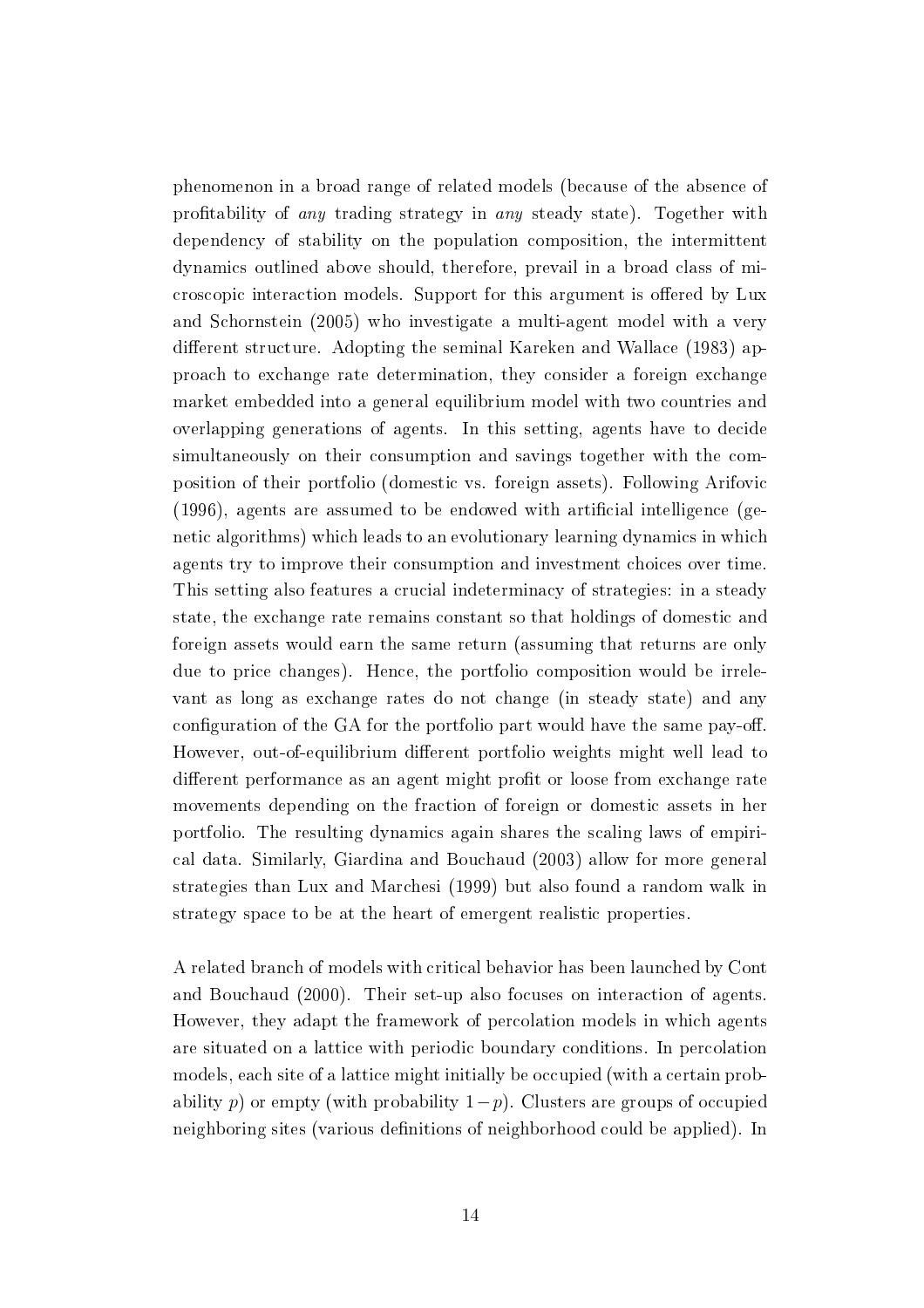phenomenon in a broad range of related models (because of the absence of protability of any trading strategy in any steady state). Together with dependency of stability on the population composition, the intermittent dynamics outlined above should, therefore, prevail in a broad class of microscopic interaction models. Support for this argument is offered by Lux and Schornstein (2005) who investigate a multi-agent model with a very different structure. Adopting the seminal Kareken and Wallace (1983) approach to exchange rate determination, they consider a foreign exchange market embedded into a general equilibrium model with two countries and overlapping generations of agents. In this setting, agents have to decide simultaneously on their consumption and savings together with the composition of their portfolio (domestic vs. foreign assets). Following Arifovic  $(1996)$ , agents are assumed to be endowed with artificial intelligence (genetic algorithms) which leads to an evolutionary learning dynamics in which agents try to improve their consumption and investment choices over time. This setting also features a crucial indeterminacy of strategies: in a steady state, the exchange rate remains constant so that holdings of domestic and foreign assets would earn the same return (assuming that returns are only due to price changes). Hence, the portfolio composition would be irrelevant as long as exchange rates do not change (in steady state) and any configuration of the GA for the portfolio part would have the same pay-off. However, out-of-equilibrium different portfolio weights might well lead to different performance as an agent might profit or loose from exchange rate movements depending on the fraction of foreign or domestic assets in her portfolio. The resulting dynamics again shares the scaling laws of empirical data. Similarly, Giardina and Bouchaud (2003) allow for more general strategies than Lux and Marchesi (1999) but also found a random walk in strategy space to be at the heart of emergent realistic properties.

A related branch of models with critical behavior has been launched by Cont and Bouchaud (2000). Their set-up also focuses on interaction of agents. However, they adapt the framework of percolation models in which agents are situated on a lattice with periodic boundary conditions. In percolation models, each site of a lattice might initially be occupied (with a certain probability p) or empty (with probability  $1-p$ ). Clusters are groups of occupied neighboring sites (various definitions of neighborhood could be applied). In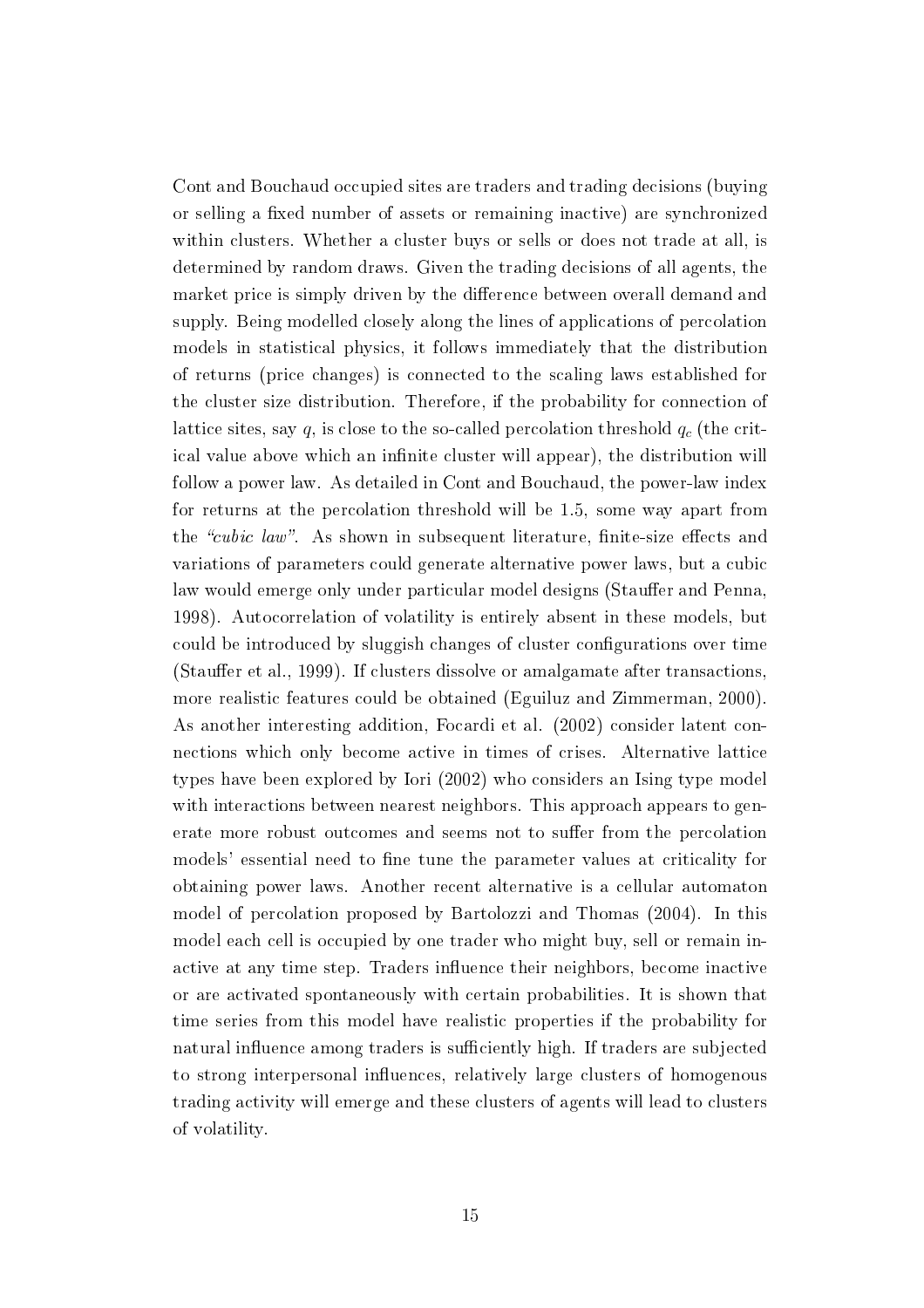Cont and Bouchaud occupied sites are traders and trading decisions (buying or selling a fixed number of assets or remaining inactive) are synchronized within clusters. Whether a cluster buys or sells or does not trade at all, is determined by random draws. Given the trading decisions of all agents, the market price is simply driven by the difference between overall demand and supply. Being modelled closely along the lines of applications of percolation models in statistical physics, it follows immediately that the distribution of returns (price changes) is connected to the scaling laws established for the cluster size distribution. Therefore, if the probability for connection of lattice sites, say  $q$ , is close to the so-called percolation threshold  $q_c$  (the critical value above which an infinite cluster will appear), the distribution will follow a power law. As detailed in Cont and Bouchaud, the power-law index for returns at the percolation threshold will be 1.5, some way apart from the "cubic law". As shown in subsequent literature, finite-size effects and variations of parameters could generate alternative power laws, but a cubic law would emerge only under particular model designs (Stauffer and Penna, 1998). Autocorrelation of volatility is entirely absent in these models, but could be introduced by sluggish changes of cluster configurations over time (Stauffer et al., 1999). If clusters dissolve or amalgamate after transactions, more realistic features could be obtained (Eguiluz and Zimmerman, 2000). As another interesting addition, Focardi et al. (2002) consider latent connections which only become active in times of crises. Alternative lattice types have been explored by Iori (2002) who considers an Ising type model with interactions between nearest neighbors. This approach appears to generate more robust outcomes and seems not to suffer from the percolation models' essential need to fine tune the parameter values at criticality for obtaining power laws. Another recent alternative is a cellular automaton model of percolation proposed by Bartolozzi and Thomas (2004). In this model each cell is occupied by one trader who might buy, sell or remain inactive at any time step. Traders influence their neighbors, become inactive or are activated spontaneously with certain probabilities. It is shown that time series from this model have realistic properties if the probability for natural influence among traders is sufficiently high. If traders are subjected to strong interpersonal influences, relatively large clusters of homogenous trading activity will emerge and these clusters of agents will lead to clusters of volatility.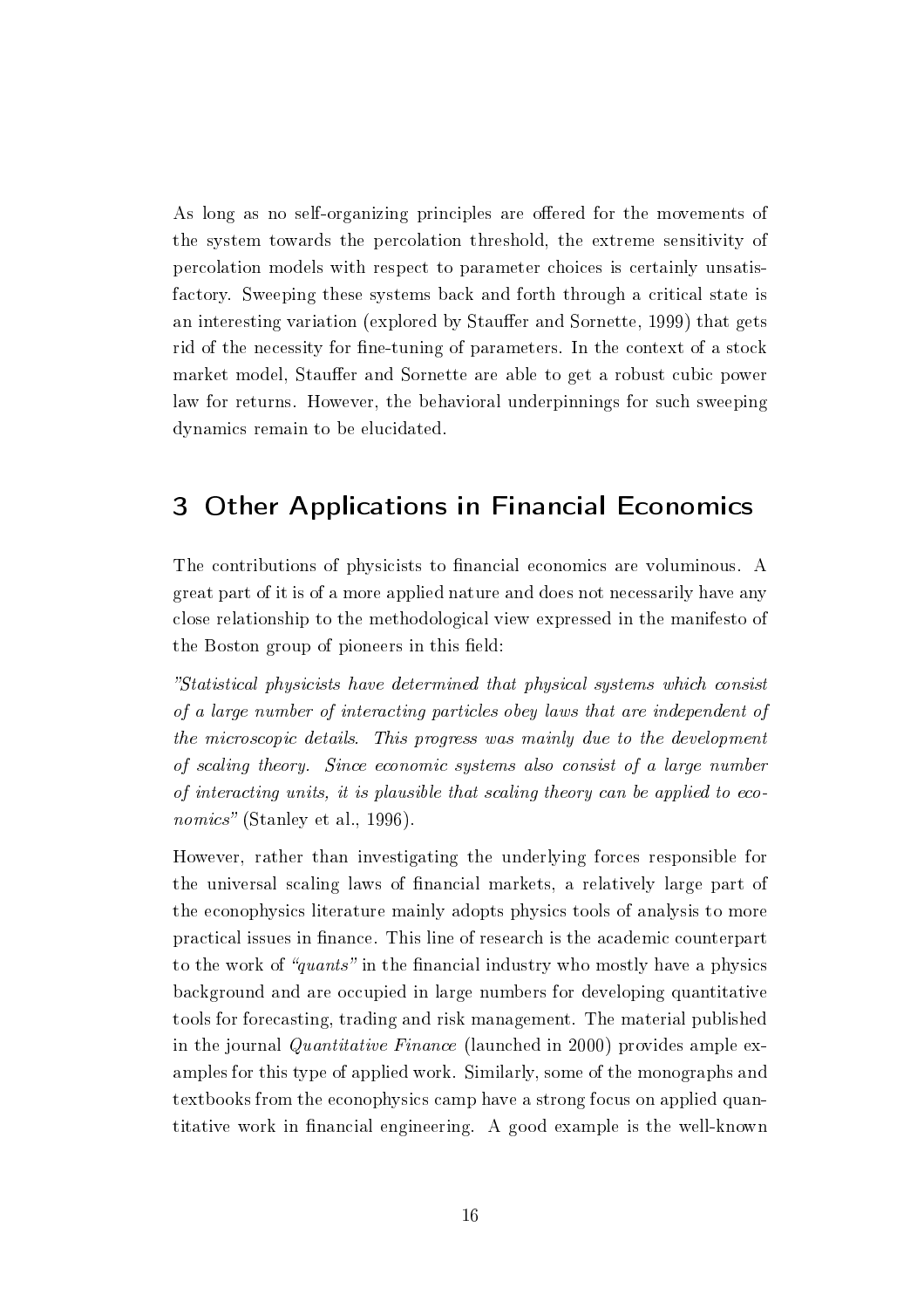As long as no self-organizing principles are offered for the movements of the system towards the percolation threshold, the extreme sensitivity of percolation models with respect to parameter choices is certainly unsatisfactory. Sweeping these systems back and forth through a critical state is an interesting variation (explored by Stauffer and Sornette, 1999) that gets rid of the necessity for fine-tuning of parameters. In the context of a stock market model, Stauffer and Sornette are able to get a robust cubic power law for returns. However, the behavioral underpinnings for such sweeping dynamics remain to be elucidated.

## 3 Other Applications in Financial Economics

The contributions of physicists to financial economics are voluminous. A great part of it is of a more applied nature and does not necessarily have any close relationship to the methodological view expressed in the manifesto of the Boston group of pioneers in this field:

Statistical physicists have determined that physical systems which consist of a large number of interacting particles obey laws that are independent of the microscopic details. This progress was mainly due to the development of scaling theory. Since economic systems also consist of a large number of interacting units, it is plausible that scaling theory can be applied to eco $nonics"$  (Stanley et al., 1996).

However, rather than investigating the underlying forces responsible for the universal scaling laws of nancial markets, a relatively large part of the econophysics literature mainly adopts physics tools of analysis to more practical issues in nance. This line of research is the academic counterpart to the work of "*quants*" in the financial industry who mostly have a physics background and are occupied in large numbers for developing quantitative tools for forecasting, trading and risk management. The material published in the journal *Quantitative Finance* (launched in 2000) provides ample examples for this type of applied work. Similarly, some of the monographs and textbooks from the econophysics camp have a strong focus on applied quantitative work in financial engineering. A good example is the well-known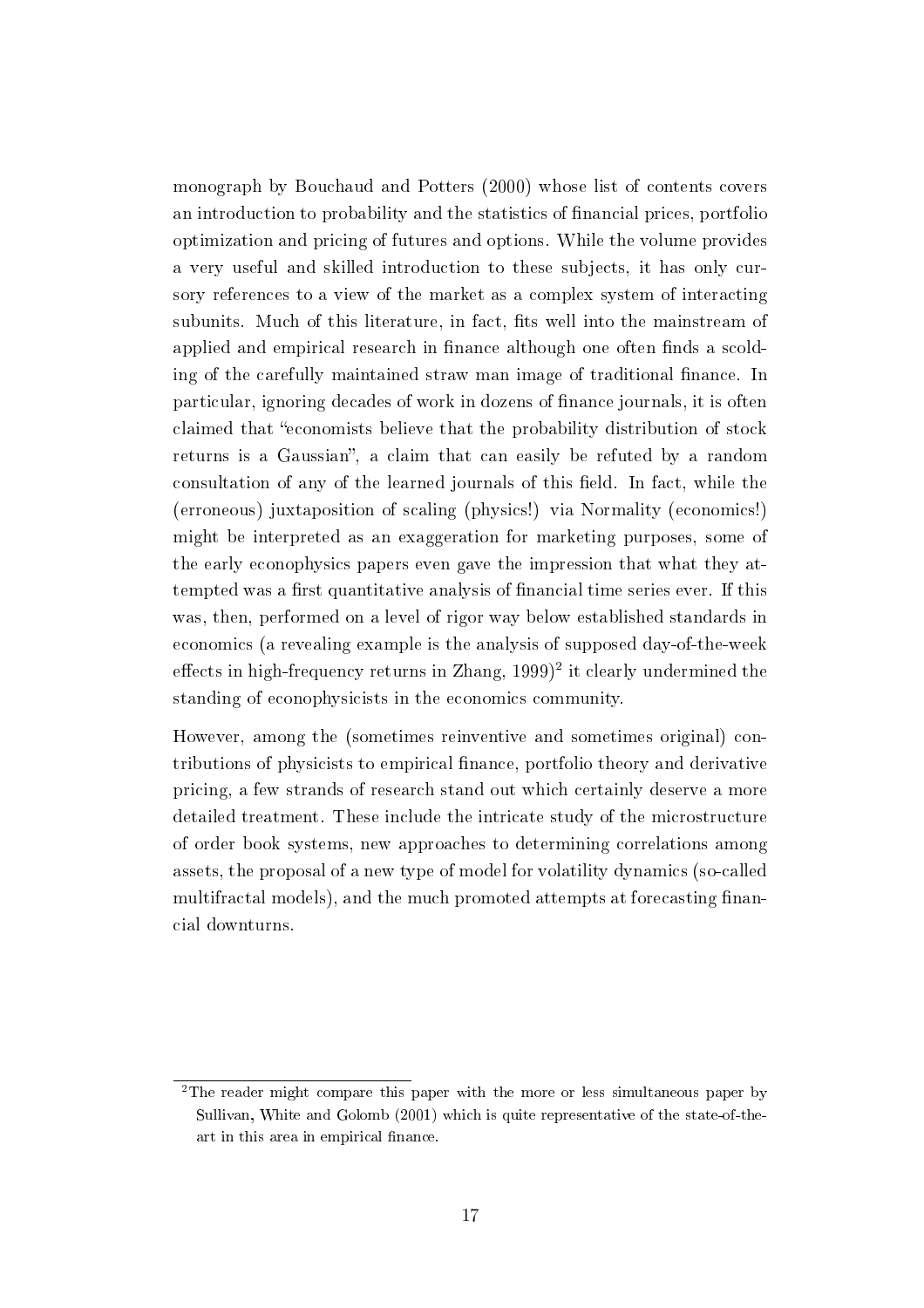monograph by Bouchaud and Potters (2000) whose list of contents covers an introduction to probability and the statistics of nancial prices, portfolio optimization and pricing of futures and options. While the volume provides a very useful and skilled introduction to these subjects, it has only cursory references to a view of the market as a complex system of interacting subunits. Much of this literature, in fact, fits well into the mainstream of applied and empirical research in finance although one often finds a scolding of the carefully maintained straw man image of traditional finance. In particular, ignoring decades of work in dozens of finance journals, it is often claimed that economists believe that the probability distribution of stock returns is a Gaussian", a claim that can easily be refuted by a random consultation of any of the learned journals of this field. In fact, while the (erroneous) juxtaposition of scaling (physics!) via Normality (economics!) might be interpreted as an exaggeration for marketing purposes, some of the early econophysics papers even gave the impression that what they attempted was a first quantitative analysis of financial time series ever. If this was, then, performed on a level of rigor way below established standards in economics (a revealing example is the analysis of supposed day-of-the-week effects in high-frequency returns in Zhang,  $1999)^2$  it clearly undermined the standing of econophysicists in the economics community.

However, among the (sometimes reinventive and sometimes original) contributions of physicists to empirical finance, portfolio theory and derivative pricing, a few strands of research stand out which certainly deserve a more detailed treatment. These include the intricate study of the microstructure of order book systems, new approaches to determining correlations among assets, the proposal of a new type of model for volatility dynamics (so-called multifractal models), and the much promoted attempts at forecasting financial downturns.

<sup>&</sup>lt;sup>2</sup>The reader might compare this paper with the more or less simultaneous paper by Sullivan, White and Golomb (2001) which is quite representative of the state-of-theart in this area in empirical finance.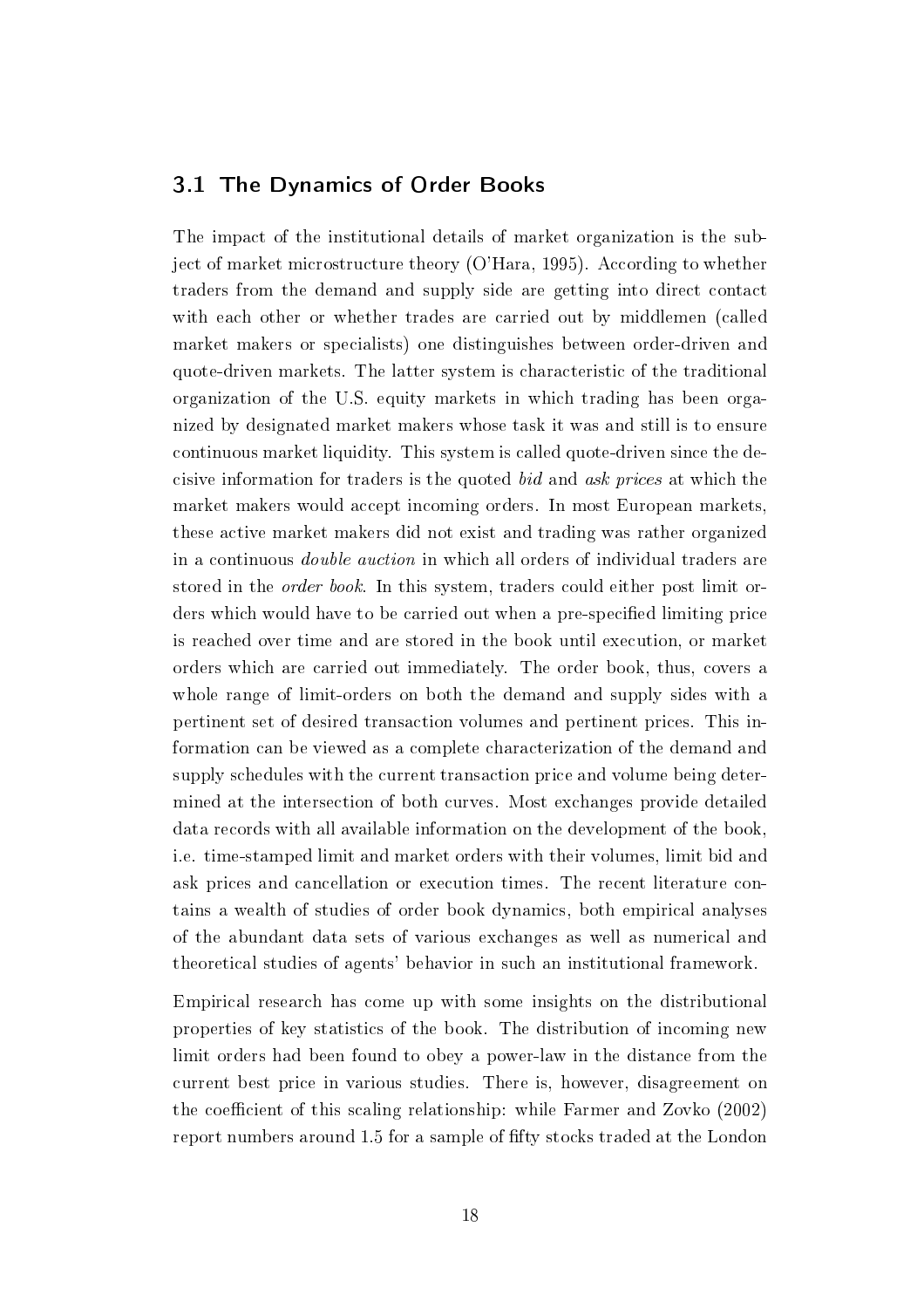#### 3.1 The Dynamics of Order Books

The impact of the institutional details of market organization is the subject of market microstructure theory (O'Hara, 1995). According to whether traders from the demand and supply side are getting into direct contact with each other or whether trades are carried out by middlemen (called market makers or specialists) one distinguishes between order-driven and quote-driven markets. The latter system is characteristic of the traditional organization of the U.S. equity markets in which trading has been organized by designated market makers whose task it was and still is to ensure continuous market liquidity. This system is called quote-driven since the decisive information for traders is the quoted bid and ask prices at which the market makers would accept incoming orders. In most European markets, these active market makers did not exist and trading was rather organized in a continuous double auction in which all orders of individual traders are stored in the *order book*. In this system, traders could either post limit orders which would have to be carried out when a pre-specified limiting price is reached over time and are stored in the book until execution, or market orders which are carried out immediately. The order book, thus, covers a whole range of limit-orders on both the demand and supply sides with a pertinent set of desired transaction volumes and pertinent prices. This information can be viewed as a complete characterization of the demand and supply schedules with the current transaction price and volume being determined at the intersection of both curves. Most exchanges provide detailed data records with all available information on the development of the book, i.e. time-stamped limit and market orders with their volumes, limit bid and ask prices and cancellation or execution times. The recent literature contains a wealth of studies of order book dynamics, both empirical analyses of the abundant data sets of various exchanges as well as numerical and theoretical studies of agents' behavior in such an institutional framework.

Empirical research has come up with some insights on the distributional properties of key statistics of the book. The distribution of incoming new limit orders had been found to obey a power-law in the distance from the current best price in various studies. There is, however, disagreement on the coefficient of this scaling relationship: while Farmer and Zovko (2002) report numbers around 1.5 for a sample of fifty stocks traded at the London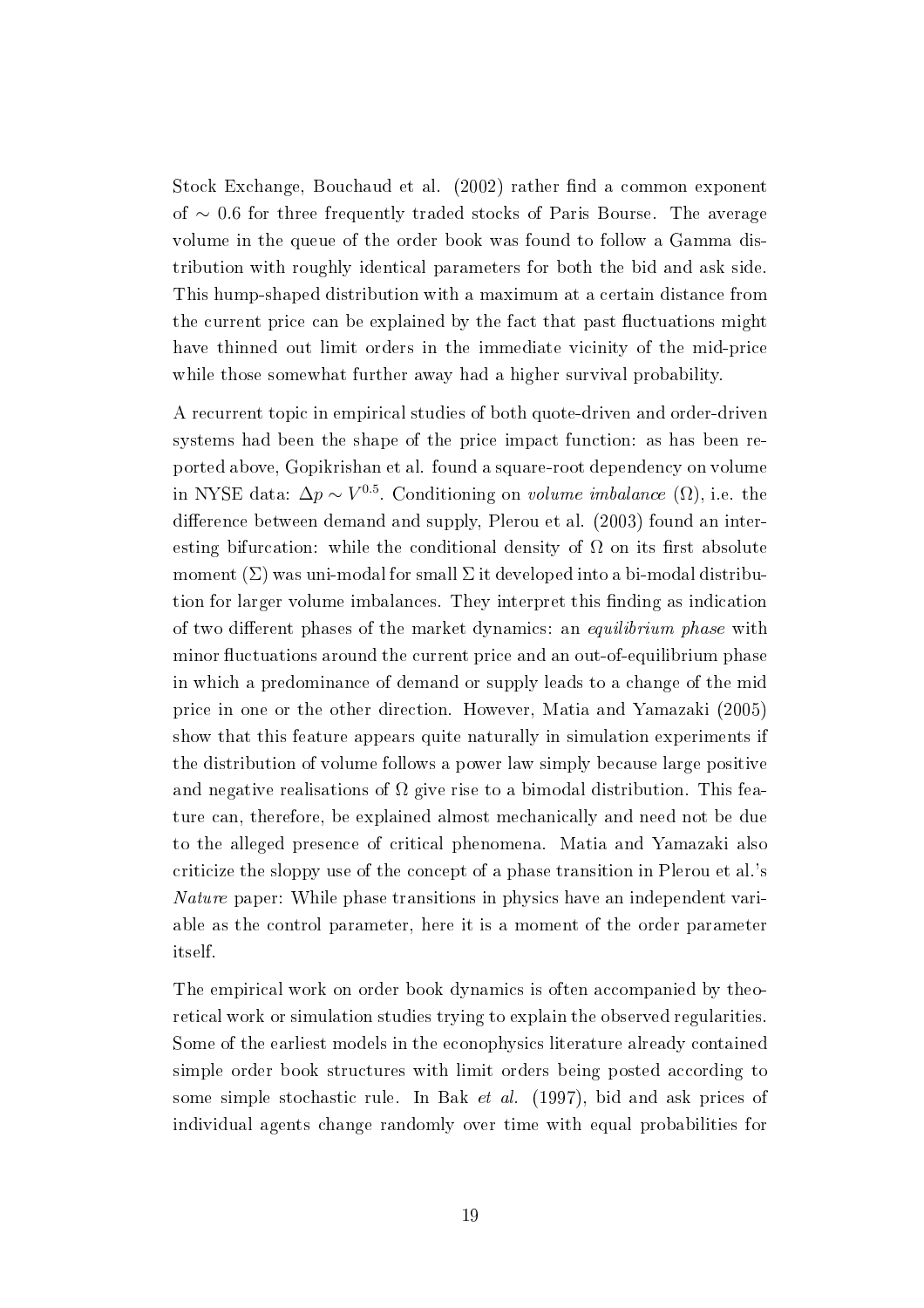Stock Exchange, Bouchaud et al. (2002) rather find a common exponent of ∼ 0.6 for three frequently traded stocks of Paris Bourse. The average volume in the queue of the order book was found to follow a Gamma distribution with roughly identical parameters for both the bid and ask side. This hump-shaped distribution with a maximum at a certain distance from the current price can be explained by the fact that past fluctuations might have thinned out limit orders in the immediate vicinity of the mid-price while those somewhat further away had a higher survival probability.

A recurrent topic in empirical studies of both quote-driven and order-driven systems had been the shape of the price impact function: as has been reported above, Gopikrishan et al. found a square-root dependency on volume in NYSE data:  $\Delta p \sim V^{0.5}$ . Conditioning on *volume imbalance* ( $\Omega$ ), i.e. the difference between demand and supply, Plerou et al. (2003) found an interesting bifurcation: while the conditional density of  $\Omega$  on its first absolute moment  $(\Sigma)$  was uni-modal for small  $\Sigma$  it developed into a bi-modal distribution for larger volume imbalances. They interpret this finding as indication of two different phases of the market dynamics: an *equilibrium phase* with minor fluctuations around the current price and an out-of-equilibrium phase in which a predominance of demand or supply leads to a change of the mid price in one or the other direction. However, Matia and Yamazaki (2005) show that this feature appears quite naturally in simulation experiments if the distribution of volume follows a power law simply because large positive and negative realisations of  $\Omega$  give rise to a bimodal distribution. This feature can, therefore, be explained almost mechanically and need not be due to the alleged presence of critical phenomena. Matia and Yamazaki also criticize the sloppy use of the concept of a phase transition in Plerou et al.'s Nature paper: While phase transitions in physics have an independent variable as the control parameter, here it is a moment of the order parameter itself.

The empirical work on order book dynamics is often accompanied by theoretical work or simulation studies trying to explain the observed regularities. Some of the earliest models in the econophysics literature already contained simple order book structures with limit orders being posted according to some simple stochastic rule. In Bak *et al.* (1997), bid and ask prices of individual agents change randomly over time with equal probabilities for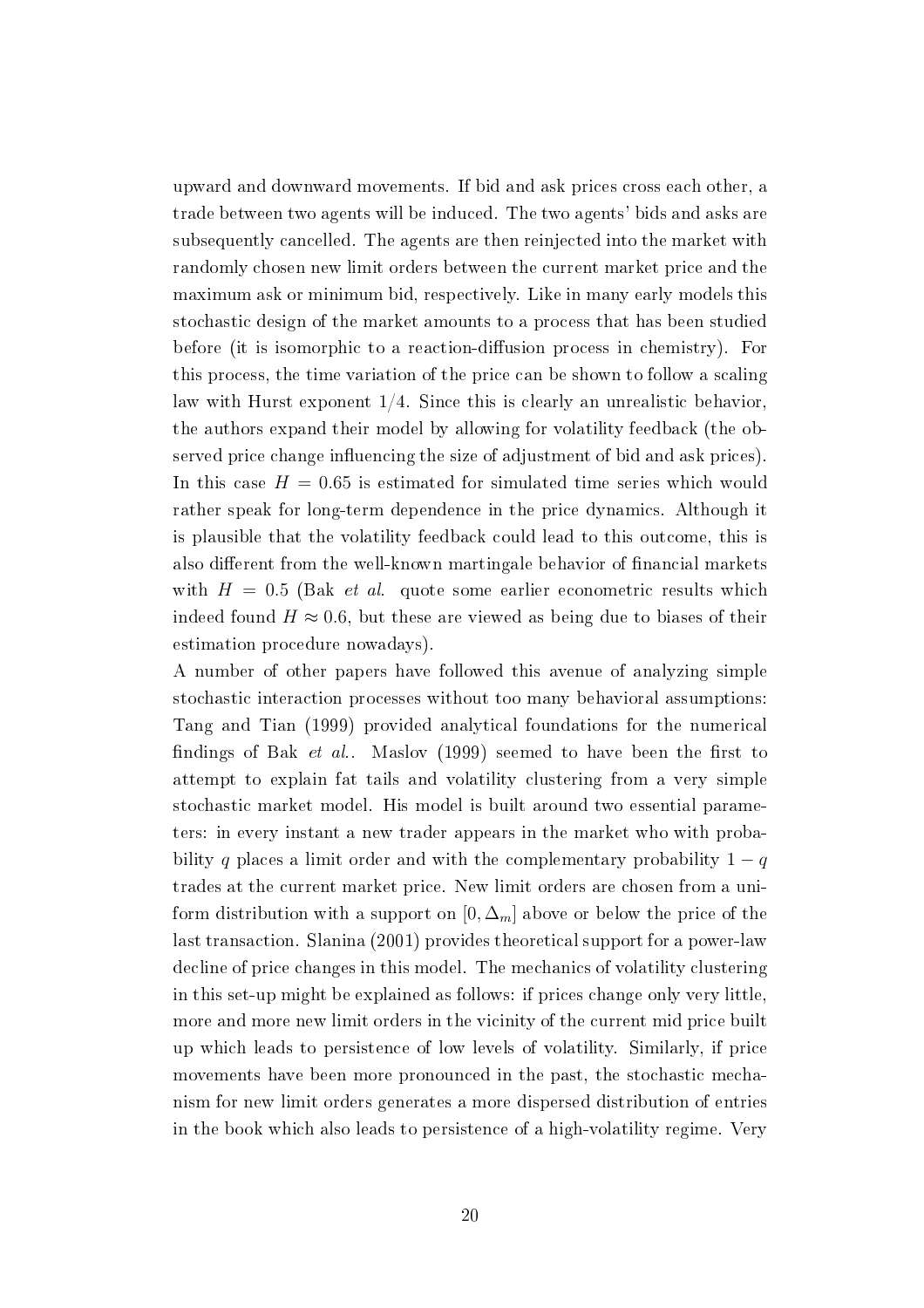upward and downward movements. If bid and ask prices cross each other, a trade between two agents will be induced. The two agents' bids and asks are subsequently cancelled. The agents are then reinjected into the market with randomly chosen new limit orders between the current market price and the maximum ask or minimum bid, respectively. Like in many early models this stochastic design of the market amounts to a process that has been studied before (it is isomorphic to a reaction-diffusion process in chemistry). For this process, the time variation of the price can be shown to follow a scaling law with Hurst exponent 1/4. Since this is clearly an unrealistic behavior, the authors expand their model by allowing for volatility feedback (the observed price change influencing the size of adjustment of bid and ask prices). In this case  $H = 0.65$  is estimated for simulated time series which would rather speak for long-term dependence in the price dynamics. Although it is plausible that the volatility feedback could lead to this outcome, this is also different from the well-known martingale behavior of financial markets with  $H = 0.5$  (Bak *et al.* quote some earlier econometric results which indeed found  $H \approx 0.6$ , but these are viewed as being due to biases of their estimation procedure nowadays).

A number of other papers have followed this avenue of analyzing simple stochastic interaction processes without too many behavioral assumptions: Tang and Tian (1999) provided analytical foundations for the numerical findings of Bak et al.. Maslov (1999) seemed to have been the first to attempt to explain fat tails and volatility clustering from a very simple stochastic market model. His model is built around two essential parameters: in every instant a new trader appears in the market who with probability q places a limit order and with the complementary probability  $1 - q$ trades at the current market price. New limit orders are chosen from a uniform distribution with a support on  $[0, \Delta_m]$  above or below the price of the last transaction. Slanina (2001) provides theoretical support for a power-law decline of price changes in this model. The mechanics of volatility clustering in this set-up might be explained as follows: if prices change only very little, more and more new limit orders in the vicinity of the current mid price built up which leads to persistence of low levels of volatility. Similarly, if price movements have been more pronounced in the past, the stochastic mechanism for new limit orders generates a more dispersed distribution of entries in the book which also leads to persistence of a high-volatility regime. Very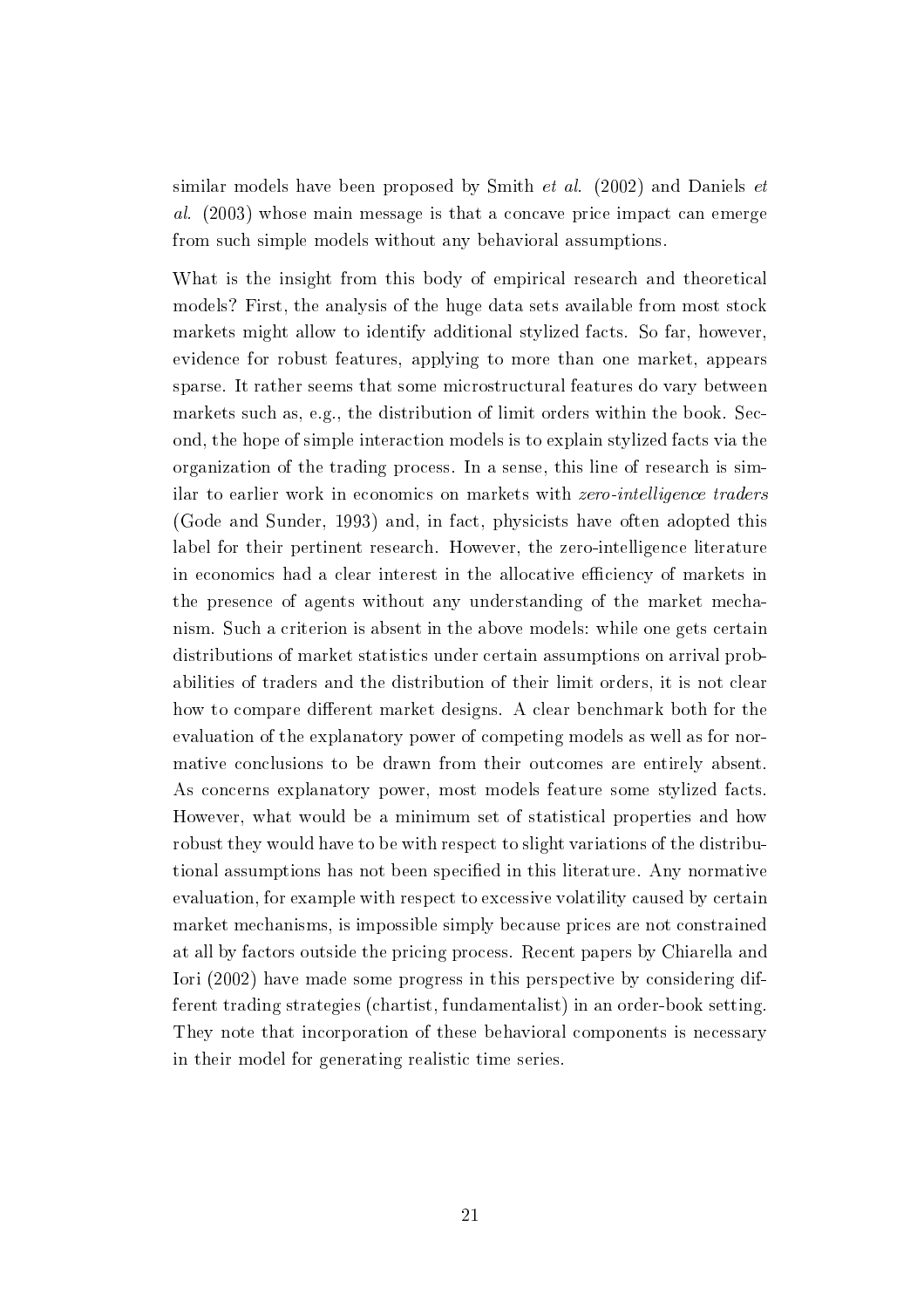similar models have been proposed by Smith  $et \ al.$  (2002) and Daniels  $et$ al. (2003) whose main message is that a concave price impact can emerge from such simple models without any behavioral assumptions.

What is the insight from this body of empirical research and theoretical models? First, the analysis of the huge data sets available from most stock markets might allow to identify additional stylized facts. So far, however, evidence for robust features, applying to more than one market, appears sparse. It rather seems that some microstructural features do vary between markets such as, e.g., the distribution of limit orders within the book. Second, the hope of simple interaction models is to explain stylized facts via the organization of the trading process. In a sense, this line of research is similar to earlier work in economics on markets with zero-intelligence traders (Gode and Sunder, 1993) and, in fact, physicists have often adopted this label for their pertinent research. However, the zero-intelligence literature in economics had a clear interest in the allocative efficiency of markets in the presence of agents without any understanding of the market mechanism. Such a criterion is absent in the above models: while one gets certain distributions of market statistics under certain assumptions on arrival probabilities of traders and the distribution of their limit orders, it is not clear how to compare different market designs. A clear benchmark both for the evaluation of the explanatory power of competing models as well as for normative conclusions to be drawn from their outcomes are entirely absent. As concerns explanatory power, most models feature some stylized facts. However, what would be a minimum set of statistical properties and how robust they would have to be with respect to slight variations of the distributional assumptions has not been specified in this literature. Any normative evaluation, for example with respect to excessive volatility caused by certain market mechanisms, is impossible simply because prices are not constrained at all by factors outside the pricing process. Recent papers by Chiarella and Iori (2002) have made some progress in this perspective by considering different trading strategies (chartist, fundamentalist) in an order-book setting. They note that incorporation of these behavioral components is necessary in their model for generating realistic time series.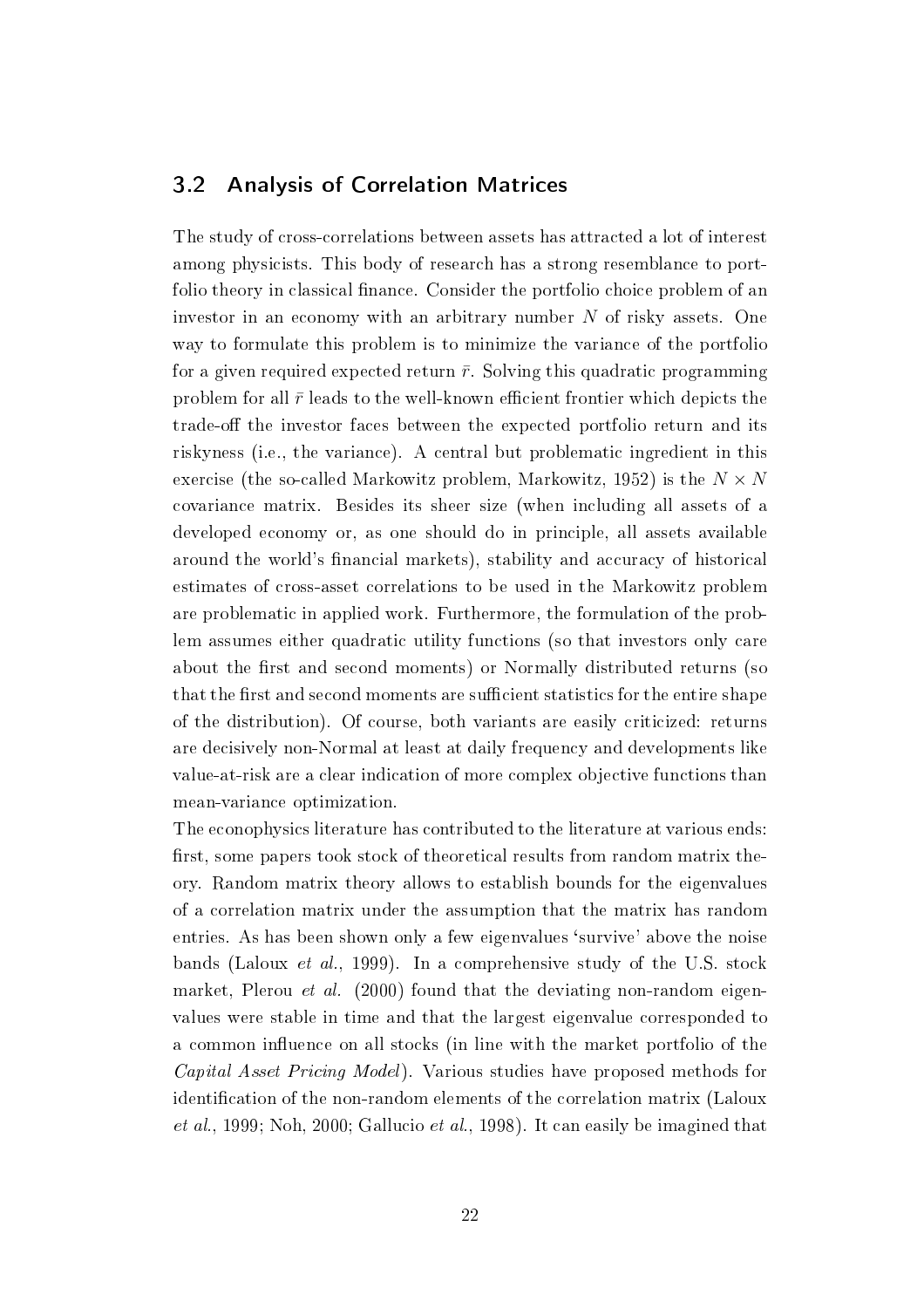#### 3.2 Analysis of Correlation Matrices

The study of cross-correlations between assets has attracted a lot of interest among physicists. This body of research has a strong resemblance to portfolio theory in classical finance. Consider the portfolio choice problem of an investor in an economy with an arbitrary number N of risky assets. One way to formulate this problem is to minimize the variance of the portfolio for a given required expected return  $\bar{r}$ . Solving this quadratic programming problem for all  $\bar{r}$  leads to the well-known efficient frontier which depicts the trade-off the investor faces between the expected portfolio return and its riskyness (i.e., the variance). A central but problematic ingredient in this exercise (the so-called Markowitz problem, Markowitz, 1952) is the  $N \times N$ covariance matrix. Besides its sheer size (when including all assets of a developed economy or, as one should do in principle, all assets available around the world's financial markets), stability and accuracy of historical estimates of cross-asset correlations to be used in the Markowitz problem are problematic in applied work. Furthermore, the formulation of the problem assumes either quadratic utility functions (so that investors only care about the first and second moments) or Normally distributed returns (so that the first and second moments are sufficient statistics for the entire shape of the distribution). Of course, both variants are easily criticized: returns are decisively non-Normal at least at daily frequency and developments like value-at-risk are a clear indication of more complex objective functions than mean-variance optimization.

The econophysics literature has contributed to the literature at various ends: first, some papers took stock of theoretical results from random matrix theory. Random matrix theory allows to establish bounds for the eigenvalues of a correlation matrix under the assumption that the matrix has random entries. As has been shown only a few eigenvalues 'survive' above the noise bands (Laloux et al., 1999). In a comprehensive study of the U.S. stock market, Plerou *et al.* (2000) found that the deviating non-random eigenvalues were stable in time and that the largest eigenvalue corresponded to a common influence on all stocks (in line with the market portfolio of the Capital Asset Pricing Model). Various studies have proposed methods for identification of the non-random elements of the correlation matrix (Laloux et al., 1999; Noh, 2000; Gallucio et al., 1998). It can easily be imagined that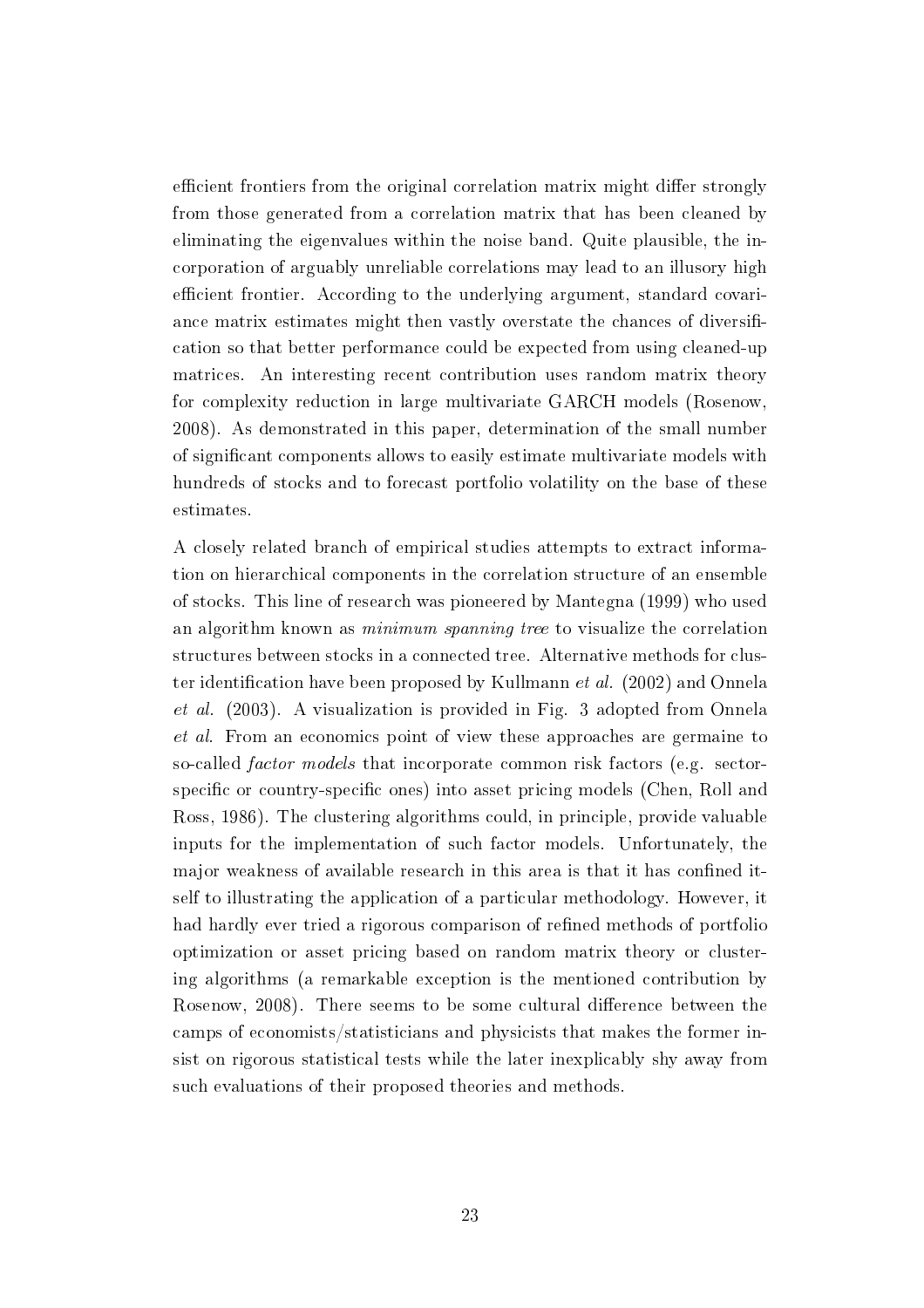efficient frontiers from the original correlation matrix might differ strongly from those generated from a correlation matrix that has been cleaned by eliminating the eigenvalues within the noise band. Quite plausible, the incorporation of arguably unreliable correlations may lead to an illusory high efficient frontier. According to the underlying argument, standard covariance matrix estimates might then vastly overstate the chances of diversification so that better performance could be expected from using cleaned-up matrices. An interesting recent contribution uses random matrix theory for complexity reduction in large multivariate GARCH models (Rosenow, 2008). As demonstrated in this paper, determination of the small number of signicant components allows to easily estimate multivariate models with hundreds of stocks and to forecast portfolio volatility on the base of these estimates.

A closely related branch of empirical studies attempts to extract information on hierarchical components in the correlation structure of an ensemble of stocks. This line of research was pioneered by Mantegna (1999) who used an algorithm known as minimum spanning tree to visualize the correlation structures between stocks in a connected tree. Alternative methods for cluster identification have been proposed by Kullmann *et al.* (2002) and Onnela et al. (2003). A visualization is provided in Fig. 3 adopted from Onnela et al. From an economics point of view these approaches are germaine to so-called factor models that incorporate common risk factors (e.g. sectorspecific or country-specific ones) into asset pricing models (Chen, Roll and Ross, 1986). The clustering algorithms could, in principle, provide valuable inputs for the implementation of such factor models. Unfortunately, the major weakness of available research in this area is that it has confined itself to illustrating the application of a particular methodology. However, it had hardly ever tried a rigorous comparison of refined methods of portfolio optimization or asset pricing based on random matrix theory or clustering algorithms (a remarkable exception is the mentioned contribution by Rosenow, 2008). There seems to be some cultural difference between the camps of economists/statisticians and physicists that makes the former insist on rigorous statistical tests while the later inexplicably shy away from such evaluations of their proposed theories and methods.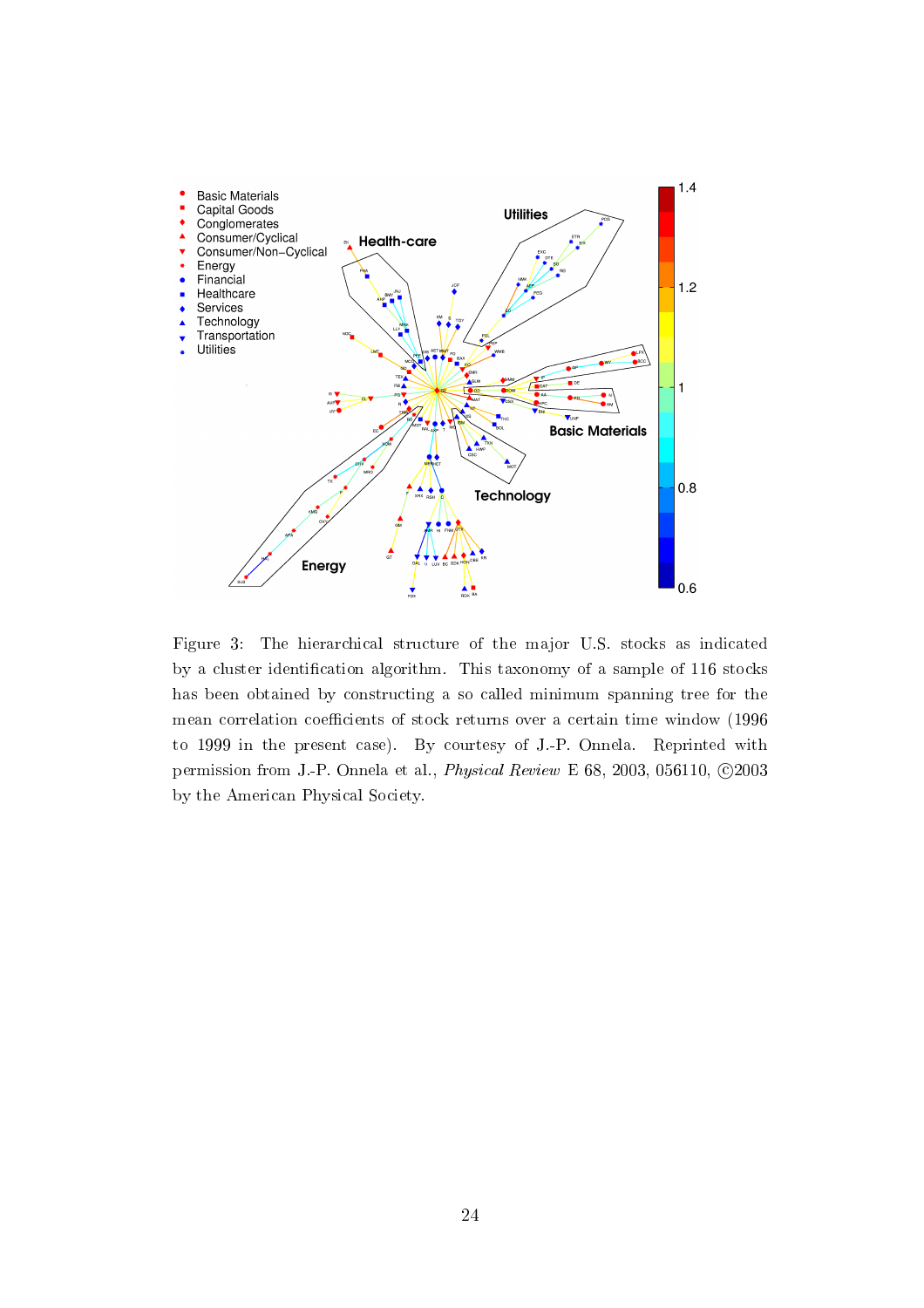

Figure 3: The hierarchical structure of the major U.S. stocks as indicated by a cluster identification algorithm. This taxonomy of a sample of 116 stocks has been obtained by constructing a so called minimum spanning tree for the mean correlation coefficients of stock returns over a certain time window (1996 to 1999 in the present case). By courtesy of J.-P. Onnela. Reprinted with permission from J.-P. Onnela et al., *Physical Review* E 68, 2003, 056110,  $\odot$ 2003 by the American Physical Society.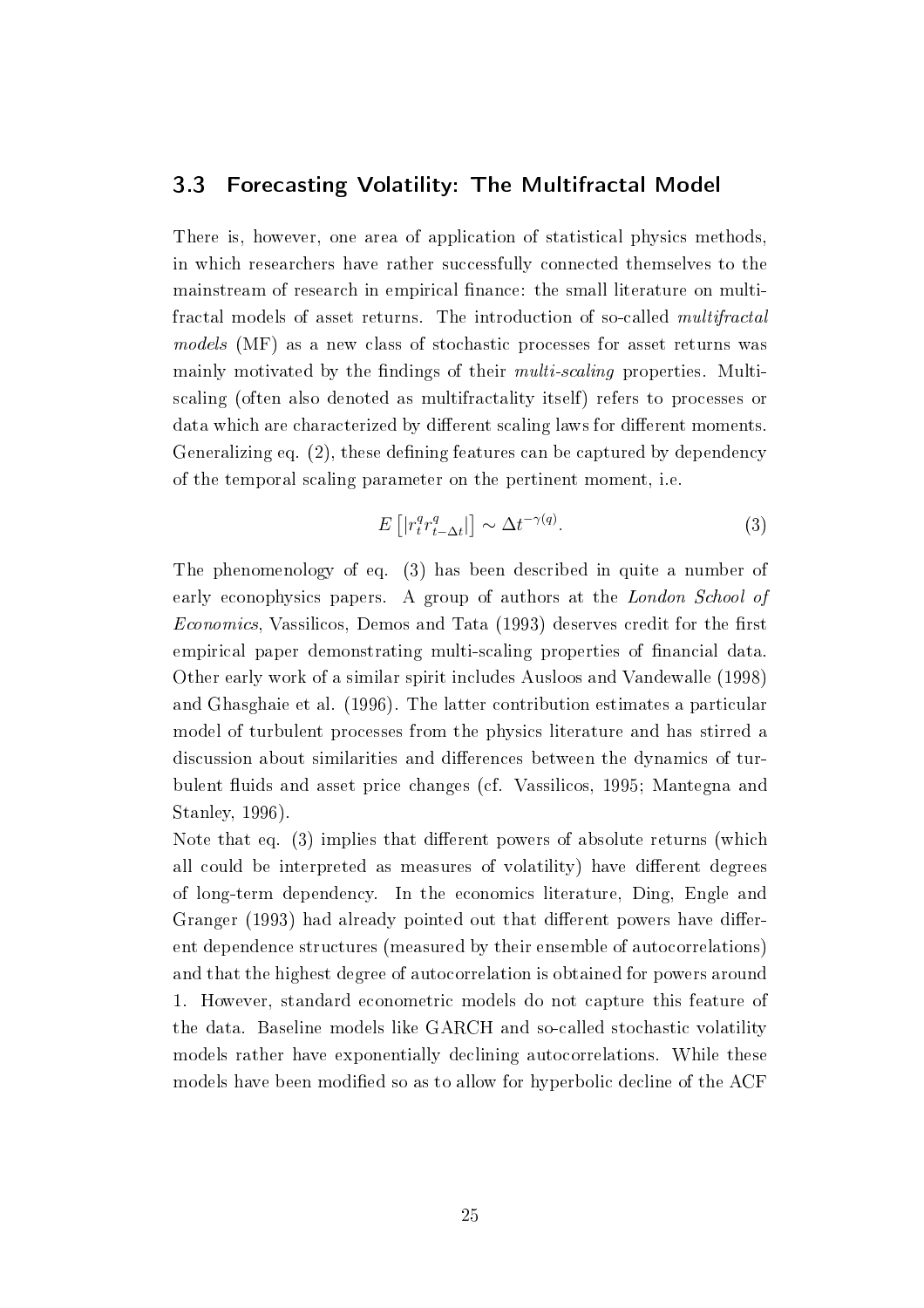#### 3.3 Forecasting Volatility: The Multifractal Model

There is, however, one area of application of statistical physics methods, in which researchers have rather successfully connected themselves to the mainstream of research in empirical finance: the small literature on multifractal models of asset returns. The introduction of so-called multifractal models (MF) as a new class of stochastic processes for asset returns was mainly motivated by the findings of their *multi-scaling* properties. Multiscaling (often also denoted as multifractality itself) refers to processes or data which are characterized by different scaling laws for different moments. Generalizing eq.  $(2)$ , these defining features can be captured by dependency of the temporal scaling parameter on the pertinent moment, i.e.

$$
E\left[|r_t^q r_{t-\Delta t}^q|\right] \sim \Delta t^{-\gamma(q)}.\tag{3}
$$

The phenomenology of eq. (3) has been described in quite a number of early econophysics papers. A group of authors at the London School of *Economics*, Vassilicos, Demos and Tata (1993) deserves credit for the first empirical paper demonstrating multi-scaling properties of financial data. Other early work of a similar spirit includes Ausloos and Vandewalle (1998) and Ghasghaie et al. (1996). The latter contribution estimates a particular model of turbulent processes from the physics literature and has stirred a discussion about similarities and differences between the dynamics of turbulent fluids and asset price changes (cf. Vassilicos, 1995; Mantegna and Stanley, 1996).

Note that eq.  $(3)$  implies that different powers of absolute returns (which all could be interpreted as measures of volatility) have different degrees of long-term dependency. In the economics literature, Ding, Engle and Granger (1993) had already pointed out that different powers have different dependence structures (measured by their ensemble of autocorrelations) and that the highest degree of autocorrelation is obtained for powers around 1. However, standard econometric models do not capture this feature of the data. Baseline models like GARCH and so-called stochastic volatility models rather have exponentially declining autocorrelations. While these models have been modified so as to allow for hyperbolic decline of the ACF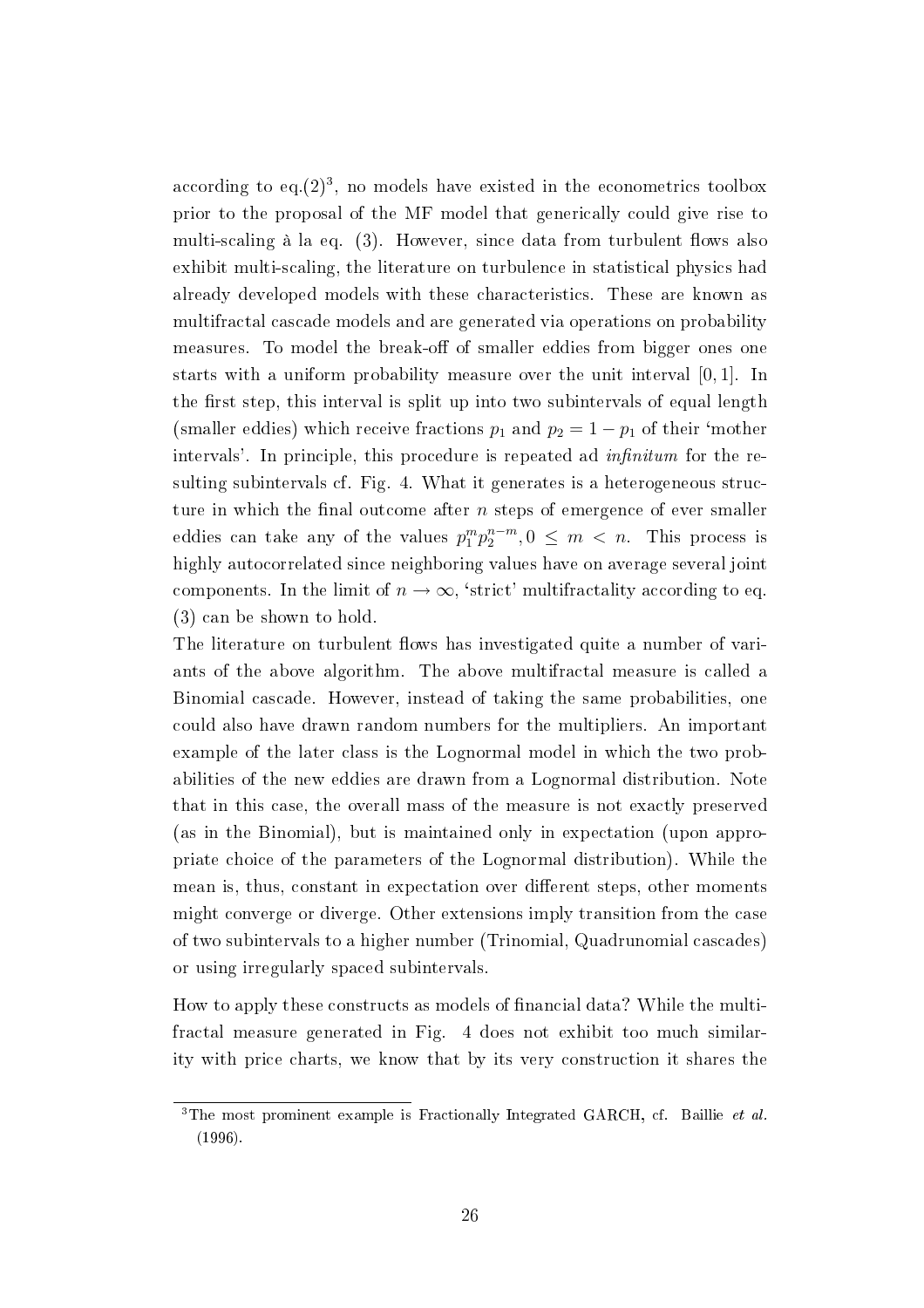according to eq. $(2)^3$ , no models have existed in the econometrics toolbox prior to the proposal of the MF model that generically could give rise to multi-scaling à la eq.  $(3)$ . However, since data from turbulent flows also exhibit multi-scaling, the literature on turbulence in statistical physics had already developed models with these characteristics. These are known as multifractal cascade models and are generated via operations on probability measures. To model the break-off of smaller eddies from bigger ones one starts with a uniform probability measure over the unit interval [0, 1]. In the first step, this interval is split up into two subintervals of equal length (smaller eddies) which receive fractions  $p_1$  and  $p_2 = 1 - p_1$  of their 'mother intervals'. In principle, this procedure is repeated ad *infinitum* for the resulting subintervals cf. Fig. 4. What it generates is a heterogeneous structure in which the final outcome after  $n$  steps of emergence of ever smaller eddies can take any of the values  $p_1^m p_2^{n-m}$ ,  $0 \leq m \leq n$ . This process is highly autocorrelated since neighboring values have on average several joint components. In the limit of  $n \to \infty$ , 'strict' multifractality according to eq. (3) can be shown to hold.

The literature on turbulent flows has investigated quite a number of variants of the above algorithm. The above multifractal measure is called a Binomial cascade. However, instead of taking the same probabilities, one could also have drawn random numbers for the multipliers. An important example of the later class is the Lognormal model in which the two probabilities of the new eddies are drawn from a Lognormal distribution. Note that in this case, the overall mass of the measure is not exactly preserved (as in the Binomial), but is maintained only in expectation (upon appropriate choice of the parameters of the Lognormal distribution). While the mean is, thus, constant in expectation over different steps, other moments might converge or diverge. Other extensions imply transition from the case of two subintervals to a higher number (Trinomial, Quadrunomial cascades) or using irregularly spaced subintervals.

How to apply these constructs as models of financial data? While the multifractal measure generated in Fig. 4 does not exhibit too much similarity with price charts, we know that by its very construction it shares the

<sup>&</sup>lt;sup>3</sup>The most prominent example is Fractionally Integrated GARCH, cf. Baillie *et al.* (1996).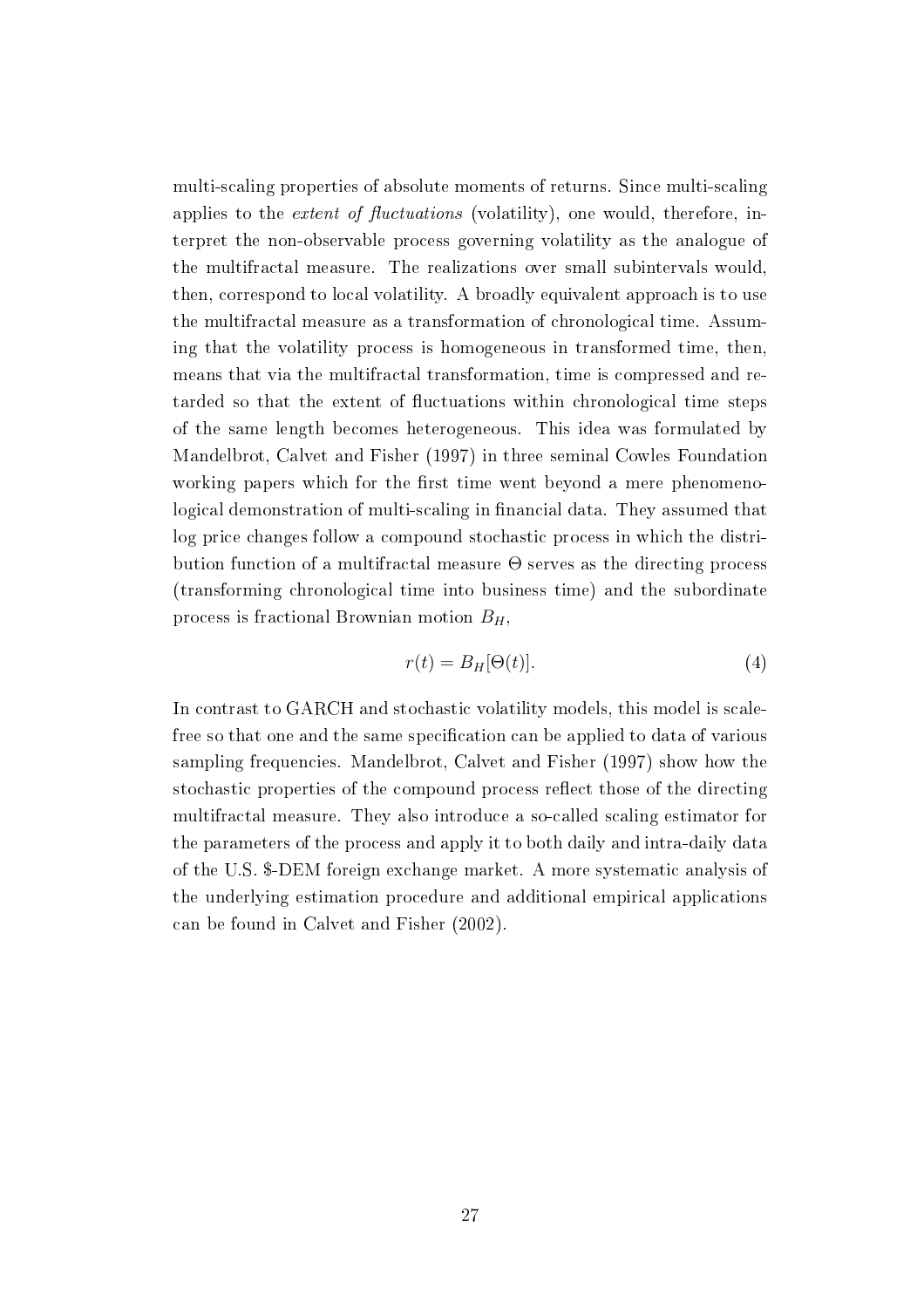multi-scaling properties of absolute moments of returns. Since multi-scaling applies to the *extent of fluctuations* (volatility), one would, therefore, interpret the non-observable process governing volatility as the analogue of the multifractal measure. The realizations over small subintervals would, then, correspond to local volatility. A broadly equivalent approach is to use the multifractal measure as a transformation of chronological time. Assuming that the volatility process is homogeneous in transformed time, then, means that via the multifractal transformation, time is compressed and retarded so that the extent of fluctuations within chronological time steps of the same length becomes heterogeneous. This idea was formulated by Mandelbrot, Calvet and Fisher (1997) in three seminal Cowles Foundation working papers which for the first time went beyond a mere phenomenological demonstration of multi-scaling in financial data. They assumed that log price changes follow a compound stochastic process in which the distribution function of a multifractal measure  $\Theta$  serves as the directing process (transforming chronological time into business time) and the subordinate process is fractional Brownian motion  $B_H$ ,

$$
r(t) = B_H[\Theta(t)].
$$
\n(4)

In contrast to GARCH and stochastic volatility models, this model is scalefree so that one and the same specification can be applied to data of various sampling frequencies. Mandelbrot, Calvet and Fisher (1997) show how the stochastic properties of the compound process reflect those of the directing multifractal measure. They also introduce a so-called scaling estimator for the parameters of the process and apply it to both daily and intra-daily data of the U.S. \$-DEM foreign exchange market. A more systematic analysis of the underlying estimation procedure and additional empirical applications can be found in Calvet and Fisher (2002).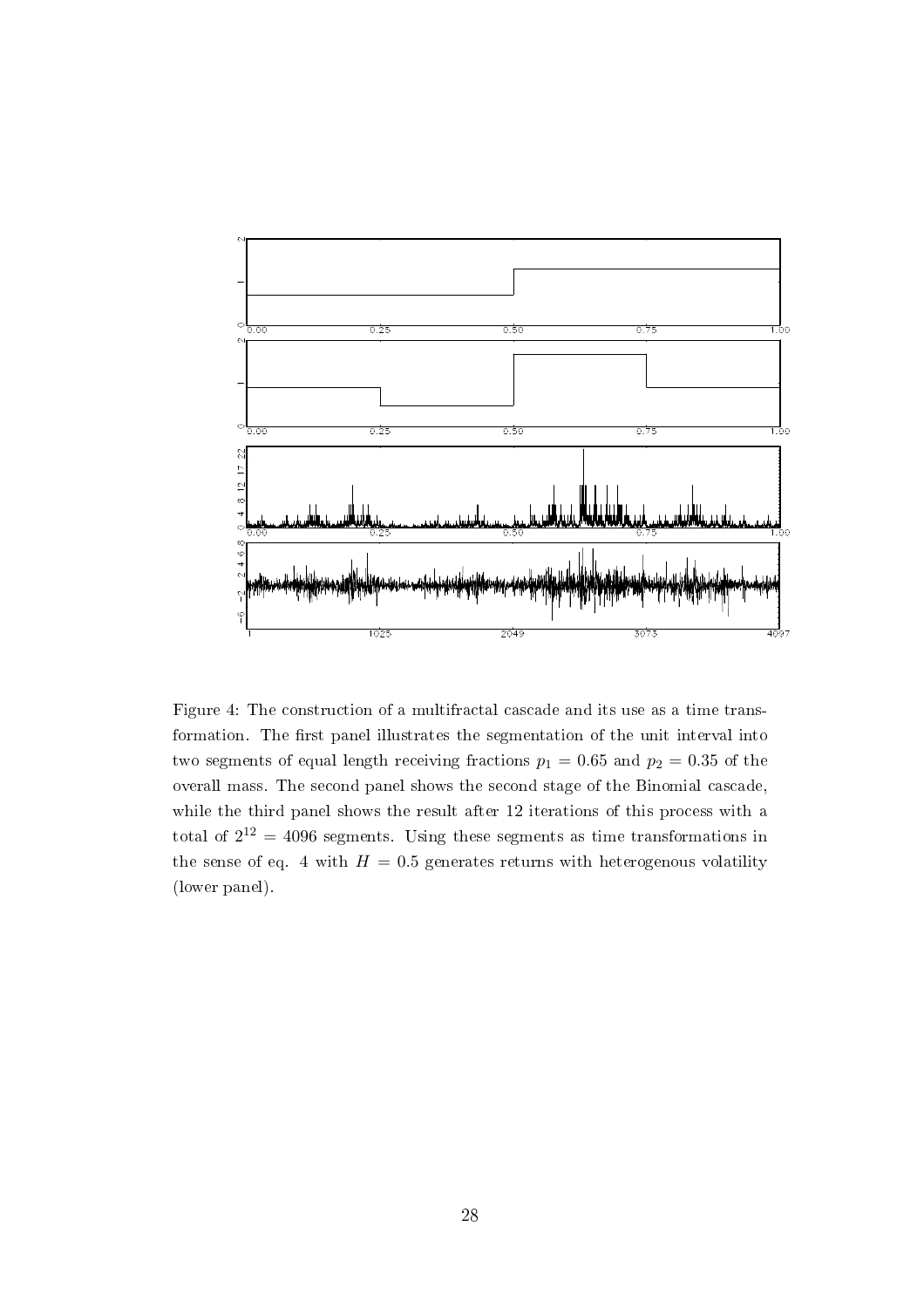

Figure 4: The construction of a multifractal cascade and its use as a time transformation. The first panel illustrates the segmentation of the unit interval into two segments of equal length receiving fractions  $p_1 = 0.65$  and  $p_2 = 0.35$  of the overall mass. The second panel shows the second stage of the Binomial cascade, while the third panel shows the result after 12 iterations of this process with a total of  $2^{12} = 4096$  segments. Using these segments as time transformations in the sense of eq. 4 with  $H = 0.5$  generates returns with heterogenous volatility (lower panel).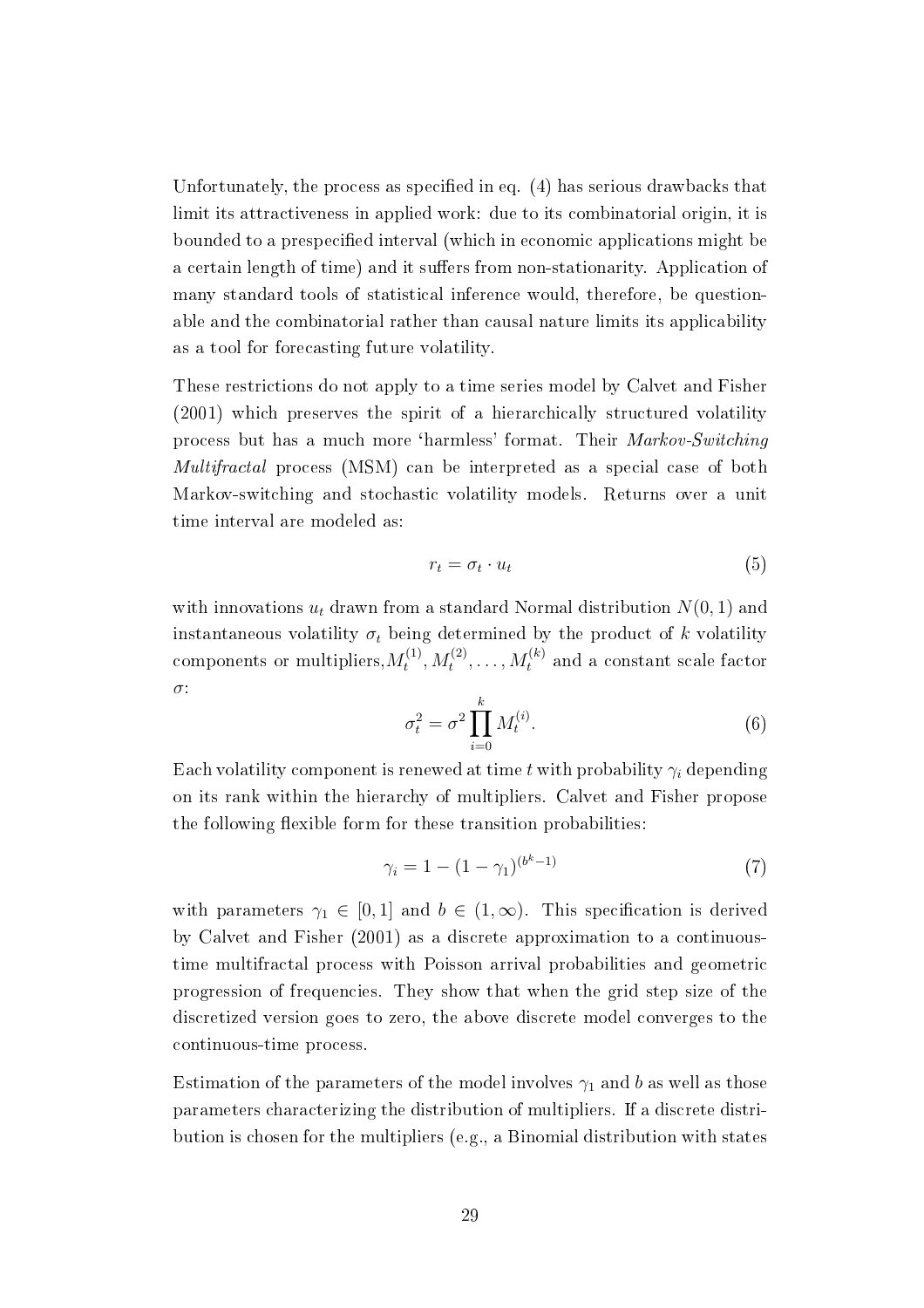Unfortunately, the process as specified in eq.  $(4)$  has serious drawbacks that limit its attractiveness in applied work: due to its combinatorial origin, it is bounded to a prespecified interval (which in economic applications might be a certain length of time) and it suffers from non-stationarity. Application of many standard tools of statistical inference would, therefore, be questionable and the combinatorial rather than causal nature limits its applicability as a tool for forecasting future volatility.

These restrictions do not apply to a time series model by Calvet and Fisher (2001) which preserves the spirit of a hierarchically structured volatility process but has a much more `harmless' format. Their Markov-Switching Multifractal process (MSM) can be interpreted as a special case of both Markov-switching and stochastic volatility models. Returns over a unit time interval are modeled as:

$$
r_t = \sigma_t \cdot u_t \tag{5}
$$

with innovations  $u_t$  drawn from a standard Normal distribution  $N(0, 1)$  and instantaneous volatility  $\sigma_t$  being determined by the product of k volatility components or multipliers, $M_t^{(1)}$  $t^{(1)}_t, M_t^{(2)}, \ldots, M_t^{(k)}$  and a constant scale factor σ:

$$
\sigma_t^2 = \sigma^2 \prod_{i=0}^k M_t^{(i)}.
$$
\n
$$
(6)
$$

Each volatility component is renewed at time t with probability  $\gamma_i$  depending on its rank within the hierarchy of multipliers. Calvet and Fisher propose the following flexible form for these transition probabilities:

$$
\gamma_i = 1 - (1 - \gamma_1)^{(b^k - 1)}\tag{7}
$$

with parameters  $\gamma_1 \in [0,1]$  and  $b \in (1,\infty)$ . This specification is derived by Calvet and Fisher (2001) as a discrete approximation to a continuoustime multifractal process with Poisson arrival probabilities and geometric progression of frequencies. They show that when the grid step size of the discretized version goes to zero, the above discrete model converges to the continuous-time process.

Estimation of the parameters of the model involves  $\gamma_1$  and b as well as those parameters characterizing the distribution of multipliers. If a discrete distribution is chosen for the multipliers (e.g., a Binomial distribution with states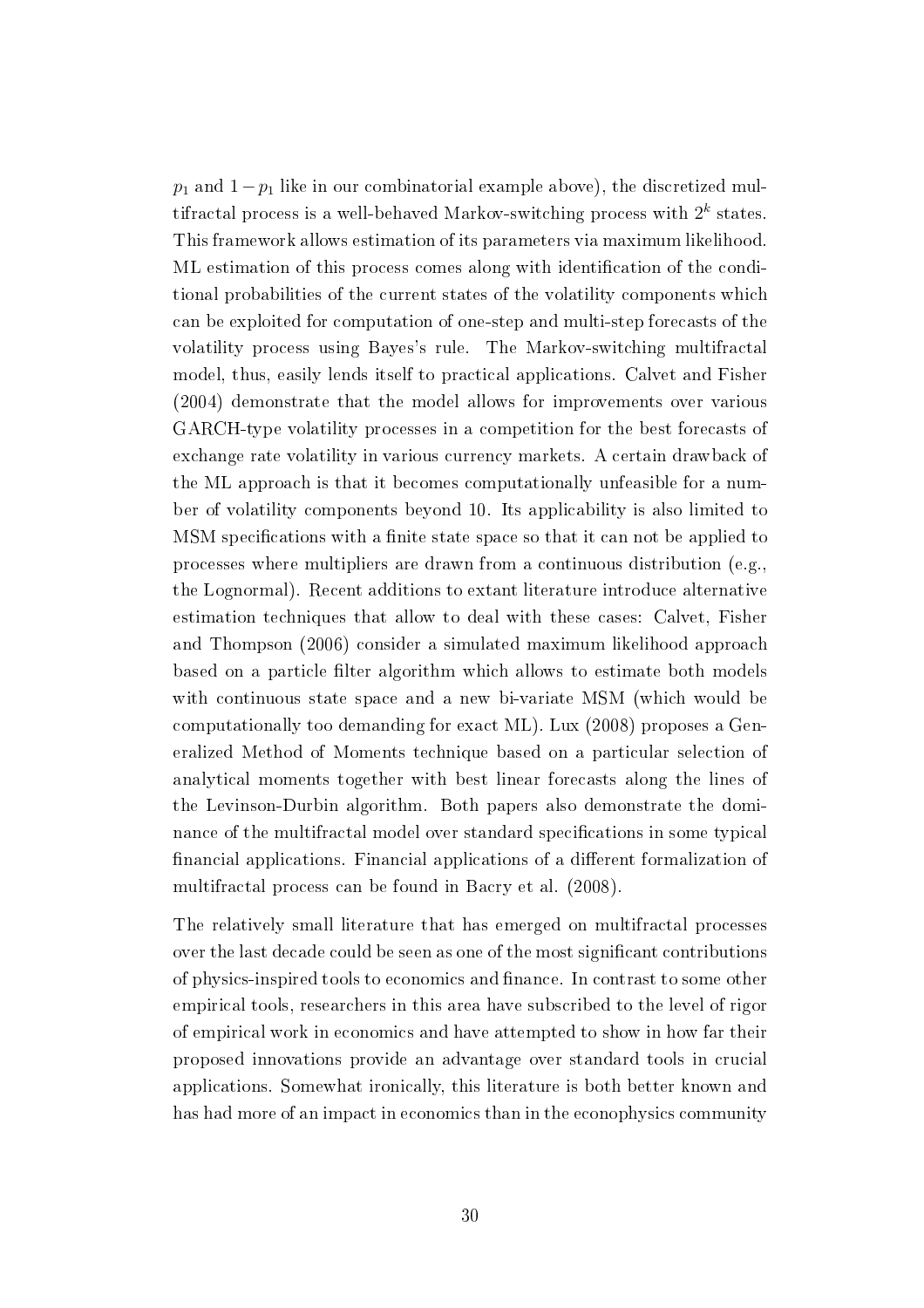$p_1$  and  $1-p_1$  like in our combinatorial example above), the discretized multifractal process is a well-behaved Markov-switching process with  $2^k$  states. This framework allows estimation of its parameters via maximum likelihood. ML estimation of this process comes along with identification of the conditional probabilities of the current states of the volatility components which can be exploited for computation of one-step and multi-step forecasts of the volatility process using Bayes's rule. The Markov-switching multifractal model, thus, easily lends itself to practical applications. Calvet and Fisher (2004) demonstrate that the model allows for improvements over various GARCH-type volatility processes in a competition for the best forecasts of exchange rate volatility in various currency markets. A certain drawback of the ML approach is that it becomes computationally unfeasible for a number of volatility components beyond 10. Its applicability is also limited to MSM specifications with a finite state space so that it can not be applied to processes where multipliers are drawn from a continuous distribution (e.g., the Lognormal). Recent additions to extant literature introduce alternative estimation techniques that allow to deal with these cases: Calvet, Fisher and Thompson (2006) consider a simulated maximum likelihood approach based on a particle filter algorithm which allows to estimate both models with continuous state space and a new bi-variate MSM (which would be computationally too demanding for exact ML). Lux (2008) proposes a Generalized Method of Moments technique based on a particular selection of analytical moments together with best linear forecasts along the lines of the Levinson-Durbin algorithm. Both papers also demonstrate the dominance of the multifractal model over standard specifications in some typical financial applications. Financial applications of a different formalization of multifractal process can be found in Bacry et al. (2008).

The relatively small literature that has emerged on multifractal processes over the last decade could be seen as one of the most signicant contributions of physics-inspired tools to economics and nance. In contrast to some other empirical tools, researchers in this area have subscribed to the level of rigor of empirical work in economics and have attempted to show in how far their proposed innovations provide an advantage over standard tools in crucial applications. Somewhat ironically, this literature is both better known and has had more of an impact in economics than in the econophysics community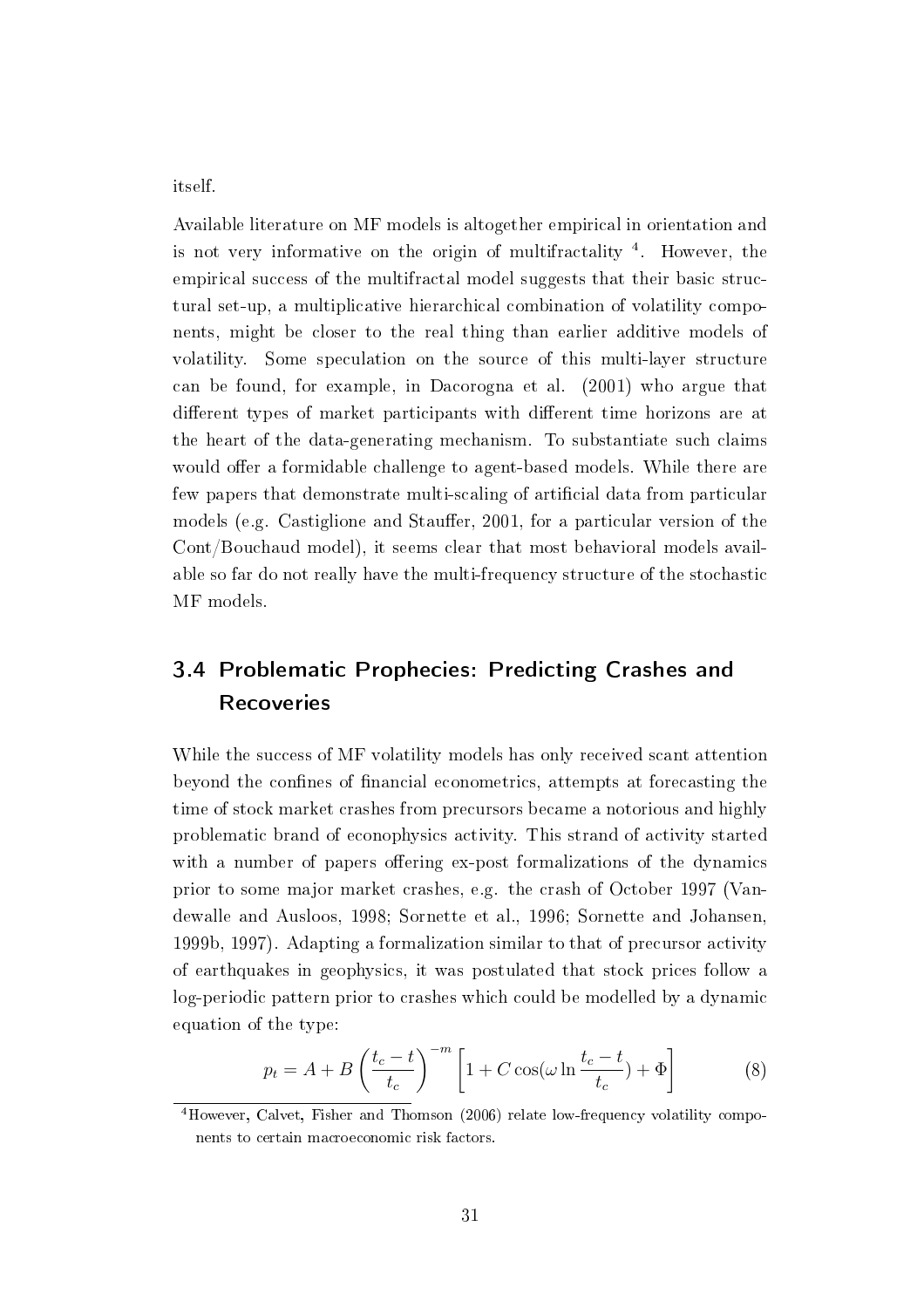itself.

Available literature on MF models is altogether empirical in orientation and is not very informative on the origin of multifractality <sup>4</sup> . However, the empirical success of the multifractal model suggests that their basic structural set-up, a multiplicative hierarchical combination of volatility components, might be closer to the real thing than earlier additive models of volatility. Some speculation on the source of this multi-layer structure can be found, for example, in Dacorogna et al. (2001) who argue that different types of market participants with different time horizons are at the heart of the data-generating mechanism. To substantiate such claims would offer a formidable challenge to agent-based models. While there are few papers that demonstrate multi-scaling of articial data from particular models (e.g. Castiglione and Stauffer, 2001, for a particular version of the Cont/Bouchaud model), it seems clear that most behavioral models available so far do not really have the multi-frequency structure of the stochastic MF models.

## 3.4 Problematic Prophecies: Predicting Crashes and Recoveries

While the success of MF volatility models has only received scant attention beyond the confines of financial econometrics, attempts at forecasting the time of stock market crashes from precursors became a notorious and highly problematic brand of econophysics activity. This strand of activity started with a number of papers offering ex-post formalizations of the dynamics prior to some major market crashes, e.g. the crash of October 1997 (Vandewalle and Ausloos, 1998; Sornette et al., 1996; Sornette and Johansen, 1999b, 1997). Adapting a formalization similar to that of precursor activity of earthquakes in geophysics, it was postulated that stock prices follow a log-periodic pattern prior to crashes which could be modelled by a dynamic equation of the type:

$$
p_t = A + B \left(\frac{t_c - t}{t_c}\right)^{-m} \left[1 + C \cos(\omega \ln \frac{t_c - t}{t_c}) + \Phi\right]
$$
 (8)

<sup>4</sup>However, Calvet, Fisher and Thomson (2006) relate low-frequency volatility components to certain macroeconomic risk factors.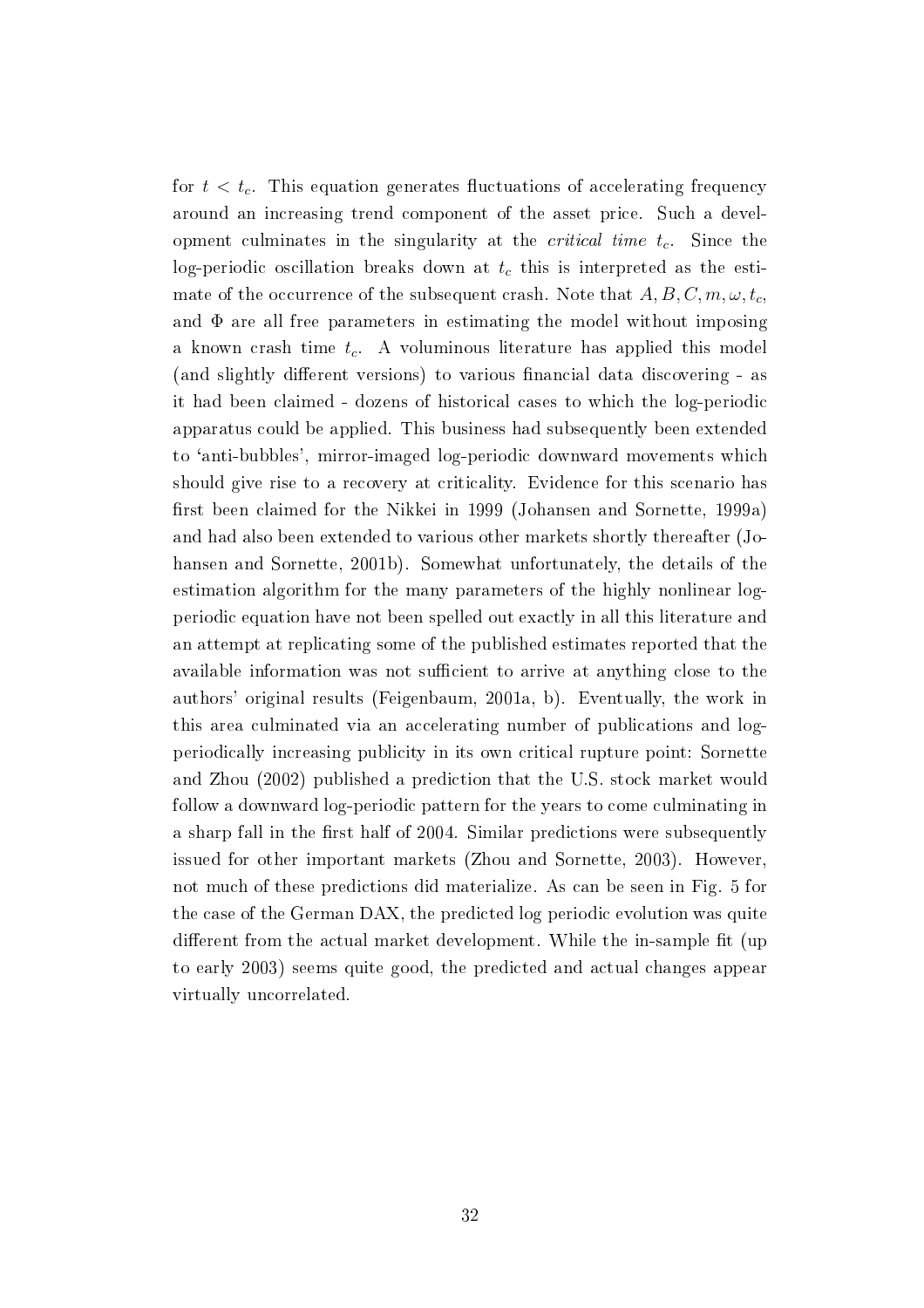for  $t < t_c$ . This equation generates fluctuations of accelerating frequency around an increasing trend component of the asset price. Such a development culminates in the singularity at the *critical time*  $t_c$ . Since the log-periodic oscillation breaks down at  $t_c$  this is interpreted as the estimate of the occurrence of the subsequent crash. Note that  $A, B, C, m, \omega, t_c$ , and  $\Phi$  are all free parameters in estimating the model without imposing a known crash time  $t_c$ . A voluminous literature has applied this model (and slightly different versions) to various financial data discovering - as it had been claimed - dozens of historical cases to which the log-periodic apparatus could be applied. This business had subsequently been extended to `anti-bubbles', mirror-imaged log-periodic downward movements which should give rise to a recovery at criticality. Evidence for this scenario has first been claimed for the Nikkei in 1999 (Johansen and Sornette, 1999a) and had also been extended to various other markets shortly thereafter (Johansen and Sornette, 2001b). Somewhat unfortunately, the details of the estimation algorithm for the many parameters of the highly nonlinear logperiodic equation have not been spelled out exactly in all this literature and an attempt at replicating some of the published estimates reported that the available information was not sufficient to arrive at anything close to the authors' original results (Feigenbaum, 2001a, b). Eventually, the work in this area culminated via an accelerating number of publications and logperiodically increasing publicity in its own critical rupture point: Sornette and Zhou (2002) published a prediction that the U.S. stock market would follow a downward log-periodic pattern for the years to come culminating in a sharp fall in the first half of 2004. Similar predictions were subsequently issued for other important markets (Zhou and Sornette, 2003). However, not much of these predictions did materialize. As can be seen in Fig. 5 for the case of the German DAX, the predicted log periodic evolution was quite different from the actual market development. While the in-sample fit (up to early 2003) seems quite good, the predicted and actual changes appear virtually uncorrelated.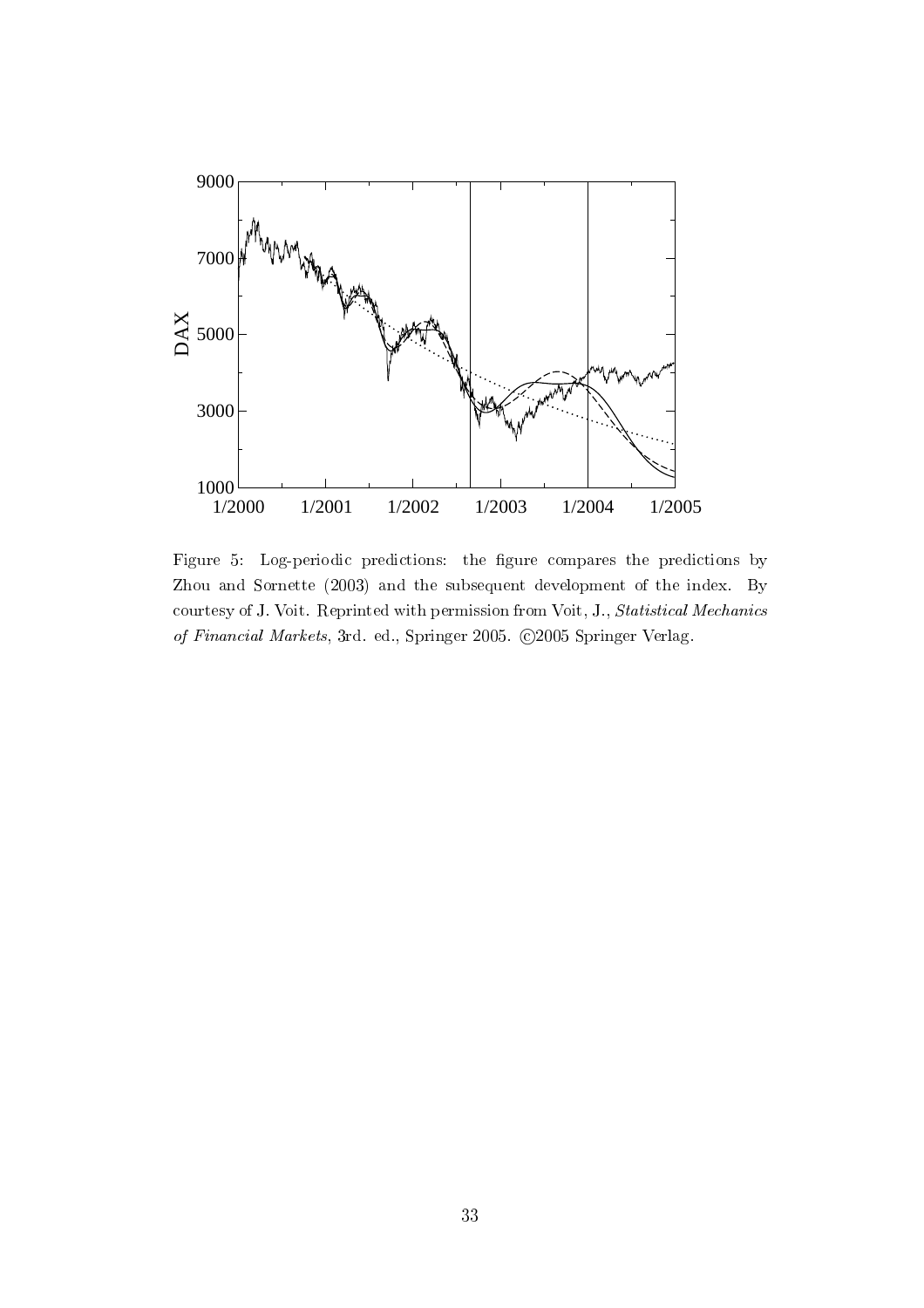

Figure 5: Log-periodic predictions: the figure compares the predictions by Zhou and Sornette (2003) and the subsequent development of the index. By courtesy of J. Voit. Reprinted with permission from Voit, J., Statistical Mechanics of Financial Markets, 3rd. ed., Springer 2005. ©2005 Springer Verlag.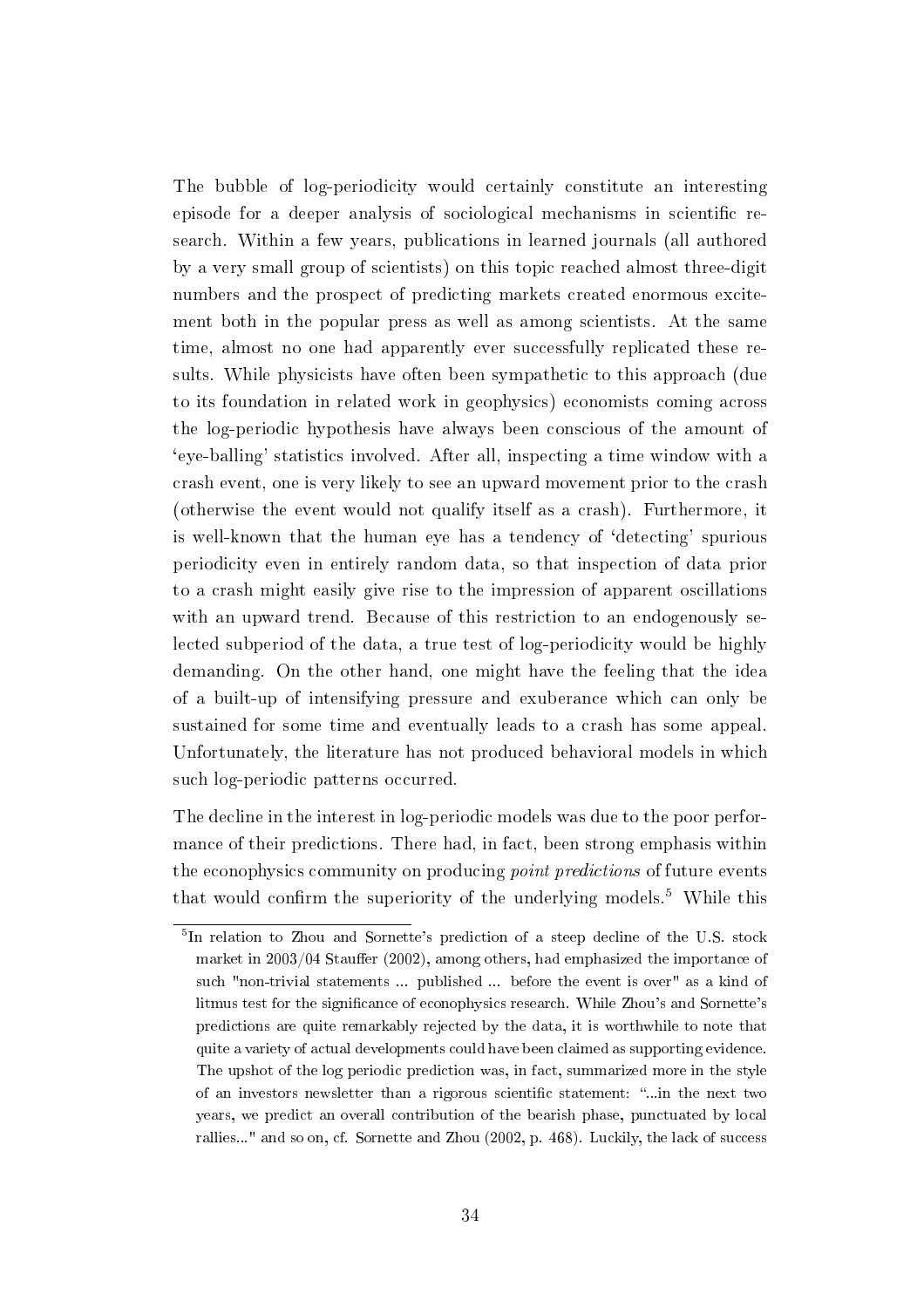The bubble of log-periodicity would certainly constitute an interesting episode for a deeper analysis of sociological mechanisms in scientific research. Within a few years, publications in learned journals (all authored by a very small group of scientists) on this topic reached almost three-digit numbers and the prospect of predicting markets created enormous excitement both in the popular press as well as among scientists. At the same time, almost no one had apparently ever successfully replicated these results. While physicists have often been sympathetic to this approach (due to its foundation in related work in geophysics) economists coming across the log-periodic hypothesis have always been conscious of the amount of `eye-balling' statistics involved. After all, inspecting a time window with a crash event, one is very likely to see an upward movement prior to the crash (otherwise the event would not qualify itself as a crash). Furthermore, it is well-known that the human eye has a tendency of 'detecting' spurious periodicity even in entirely random data, so that inspection of data prior to a crash might easily give rise to the impression of apparent oscillations with an upward trend. Because of this restriction to an endogenously selected subperiod of the data, a true test of log-periodicity would be highly demanding. On the other hand, one might have the feeling that the idea of a built-up of intensifying pressure and exuberance which can only be sustained for some time and eventually leads to a crash has some appeal. Unfortunately, the literature has not produced behavioral models in which such log-periodic patterns occurred.

The decline in the interest in log-periodic models was due to the poor performance of their predictions. There had, in fact, been strong emphasis within the econophysics community on producing point predictions of future events that would confirm the superiority of the underlying models.<sup>5</sup> While this

<sup>&</sup>lt;sup>5</sup>In relation to Zhou and Sornette's prediction of a steep decline of the U.S. stock market in  $2003/04$  Stauffer (2002), among others, had emphasized the importance of such "non-trivial statements ... published ... before the event is over" as a kind of litmus test for the signicance of econophysics research. While Zhou's and Sornette's predictions are quite remarkably rejected by the data, it is worthwhile to note that quite a variety of actual developments could have been claimed as supporting evidence. The upshot of the log periodic prediction was, in fact, summarized more in the style of an investors newsletter than a rigorous scientific statement: "...in the next two years, we predict an overall contribution of the bearish phase, punctuated by local rallies..." and so on, cf. Sornette and Zhou (2002, p. 468). Luckily, the lack of success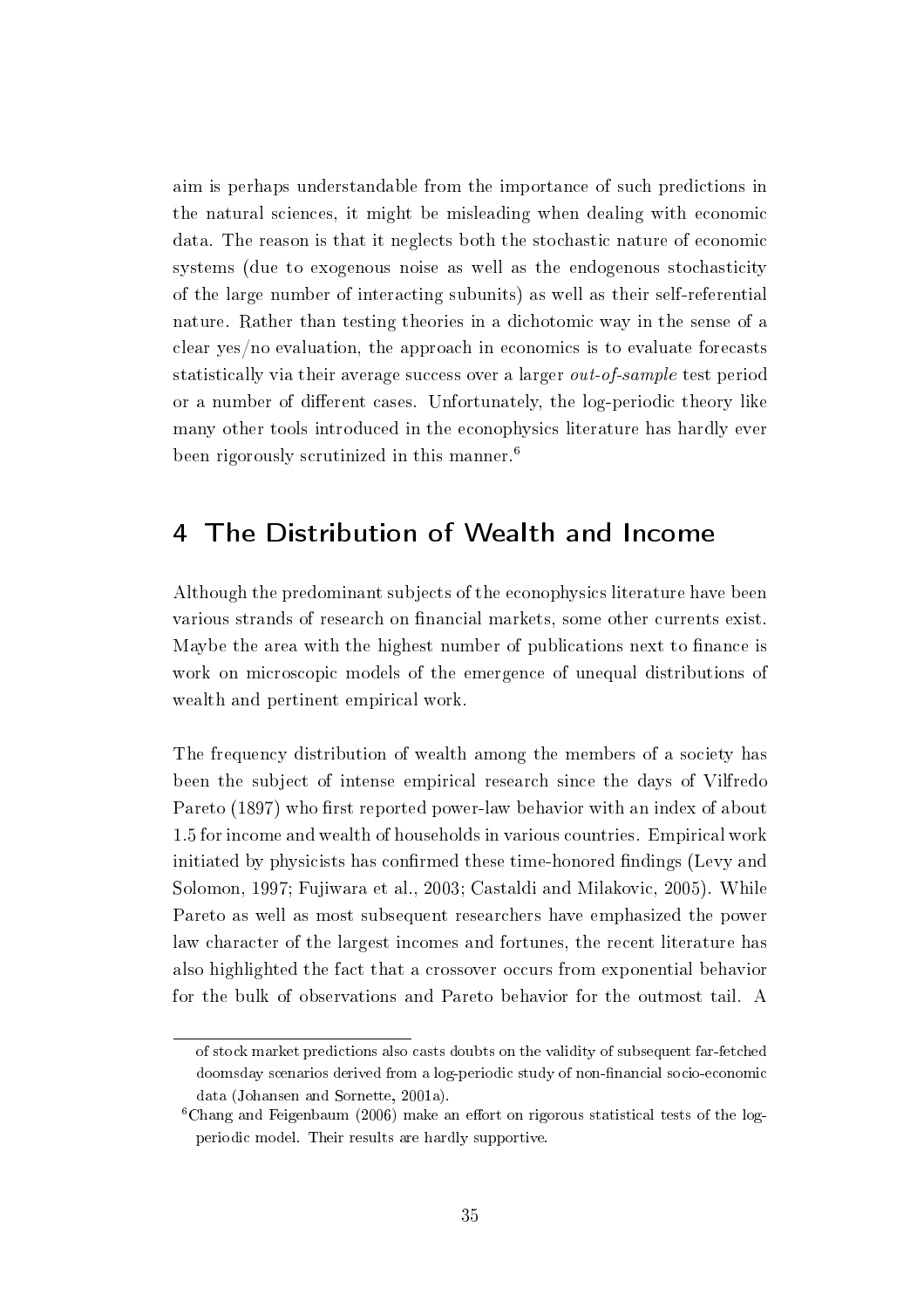aim is perhaps understandable from the importance of such predictions in the natural sciences, it might be misleading when dealing with economic data. The reason is that it neglects both the stochastic nature of economic systems (due to exogenous noise as well as the endogenous stochasticity of the large number of interacting subunits) as well as their self-referential nature. Rather than testing theories in a dichotomic way in the sense of a clear yes/no evaluation, the approach in economics is to evaluate forecasts statistically via their average success over a larger out-of-sample test period or a number of different cases. Unfortunately, the log-periodic theory like many other tools introduced in the econophysics literature has hardly ever been rigorously scrutinized in this manner.<sup>6</sup>

## 4 The Distribution of Wealth and Income

Although the predominant subjects of the econophysics literature have been various strands of research on financial markets, some other currents exist. Maybe the area with the highest number of publications next to finance is work on microscopic models of the emergence of unequal distributions of wealth and pertinent empirical work.

The frequency distribution of wealth among the members of a society has been the subject of intense empirical research since the days of Vilfredo Pareto (1897) who first reported power-law behavior with an index of about 1.5 for income and wealth of households in various countries. Empirical work initiated by physicists has confirmed these time-honored findings (Levy and Solomon, 1997; Fujiwara et al., 2003; Castaldi and Milakovic, 2005). While Pareto as well as most subsequent researchers have emphasized the power law character of the largest incomes and fortunes, the recent literature has also highlighted the fact that a crossover occurs from exponential behavior for the bulk of observations and Pareto behavior for the outmost tail. A

of stock market predictions also casts doubts on the validity of subsequent far-fetched doomsday scenarios derived from a log-periodic study of non-financial socio-economic data (Johansen and Sornette, 2001a).

 $6$ Chang and Feigenbaum (2006) make an effort on rigorous statistical tests of the logperiodic model. Their results are hardly supportive.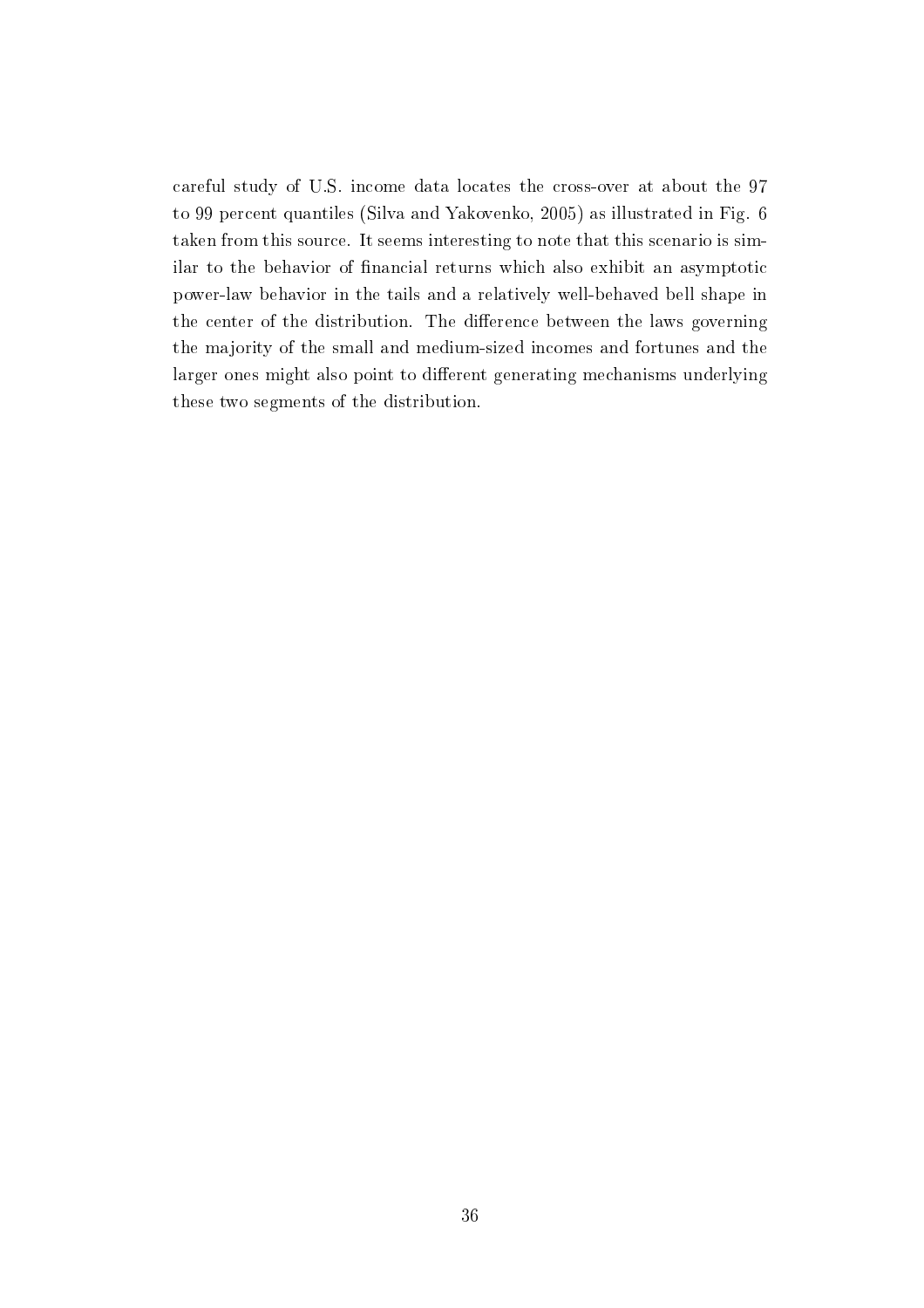careful study of U.S. income data locates the cross-over at about the 97 to 99 percent quantiles (Silva and Yakovenko, 2005) as illustrated in Fig. 6 taken from this source. It seems interesting to note that this scenario is similar to the behavior of financial returns which also exhibit an asymptotic power-law behavior in the tails and a relatively well-behaved bell shape in the center of the distribution. The difference between the laws governing the majority of the small and medium-sized incomes and fortunes and the larger ones might also point to different generating mechanisms underlying these two segments of the distribution.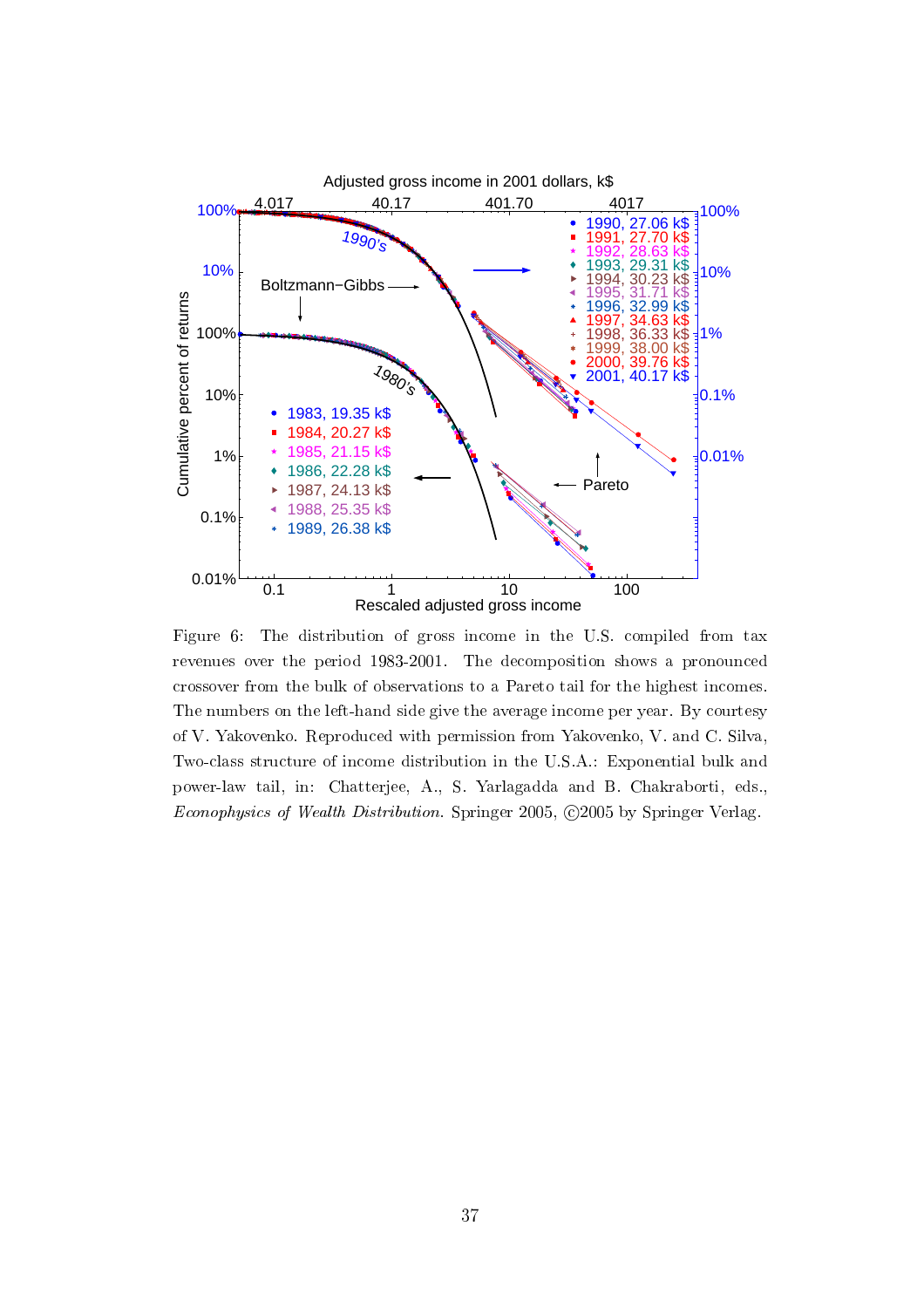

Figure 6: The distribution of gross income in the U.S. compiled from tax revenues over the period 1983-2001. The decomposition shows a pronounced crossover from the bulk of observations to a Pareto tail for the highest incomes. The numbers on the left-hand side give the average income per year. By courtesy of V. Yakovenko. Reproduced with permission from Yakovenko, V. and C. Silva, Two-class structure of income distribution in the U.S.A.: Exponential bulk and power-law tail, in: Chatterjee, A., S. Yarlagadda and B. Chakraborti, eds., Econophysics of Wealth Distribution. Springer 2005, ©2005 by Springer Verlag.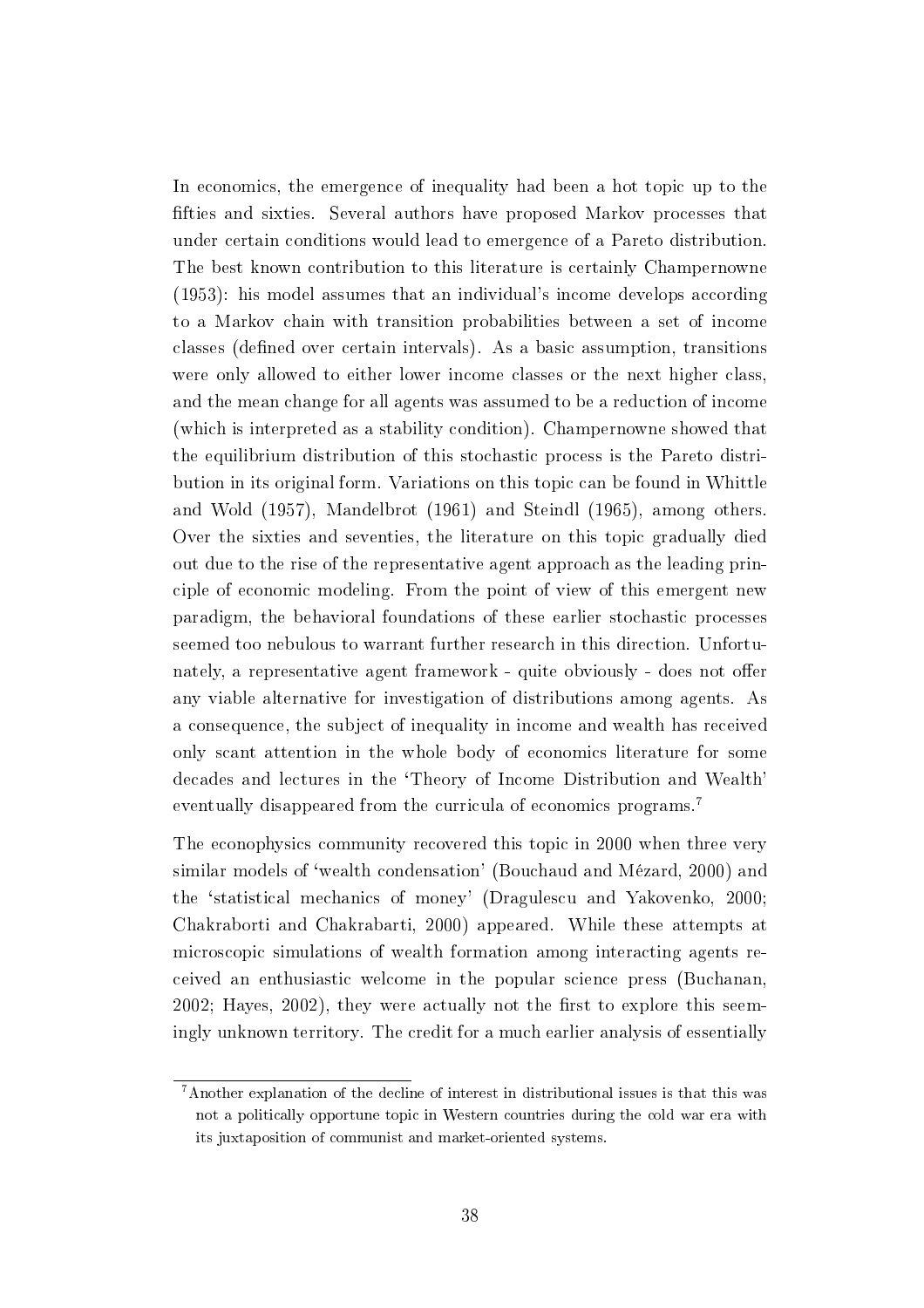In economics, the emergence of inequality had been a hot topic up to the fties and sixties. Several authors have proposed Markov processes that under certain conditions would lead to emergence of a Pareto distribution. The best known contribution to this literature is certainly Champernowne (1953): his model assumes that an individual's income develops according to a Markov chain with transition probabilities between a set of income classes (defined over certain intervals). As a basic assumption, transitions were only allowed to either lower income classes or the next higher class, and the mean change for all agents was assumed to be a reduction of income (which is interpreted as a stability condition). Champernowne showed that the equilibrium distribution of this stochastic process is the Pareto distribution in its original form. Variations on this topic can be found in Whittle and Wold (1957), Mandelbrot (1961) and Steindl (1965), among others. Over the sixties and seventies, the literature on this topic gradually died out due to the rise of the representative agent approach as the leading principle of economic modeling. From the point of view of this emergent new paradigm, the behavioral foundations of these earlier stochastic processes seemed too nebulous to warrant further research in this direction. Unfortunately, a representative agent framework - quite obviously - does not offer any viable alternative for investigation of distributions among agents. As a consequence, the subject of inequality in income and wealth has received only scant attention in the whole body of economics literature for some decades and lectures in the `Theory of Income Distribution and Wealth' eventually disappeared from the curricula of economics programs.<sup>7</sup>

The econophysics community recovered this topic in 2000 when three very similar models of `wealth condensation' (Bouchaud and Mézard, 2000) and the `statistical mechanics of money' (Dragulescu and Yakovenko, 2000; Chakraborti and Chakrabarti, 2000) appeared. While these attempts at microscopic simulations of wealth formation among interacting agents received an enthusiastic welcome in the popular science press (Buchanan,  $2002$ ; Hayes,  $2002$ ), they were actually not the first to explore this seemingly unknown territory. The credit for a much earlier analysis of essentially

<sup>7</sup>Another explanation of the decline of interest in distributional issues is that this was not a politically opportune topic in Western countries during the cold war era with its juxtaposition of communist and market-oriented systems.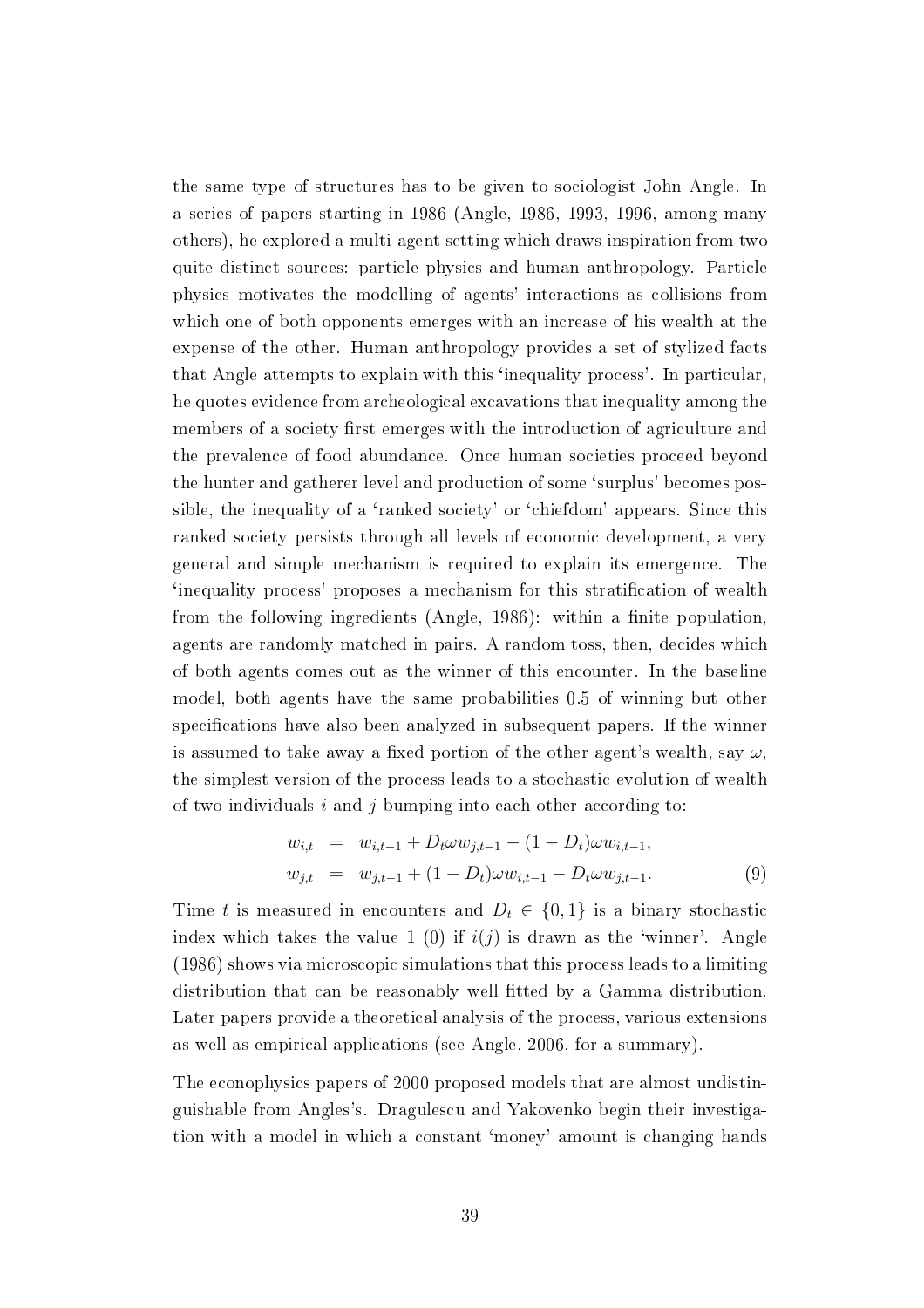the same type of structures has to be given to sociologist John Angle. In a series of papers starting in 1986 (Angle, 1986, 1993, 1996, among many others), he explored a multi-agent setting which draws inspiration from two quite distinct sources: particle physics and human anthropology. Particle physics motivates the modelling of agents' interactions as collisions from which one of both opponents emerges with an increase of his wealth at the expense of the other. Human anthropology provides a set of stylized facts that Angle attempts to explain with this `inequality process'. In particular, he quotes evidence from archeological excavations that inequality among the members of a society first emerges with the introduction of agriculture and the prevalence of food abundance. Once human societies proceed beyond the hunter and gatherer level and production of some 'surplus' becomes possible, the inequality of a 'ranked society' or 'chiefdom' appears. Since this ranked society persists through all levels of economic development, a very general and simple mechanism is required to explain its emergence. The 'inequality process' proposes a mechanism for this stratification of wealth from the following ingredients (Angle,  $1986$ ): within a finite population, agents are randomly matched in pairs. A random toss, then, decides which of both agents comes out as the winner of this encounter. In the baseline model, both agents have the same probabilities 0.5 of winning but other specifications have also been analyzed in subsequent papers. If the winner is assumed to take away a fixed portion of the other agent's wealth, say  $\omega$ , the simplest version of the process leads to a stochastic evolution of wealth of two individuals i and j bumping into each other according to:

$$
w_{i,t} = w_{i,t-1} + D_t \omega w_{j,t-1} - (1 - D_t) \omega w_{i,t-1},
$$
  
\n
$$
w_{j,t} = w_{j,t-1} + (1 - D_t) \omega w_{i,t-1} - D_t \omega w_{j,t-1}.
$$
\n(9)

Time t is measured in encounters and  $D_t \in \{0,1\}$  is a binary stochastic index which takes the value 1 (0) if  $i(j)$  is drawn as the 'winner'. Angle (1986) shows via microscopic simulations that this process leads to a limiting distribution that can be reasonably well tted by a Gamma distribution. Later papers provide a theoretical analysis of the process, various extensions as well as empirical applications (see Angle, 2006, for a summary).

The econophysics papers of 2000 proposed models that are almost undistinguishable from Angles's. Dragulescu and Yakovenko begin their investigation with a model in which a constant `money' amount is changing hands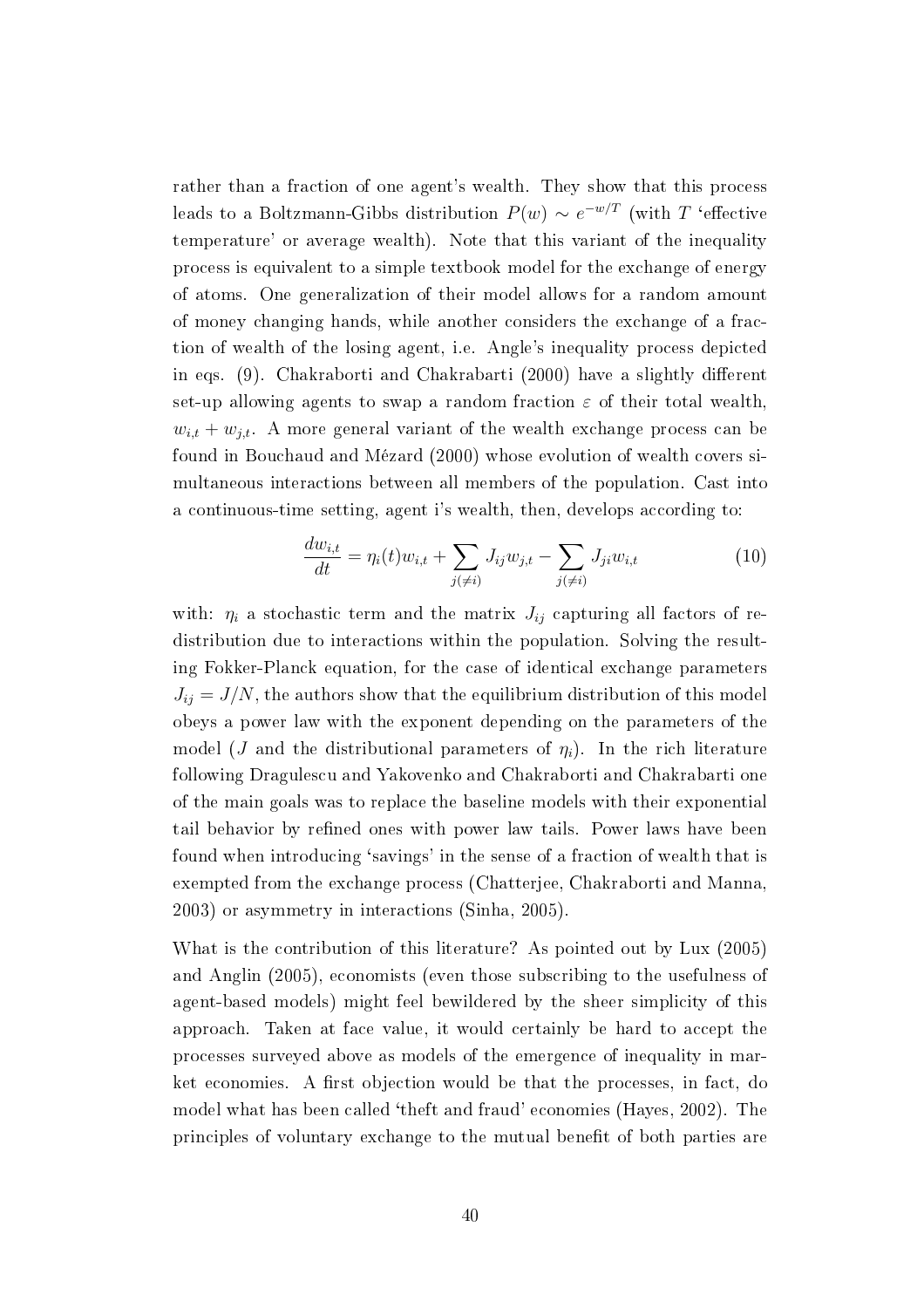rather than a fraction of one agent's wealth. They show that this process leads to a Boltzmann-Gibbs distribution  $P(w) \sim e^{-w/T}$  (with T 'effective temperature' or average wealth). Note that this variant of the inequality process is equivalent to a simple textbook model for the exchange of energy of atoms. One generalization of their model allows for a random amount of money changing hands, while another considers the exchange of a fraction of wealth of the losing agent, i.e. Angle's inequality process depicted in eqs.  $(9)$ . Chakraborti and Chakrabarti  $(2000)$  have a slightly different set-up allowing agents to swap a random fraction  $\varepsilon$  of their total wealth,  $w_{i,t} + w_{j,t}$ . A more general variant of the wealth exchange process can be found in Bouchaud and Mézard (2000) whose evolution of wealth covers simultaneous interactions between all members of the population. Cast into a continuous-time setting, agent i's wealth, then, develops according to:

$$
\frac{dw_{i,t}}{dt} = \eta_i(t)w_{i,t} + \sum_{j(\neq i)} J_{ij}w_{j,t} - \sum_{j(\neq i)} J_{ji}w_{i,t}
$$
\n(10)

with:  $\eta_i$  a stochastic term and the matrix  $J_{ij}$  capturing all factors of redistribution due to interactions within the population. Solving the resulting Fokker-Planck equation, for the case of identical exchange parameters  $J_{ij} = J/N$ , the authors show that the equilibrium distribution of this model obeys a power law with the exponent depending on the parameters of the model (J and the distributional parameters of  $\eta_i$ ). In the rich literature following Dragulescu and Yakovenko and Chakraborti and Chakrabarti one of the main goals was to replace the baseline models with their exponential tail behavior by refined ones with power law tails. Power laws have been found when introducing 'savings' in the sense of a fraction of wealth that is exempted from the exchange process (Chatterjee, Chakraborti and Manna, 2003) or asymmetry in interactions (Sinha, 2005).

What is the contribution of this literature? As pointed out by Lux (2005) and Anglin (2005), economists (even those subscribing to the usefulness of agent-based models) might feel bewildered by the sheer simplicity of this approach. Taken at face value, it would certainly be hard to accept the processes surveyed above as models of the emergence of inequality in market economies. A first objection would be that the processes, in fact, do model what has been called `theft and fraud' economies (Hayes, 2002). The principles of voluntary exchange to the mutual benefit of both parties are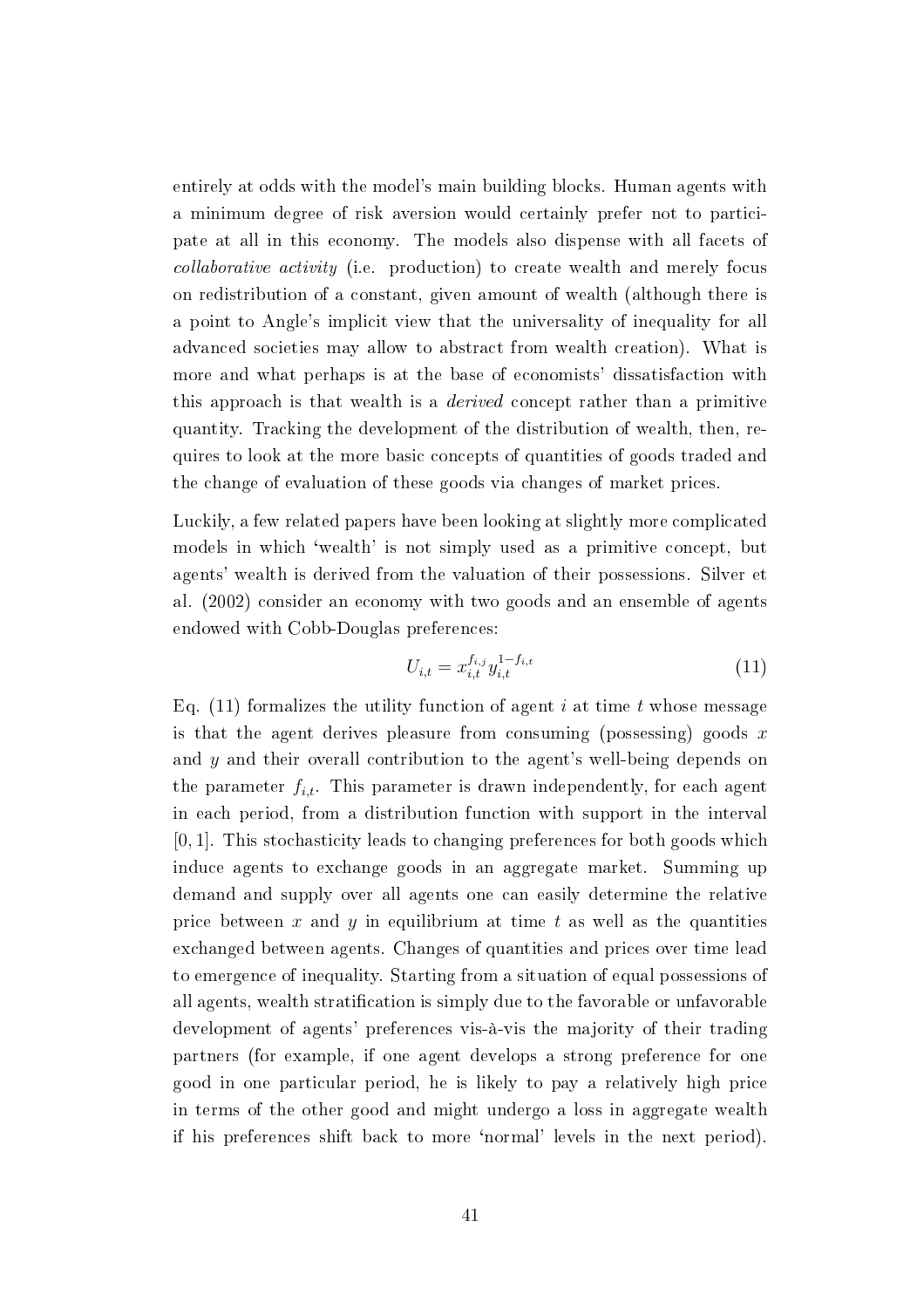entirely at odds with the model's main building blocks. Human agents with a minimum degree of risk aversion would certainly prefer not to participate at all in this economy. The models also dispense with all facets of collaborative activity (i.e. production) to create wealth and merely focus on redistribution of a constant, given amount of wealth (although there is a point to Angle's implicit view that the universality of inequality for all advanced societies may allow to abstract from wealth creation). What is more and what perhaps is at the base of economists' dissatisfaction with this approach is that wealth is a derived concept rather than a primitive quantity. Tracking the development of the distribution of wealth, then, requires to look at the more basic concepts of quantities of goods traded and the change of evaluation of these goods via changes of market prices.

Luckily, a few related papers have been looking at slightly more complicated models in which 'wealth' is not simply used as a primitive concept, but agents' wealth is derived from the valuation of their possessions. Silver et al. (2002) consider an economy with two goods and an ensemble of agents endowed with Cobb-Douglas preferences:

$$
U_{i,t} = x_{i,t}^{f_{i,j}} y_{i,t}^{1-f_{i,t}}
$$
\n(11)

Eq. (11) formalizes the utility function of agent  $i$  at time  $t$  whose message is that the agent derives pleasure from consuming (possessing) goods  $x$ and  $\gamma$  and their overall contribution to the agent's well-being depends on the parameter  $f_{i,t}$ . This parameter is drawn independently, for each agent in each period, from a distribution function with support in the interval  $[0, 1]$ . This stochasticity leads to changing preferences for both goods which induce agents to exchange goods in an aggregate market. Summing up demand and supply over all agents one can easily determine the relative price between x and y in equilibrium at time t as well as the quantities exchanged between agents. Changes of quantities and prices over time lead to emergence of inequality. Starting from a situation of equal possessions of all agents, wealth stratification is simply due to the favorable or unfavorable development of agents' preferences vis-à-vis the majority of their trading partners (for example, if one agent develops a strong preference for one good in one particular period, he is likely to pay a relatively high price in terms of the other good and might undergo a loss in aggregate wealth if his preferences shift back to more `normal' levels in the next period).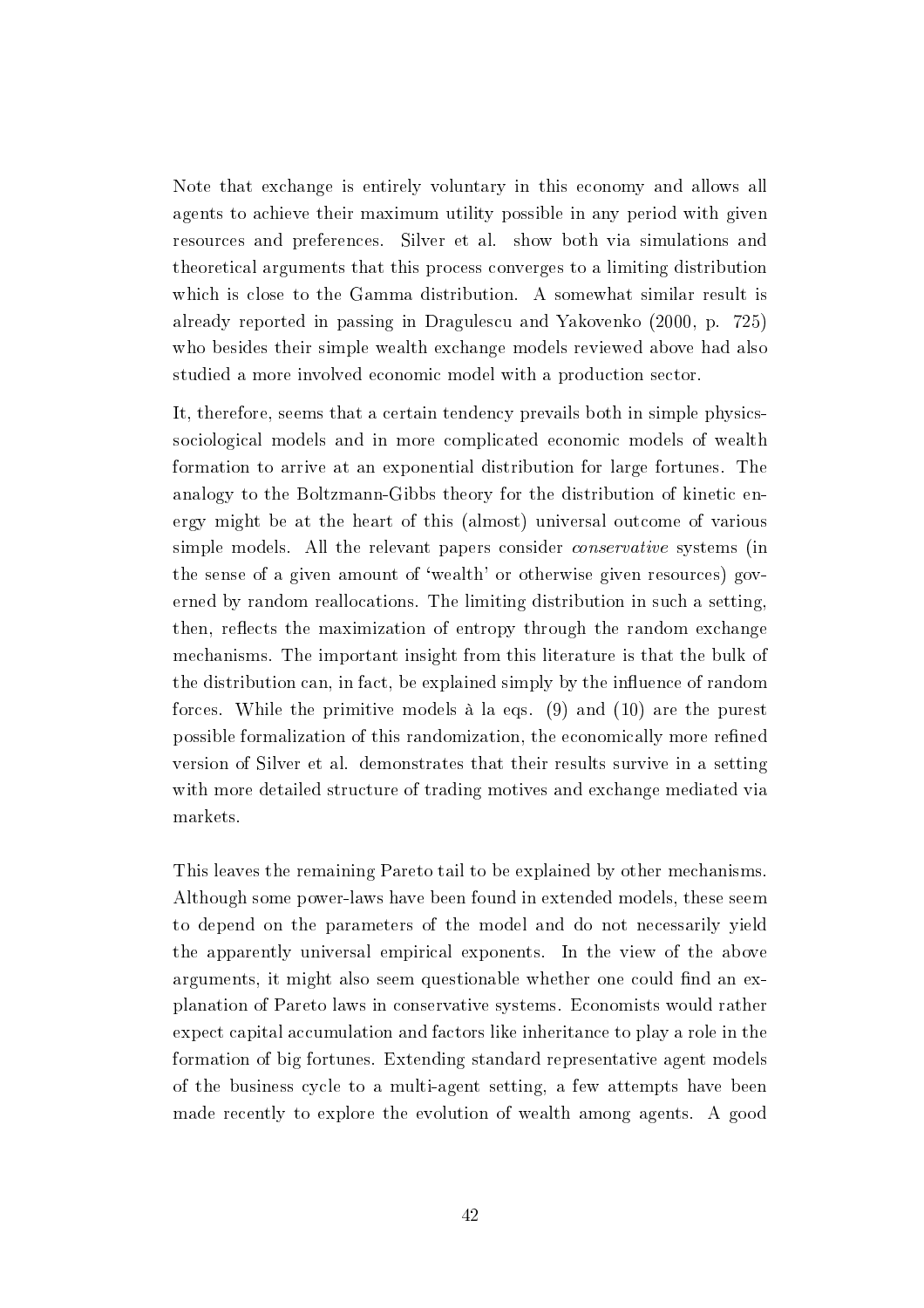Note that exchange is entirely voluntary in this economy and allows all agents to achieve their maximum utility possible in any period with given resources and preferences. Silver et al. show both via simulations and theoretical arguments that this process converges to a limiting distribution which is close to the Gamma distribution. A somewhat similar result is already reported in passing in Dragulescu and Yakovenko (2000, p. 725) who besides their simple wealth exchange models reviewed above had also studied a more involved economic model with a production sector.

It, therefore, seems that a certain tendency prevails both in simple physicssociological models and in more complicated economic models of wealth formation to arrive at an exponential distribution for large fortunes. The analogy to the Boltzmann-Gibbs theory for the distribution of kinetic energy might be at the heart of this (almost) universal outcome of various simple models. All the relevant papers consider conservative systems (in the sense of a given amount of `wealth' or otherwise given resources) governed by random reallocations. The limiting distribution in such a setting, then, reflects the maximization of entropy through the random exchange mechanisms. The important insight from this literature is that the bulk of the distribution can, in fact, be explained simply by the influence of random forces. While the primitive models à la eqs. (9) and (10) are the purest possible formalization of this randomization, the economically more rened version of Silver et al. demonstrates that their results survive in a setting with more detailed structure of trading motives and exchange mediated via markets.

This leaves the remaining Pareto tail to be explained by other mechanisms. Although some power-laws have been found in extended models, these seem to depend on the parameters of the model and do not necessarily yield the apparently universal empirical exponents. In the view of the above arguments, it might also seem questionable whether one could find an explanation of Pareto laws in conservative systems. Economists would rather expect capital accumulation and factors like inheritance to play a role in the formation of big fortunes. Extending standard representative agent models of the business cycle to a multi-agent setting, a few attempts have been made recently to explore the evolution of wealth among agents. A good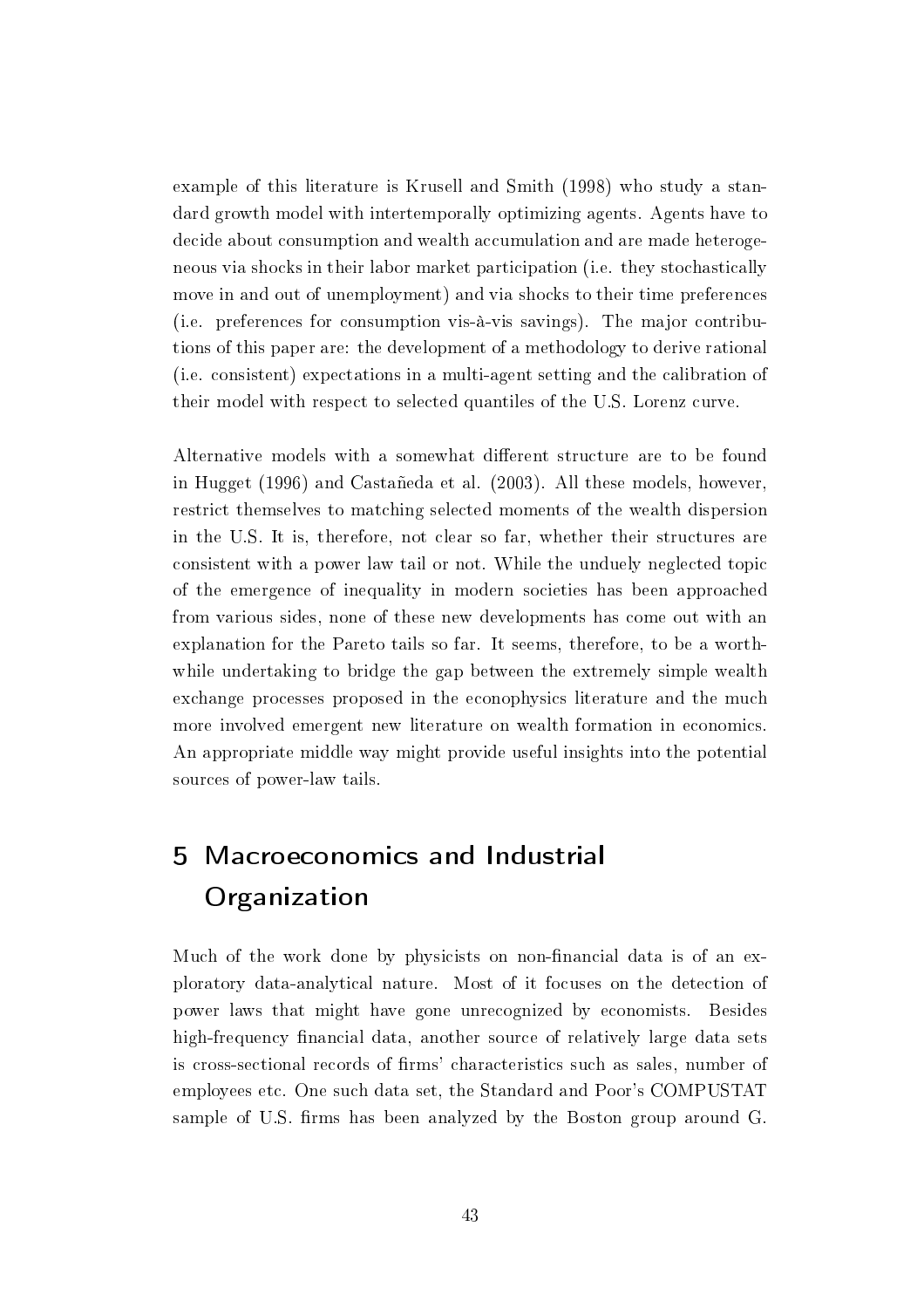example of this literature is Krusell and Smith (1998) who study a standard growth model with intertemporally optimizing agents. Agents have to decide about consumption and wealth accumulation and are made heterogeneous via shocks in their labor market participation (i.e. they stochastically move in and out of unemployment) and via shocks to their time preferences (i.e. preferences for consumption vis-à-vis savings). The major contributions of this paper are: the development of a methodology to derive rational (i.e. consistent) expectations in a multi-agent setting and the calibration of their model with respect to selected quantiles of the U.S. Lorenz curve.

Alternative models with a somewhat different structure are to be found in Hugget (1996) and Castañeda et al. (2003). All these models, however, restrict themselves to matching selected moments of the wealth dispersion in the U.S. It is, therefore, not clear so far, whether their structures are consistent with a power law tail or not. While the unduely neglected topic of the emergence of inequality in modern societies has been approached from various sides, none of these new developments has come out with an explanation for the Pareto tails so far. It seems, therefore, to be a worthwhile undertaking to bridge the gap between the extremely simple wealth exchange processes proposed in the econophysics literature and the much more involved emergent new literature on wealth formation in economics. An appropriate middle way might provide useful insights into the potential sources of power-law tails.

## 5 Macroeconomics and Industrial **Organization**

Much of the work done by physicists on non-financial data is of an exploratory data-analytical nature. Most of it focuses on the detection of power laws that might have gone unrecognized by economists. Besides high-frequency financial data, another source of relatively large data sets is cross-sectional records of firms' characteristics such as sales, number of employees etc. One such data set, the Standard and Poor's COMPUSTAT sample of U.S. firms has been analyzed by the Boston group around G.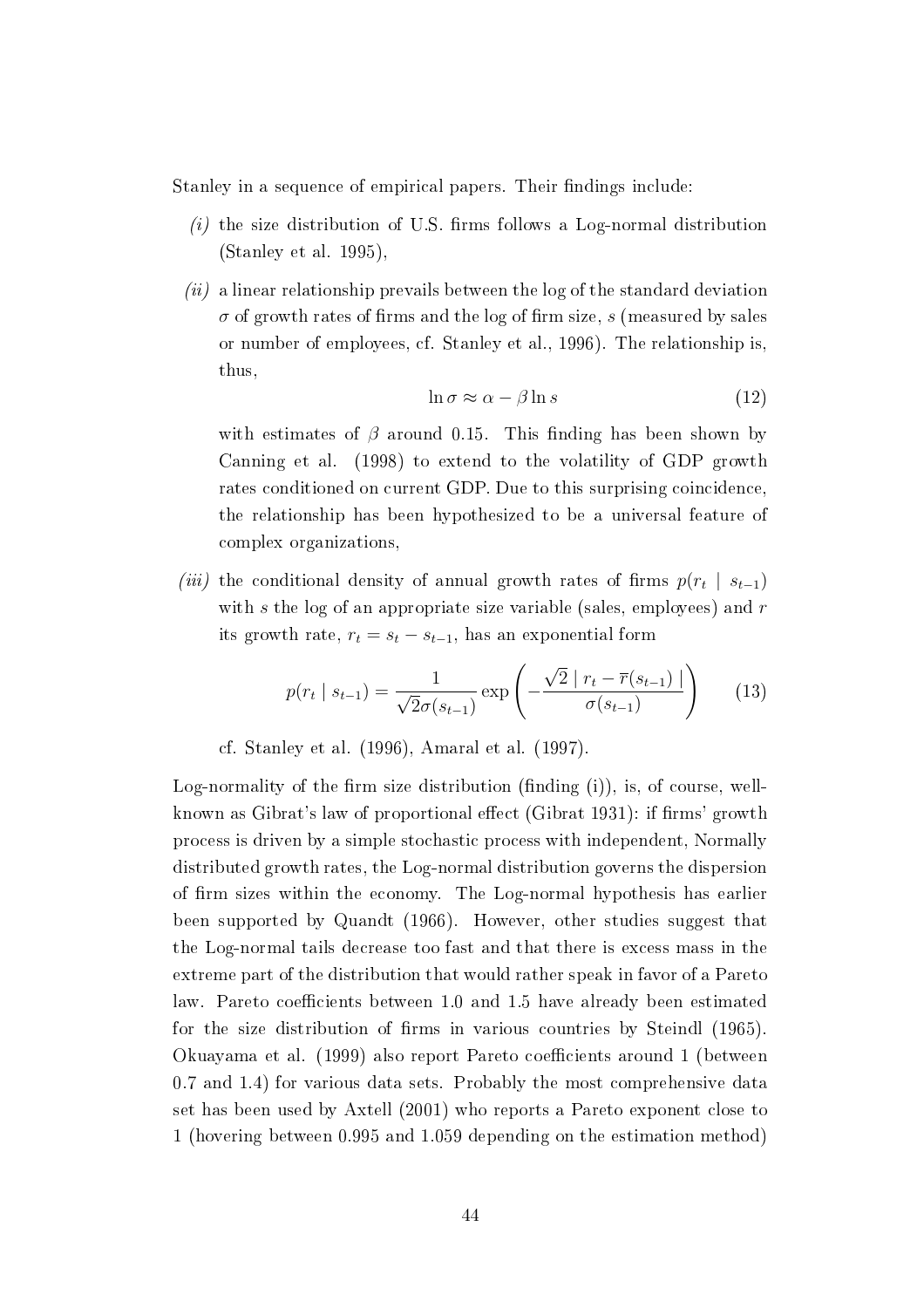Stanley in a sequence of empirical papers. Their findings include:

- $(i)$  the size distribution of U.S. firms follows a Log-normal distribution (Stanley et al. 1995),
- $(iii)$  a linear relationship prevails between the log of the standard deviation  $\sigma$  of growth rates of firms and the log of firm size, s (measured by sales or number of employees, cf. Stanley et al., 1996). The relationship is, thus,

$$
\ln \sigma \approx \alpha - \beta \ln s \tag{12}
$$

with estimates of  $\beta$  around 0.15. This finding has been shown by Canning et al. (1998) to extend to the volatility of GDP growth rates conditioned on current GDP. Due to this surprising coincidence, the relationship has been hypothesized to be a universal feature of complex organizations,

(iii) the conditional density of annual growth rates of firms  $p(r_t | s_{t-1})$ with s the log of an appropriate size variable (sales, employees) and  $r$ its growth rate,  $r_t = s_t - s_{t-1}$ , has an exponential form

$$
p(r_t | s_{t-1}) = \frac{1}{\sqrt{2}\sigma(s_{t-1})} \exp\left(-\frac{\sqrt{2} |r_t - \overline{r}(s_{t-1})|}{\sigma(s_{t-1})}\right) \tag{13}
$$

cf. Stanley et al. (1996), Amaral et al. (1997).

Log-normality of the firm size distribution (finding  $(i)$ ), is, of course, wellknown as Gibrat's law of proportional effect (Gibrat 1931): if firms' growth process is driven by a simple stochastic process with independent, Normally distributed growth rates, the Log-normal distribution governs the dispersion of firm sizes within the economy. The Log-normal hypothesis has earlier been supported by Quandt (1966). However, other studies suggest that the Log-normal tails decrease too fast and that there is excess mass in the extreme part of the distribution that would rather speak in favor of a Pareto law. Pareto coefficients between 1.0 and 1.5 have already been estimated for the size distribution of firms in various countries by Steindl  $(1965)$ . Okuayama et al. (1999) also report Pareto coefficients around 1 (between 0.7 and 1.4) for various data sets. Probably the most comprehensive data set has been used by Axtell (2001) who reports a Pareto exponent close to 1 (hovering between 0.995 and 1.059 depending on the estimation method)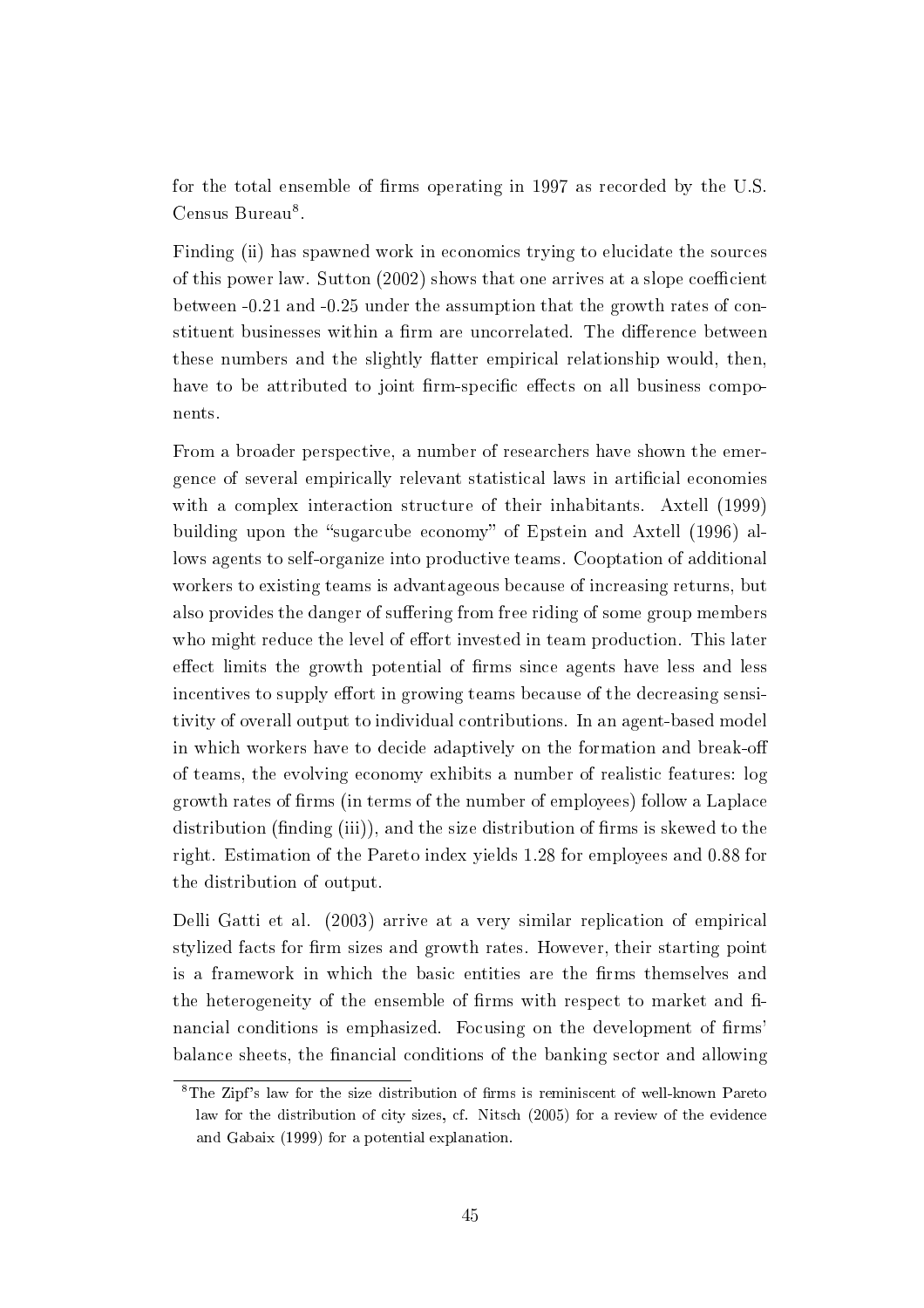for the total ensemble of firms operating in  $1997$  as recorded by the U.S. Census Bureau<sup>8</sup>.

Finding (ii) has spawned work in economics trying to elucidate the sources of this power law. Sutton  $(2002)$  shows that one arrives at a slope coefficient between -0.21 and -0.25 under the assumption that the growth rates of constituent businesses within a firm are uncorrelated. The difference between these numbers and the slightly flatter empirical relationship would, then, have to be attributed to joint firm-specific effects on all business components.

From a broader perspective, a number of researchers have shown the emergence of several empirically relevant statistical laws in articial economies with a complex interaction structure of their inhabitants. Axtell (1999) building upon the "sugarcube economy" of Epstein and Axtell (1996) allows agents to self-organize into productive teams. Cooptation of additional workers to existing teams is advantageous because of increasing returns, but also provides the danger of suffering from free riding of some group members who might reduce the level of effort invested in team production. This later effect limits the growth potential of firms since agents have less and less incentives to supply effort in growing teams because of the decreasing sensitivity of overall output to individual contributions. In an agent-based model in which workers have to decide adaptively on the formation and break-o of teams, the evolving economy exhibits a number of realistic features: log growth rates of firms (in terms of the number of employees) follow a Laplace distribution (finding (iii)), and the size distribution of firms is skewed to the right. Estimation of the Pareto index yields 1.28 for employees and 0.88 for the distribution of output.

Delli Gatti et al. (2003) arrive at a very similar replication of empirical stylized facts for firm sizes and growth rates. However, their starting point is a framework in which the basic entities are the firms themselves and the heterogeneity of the ensemble of firms with respect to market and financial conditions is emphasized. Focusing on the development of firms' balance sheets, the nancial conditions of the banking sector and allowing

 $8$ The Zipf's law for the size distribution of firms is reminiscent of well-known Pareto law for the distribution of city sizes, cf. Nitsch (2005) for a review of the evidence and Gabaix (1999) for a potential explanation.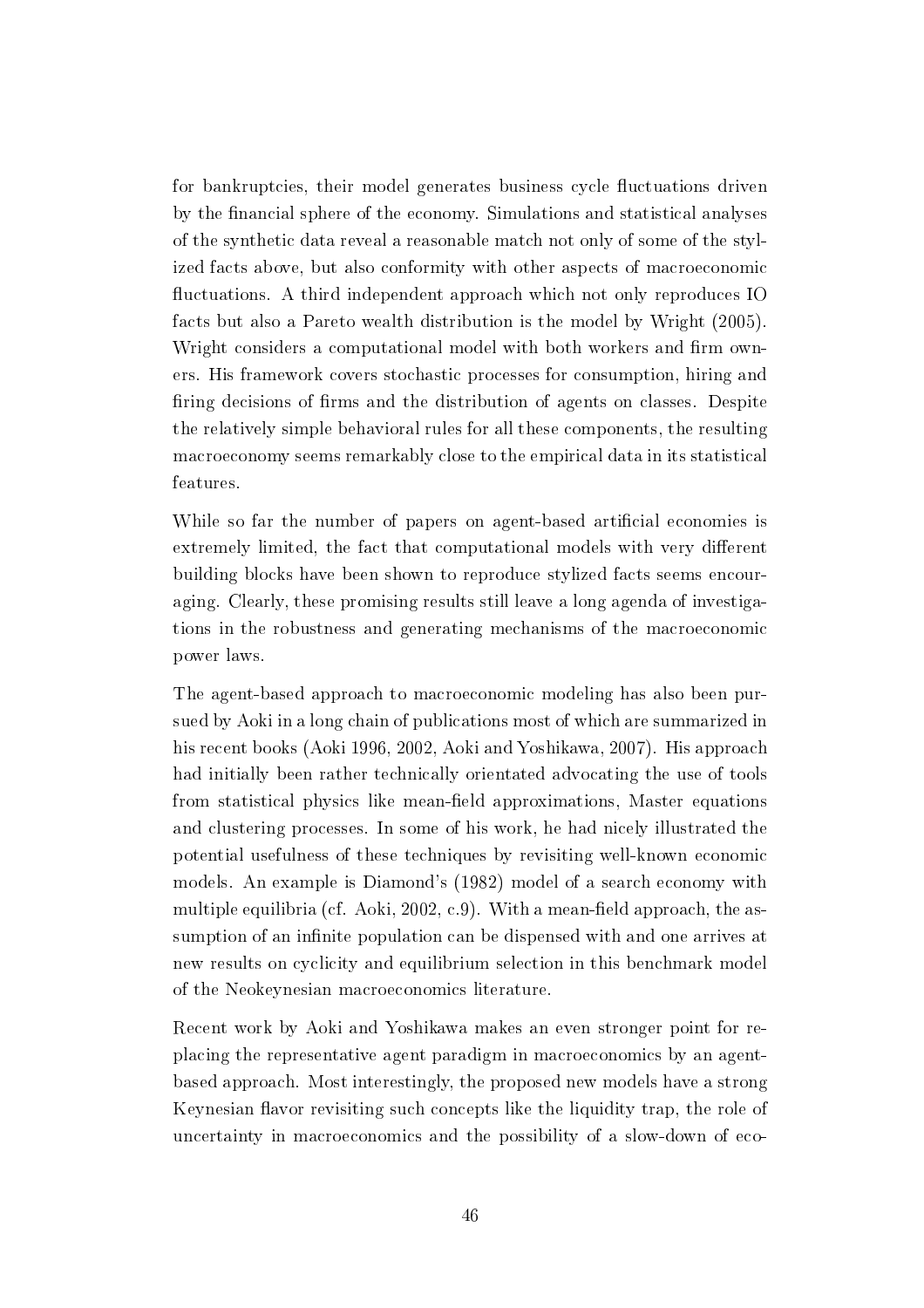for bankruptcies, their model generates business cycle fluctuations driven by the nancial sphere of the economy. Simulations and statistical analyses of the synthetic data reveal a reasonable match not only of some of the stylized facts above, but also conformity with other aspects of macroeconomic fluctuations. A third independent approach which not only reproduces IO facts but also a Pareto wealth distribution is the model by Wright (2005). Wright considers a computational model with both workers and firm owners. His framework covers stochastic processes for consumption, hiring and firing decisions of firms and the distribution of agents on classes. Despite the relatively simple behavioral rules for all these components, the resulting macroeconomy seems remarkably close to the empirical data in its statistical features.

While so far the number of papers on agent-based artificial economies is extremely limited, the fact that computational models with very different building blocks have been shown to reproduce stylized facts seems encouraging. Clearly, these promising results still leave a long agenda of investigations in the robustness and generating mechanisms of the macroeconomic power laws.

The agent-based approach to macroeconomic modeling has also been pursued by Aoki in a long chain of publications most of which are summarized in his recent books (Aoki 1996, 2002, Aoki and Yoshikawa, 2007). His approach had initially been rather technically orientated advocating the use of tools from statistical physics like mean-field approximations, Master equations and clustering processes. In some of his work, he had nicely illustrated the potential usefulness of these techniques by revisiting well-known economic models. An example is Diamond's (1982) model of a search economy with multiple equilibria (cf. Aoki,  $2002$ , c.9). With a mean-field approach, the assumption of an infinite population can be dispensed with and one arrives at new results on cyclicity and equilibrium selection in this benchmark model of the Neokeynesian macroeconomics literature.

Recent work by Aoki and Yoshikawa makes an even stronger point for replacing the representative agent paradigm in macroeconomics by an agentbased approach. Most interestingly, the proposed new models have a strong Keynesian flavor revisiting such concepts like the liquidity trap, the role of uncertainty in macroeconomics and the possibility of a slow-down of eco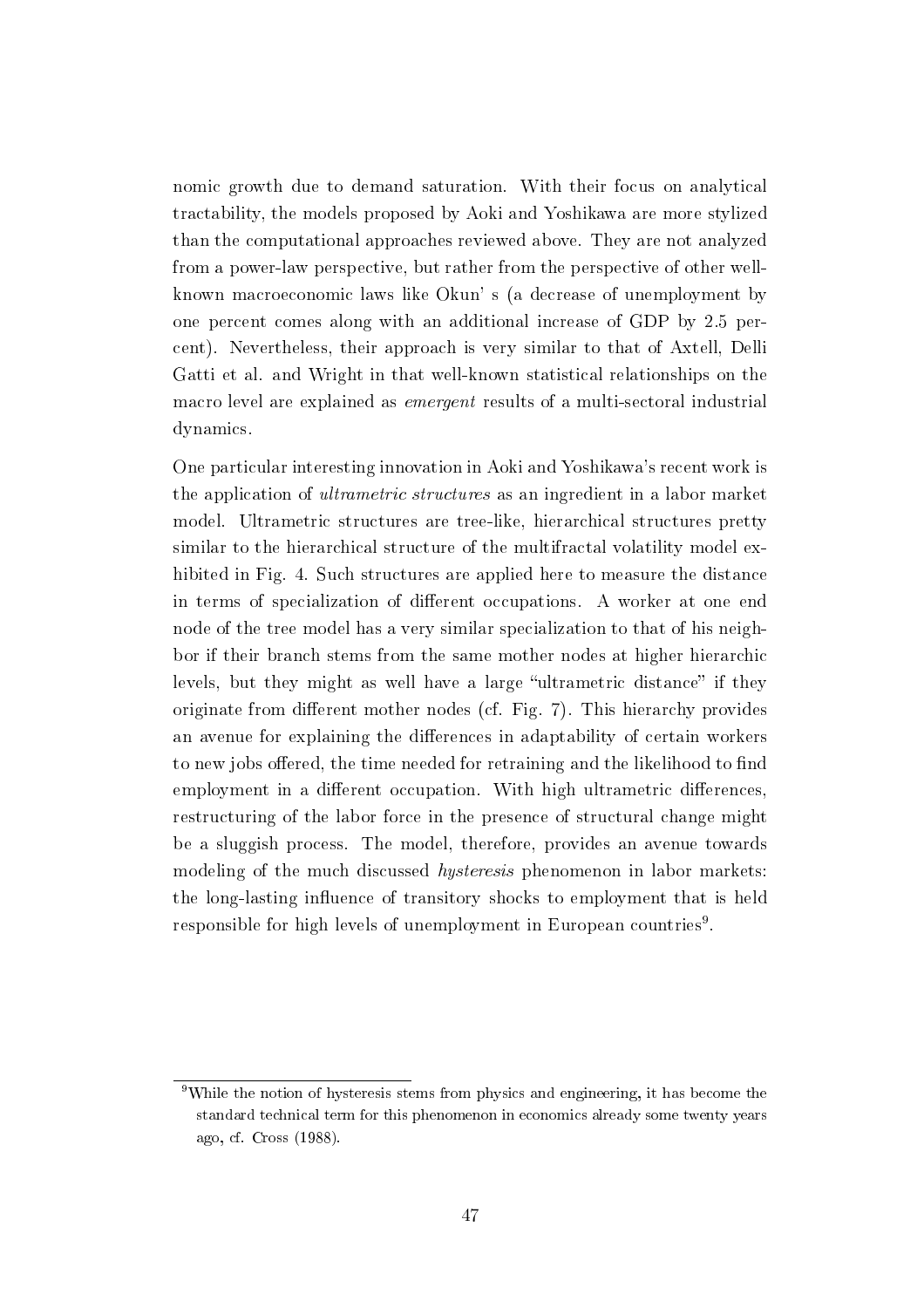nomic growth due to demand saturation. With their focus on analytical tractability, the models proposed by Aoki and Yoshikawa are more stylized than the computational approaches reviewed above. They are not analyzed from a power-law perspective, but rather from the perspective of other wellknown macroeconomic laws like Okun' s (a decrease of unemployment by one percent comes along with an additional increase of GDP by 2.5 percent). Nevertheless, their approach is very similar to that of Axtell, Delli Gatti et al. and Wright in that well-known statistical relationships on the macro level are explained as emergent results of a multi-sectoral industrial dynamics.

One particular interesting innovation in Aoki and Yoshikawa's recent work is the application of ultrametric structures as an ingredient in a labor market model. Ultrametric structures are tree-like, hierarchical structures pretty similar to the hierarchical structure of the multifractal volatility model exhibited in Fig. 4. Such structures are applied here to measure the distance in terms of specialization of different occupations. A worker at one end node of the tree model has a very similar specialization to that of his neighbor if their branch stems from the same mother nodes at higher hierarchic levels, but they might as well have a large "ultrametric distance" if they originate from different mother nodes (cf. Fig. 7). This hierarchy provides an avenue for explaining the differences in adaptability of certain workers to new jobs offered, the time needed for retraining and the likelihood to find employment in a different occupation. With high ultrametric differences, restructuring of the labor force in the presence of structural change might be a sluggish process. The model, therefore, provides an avenue towards modeling of the much discussed hysteresis phenomenon in labor markets: the long-lasting influence of transitory shocks to employment that is held responsible for high levels of unemployment in European countries $^9$ .

<sup>9</sup>While the notion of hysteresis stems from physics and engineering, it has become the standard technical term for this phenomenon in economics already some twenty years ago, cf. Cross (1988).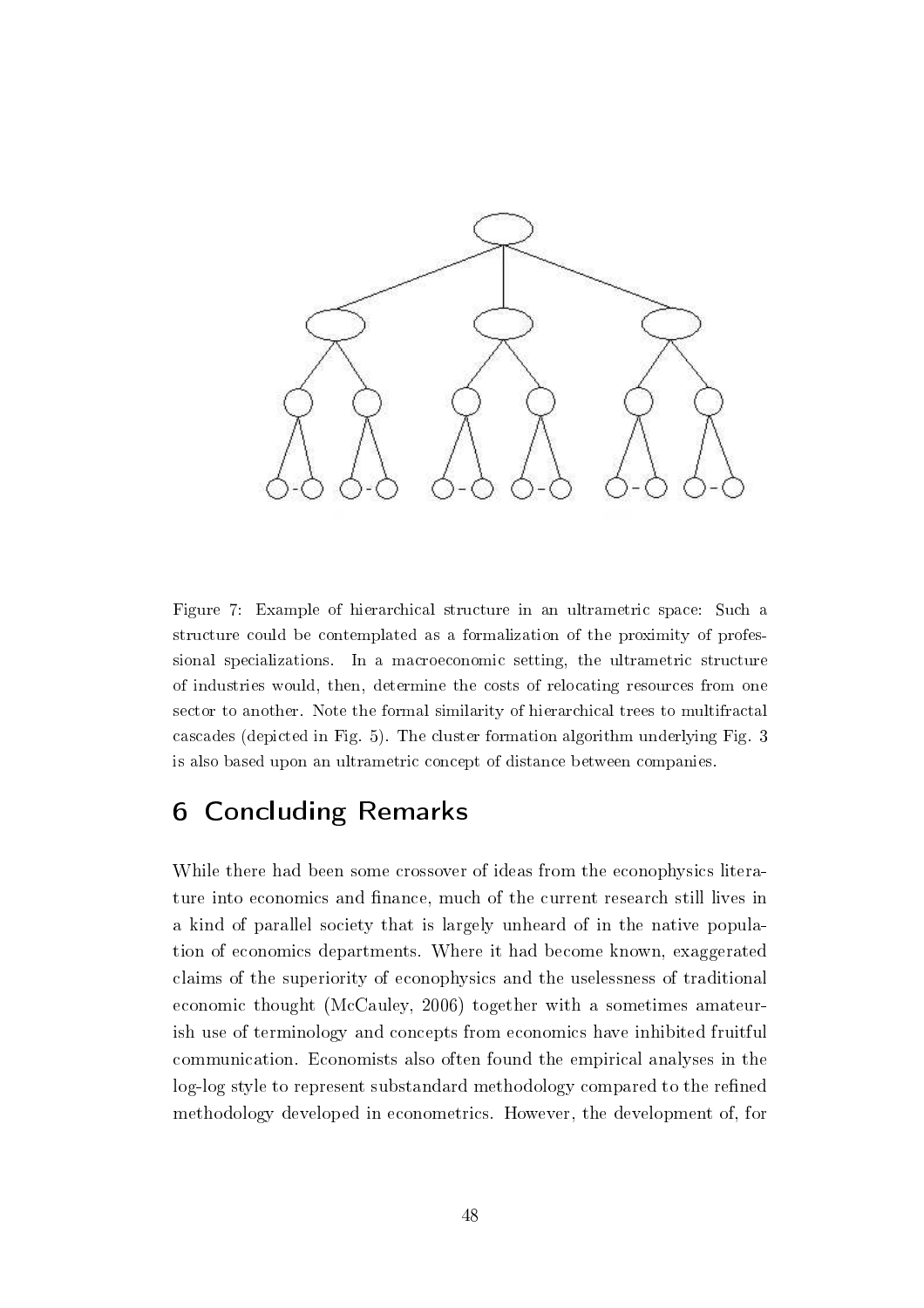

Figure 7: Example of hierarchical structure in an ultrametric space: Such a structure could be contemplated as a formalization of the proximity of professional specializations. In a macroeconomic setting, the ultrametric structure of industries would, then, determine the costs of relocating resources from one sector to another. Note the formal similarity of hierarchical trees to multifractal cascades (depicted in Fig. 5). The cluster formation algorithm underlying Fig. 3 is also based upon an ultrametric concept of distance between companies.

## 6 Concluding Remarks

While there had been some crossover of ideas from the econophysics literature into economics and finance, much of the current research still lives in a kind of parallel society that is largely unheard of in the native population of economics departments. Where it had become known, exaggerated claims of the superiority of econophysics and the uselessness of traditional economic thought (McCauley, 2006) together with a sometimes amateurish use of terminology and concepts from economics have inhibited fruitful communication. Economists also often found the empirical analyses in the log-log style to represent substandard methodology compared to the refined methodology developed in econometrics. However, the development of, for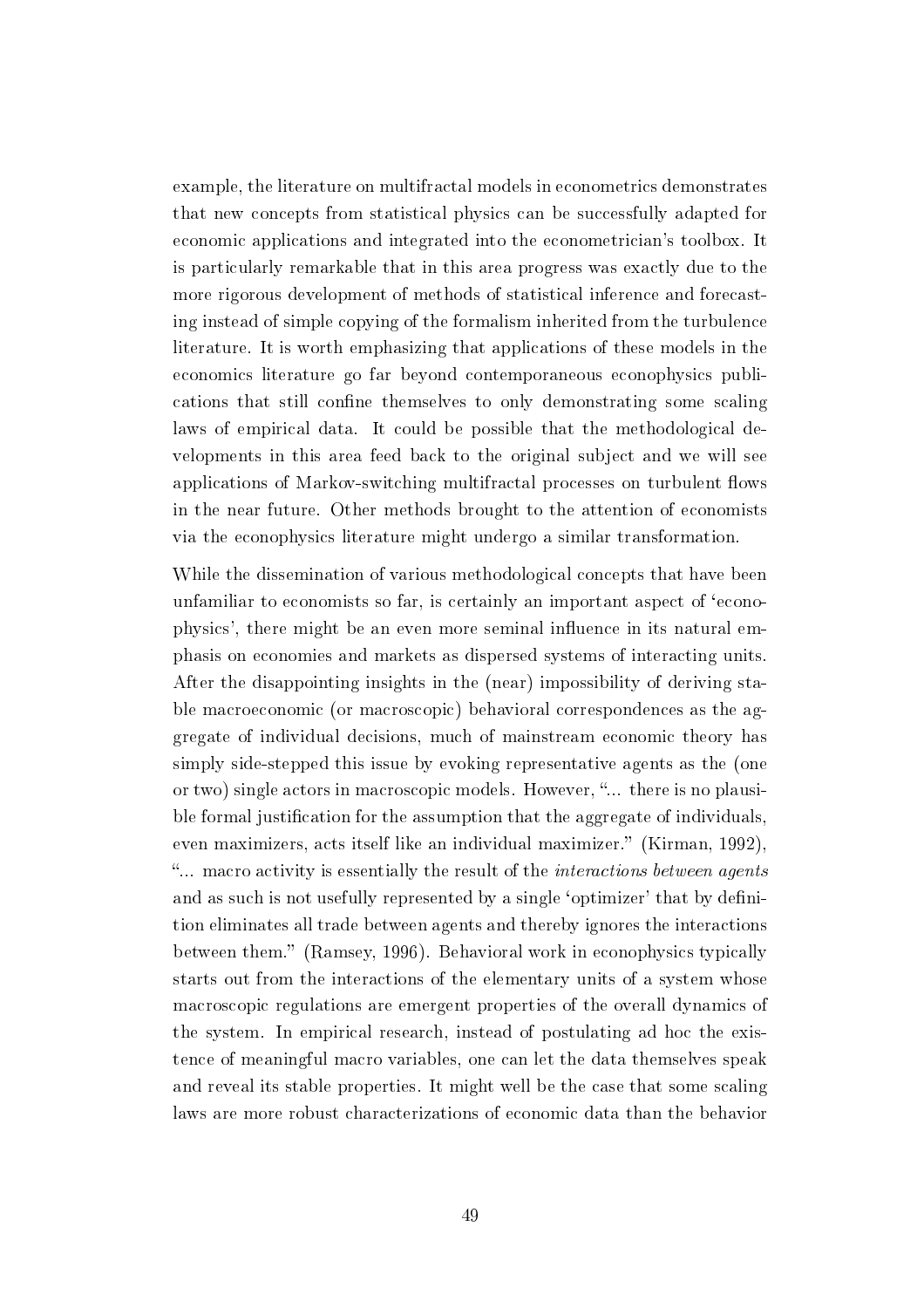example, the literature on multifractal models in econometrics demonstrates that new concepts from statistical physics can be successfully adapted for economic applications and integrated into the econometrician's toolbox. It is particularly remarkable that in this area progress was exactly due to the more rigorous development of methods of statistical inference and forecasting instead of simple copying of the formalism inherited from the turbulence literature. It is worth emphasizing that applications of these models in the economics literature go far beyond contemporaneous econophysics publications that still confine themselves to only demonstrating some scaling laws of empirical data. It could be possible that the methodological developments in this area feed back to the original subject and we will see applications of Markov-switching multifractal processes on turbulent flows in the near future. Other methods brought to the attention of economists via the econophysics literature might undergo a similar transformation.

While the dissemination of various methodological concepts that have been unfamiliar to economists so far, is certainly an important aspect of `econophysics', there might be an even more seminal influence in its natural emphasis on economies and markets as dispersed systems of interacting units. After the disappointing insights in the (near) impossibility of deriving stable macroeconomic (or macroscopic) behavioral correspondences as the aggregate of individual decisions, much of mainstream economic theory has simply side-stepped this issue by evoking representative agents as the (one or two) single actors in macroscopic models. However, "... there is no plausible formal justification for the assumption that the aggregate of individuals, even maximizers, acts itself like an individual maximizer. (Kirman, 1992), "... macro activity is essentially the result of the *interactions between agents* and as such is not usefully represented by a single 'optimizer' that by definition eliminates all trade between agents and thereby ignores the interactions between them." (Ramsey, 1996). Behavioral work in econophysics typically starts out from the interactions of the elementary units of a system whose macroscopic regulations are emergent properties of the overall dynamics of the system. In empirical research, instead of postulating ad hoc the existence of meaningful macro variables, one can let the data themselves speak and reveal its stable properties. It might well be the case that some scaling laws are more robust characterizations of economic data than the behavior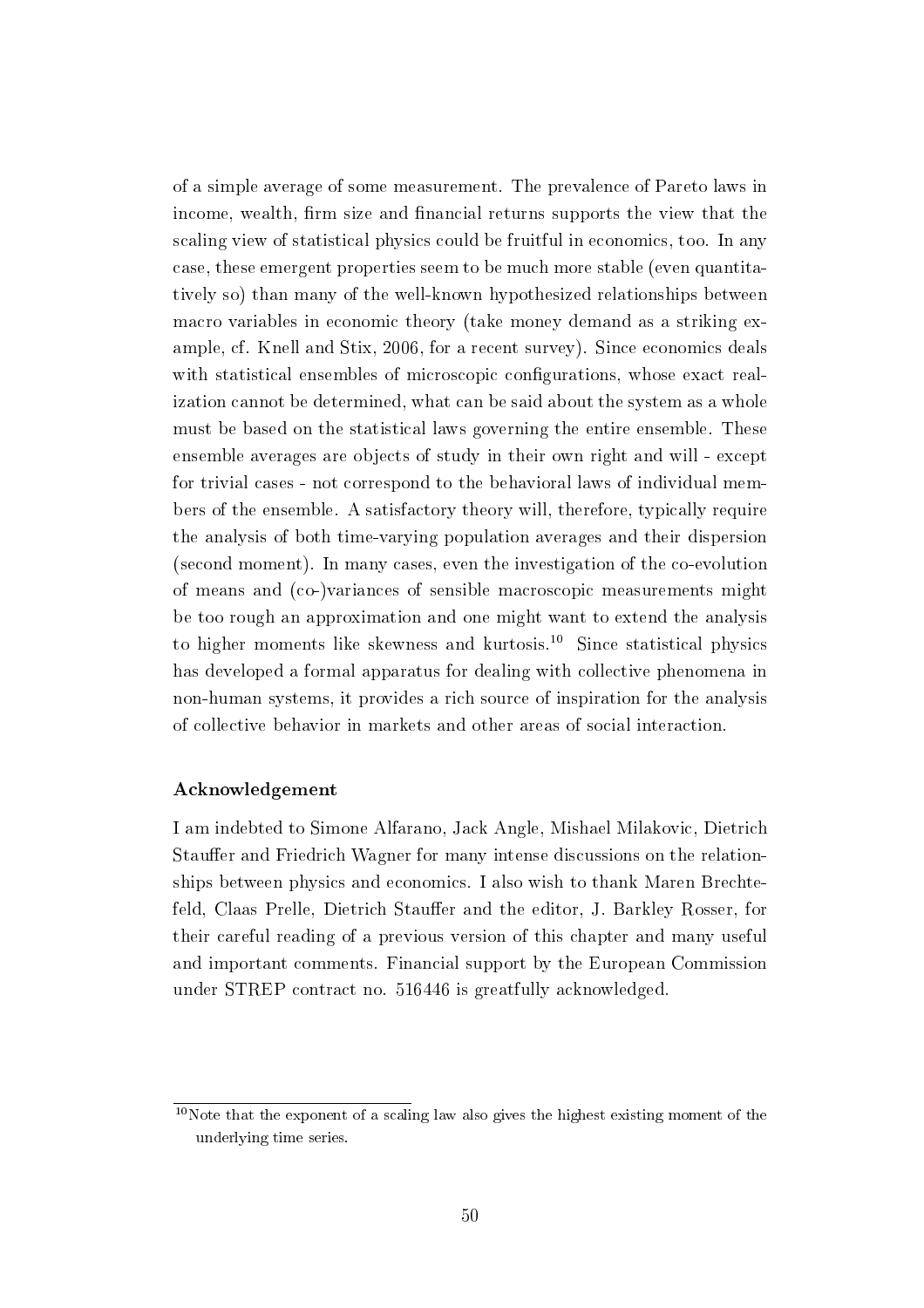of a simple average of some measurement. The prevalence of Pareto laws in income, wealth, firm size and financial returns supports the view that the scaling view of statistical physics could be fruitful in economics, too. In any case, these emergent properties seem to be much more stable (even quantitatively so) than many of the well-known hypothesized relationships between macro variables in economic theory (take money demand as a striking example, cf. Knell and Stix, 2006, for a recent survey). Since economics deals with statistical ensembles of microscopic configurations, whose exact realization cannot be determined, what can be said about the system as a whole must be based on the statistical laws governing the entire ensemble. These ensemble averages are objects of study in their own right and will - except for trivial cases - not correspond to the behavioral laws of individual members of the ensemble. A satisfactory theory will, therefore, typically require the analysis of both time-varying population averages and their dispersion (second moment). In many cases, even the investigation of the co-evolution of means and (co-)variances of sensible macroscopic measurements might be too rough an approximation and one might want to extend the analysis to higher moments like skewness and kurtosis.<sup>10</sup> Since statistical physics has developed a formal apparatus for dealing with collective phenomena in non-human systems, it provides a rich source of inspiration for the analysis of collective behavior in markets and other areas of social interaction.

#### Acknowledgement

I am indebted to Simone Alfarano, Jack Angle, Mishael Milakovic, Dietrich Stauffer and Friedrich Wagner for many intense discussions on the relationships between physics and economics. I also wish to thank Maren Brechtefeld, Claas Prelle, Dietrich Stauffer and the editor, J. Barkley Rosser, for their careful reading of a previous version of this chapter and many useful and important comments. Financial support by the European Commission under STREP contract no. 516446 is greatfully acknowledged.

 $10$ Note that the exponent of a scaling law also gives the highest existing moment of the underlying time series.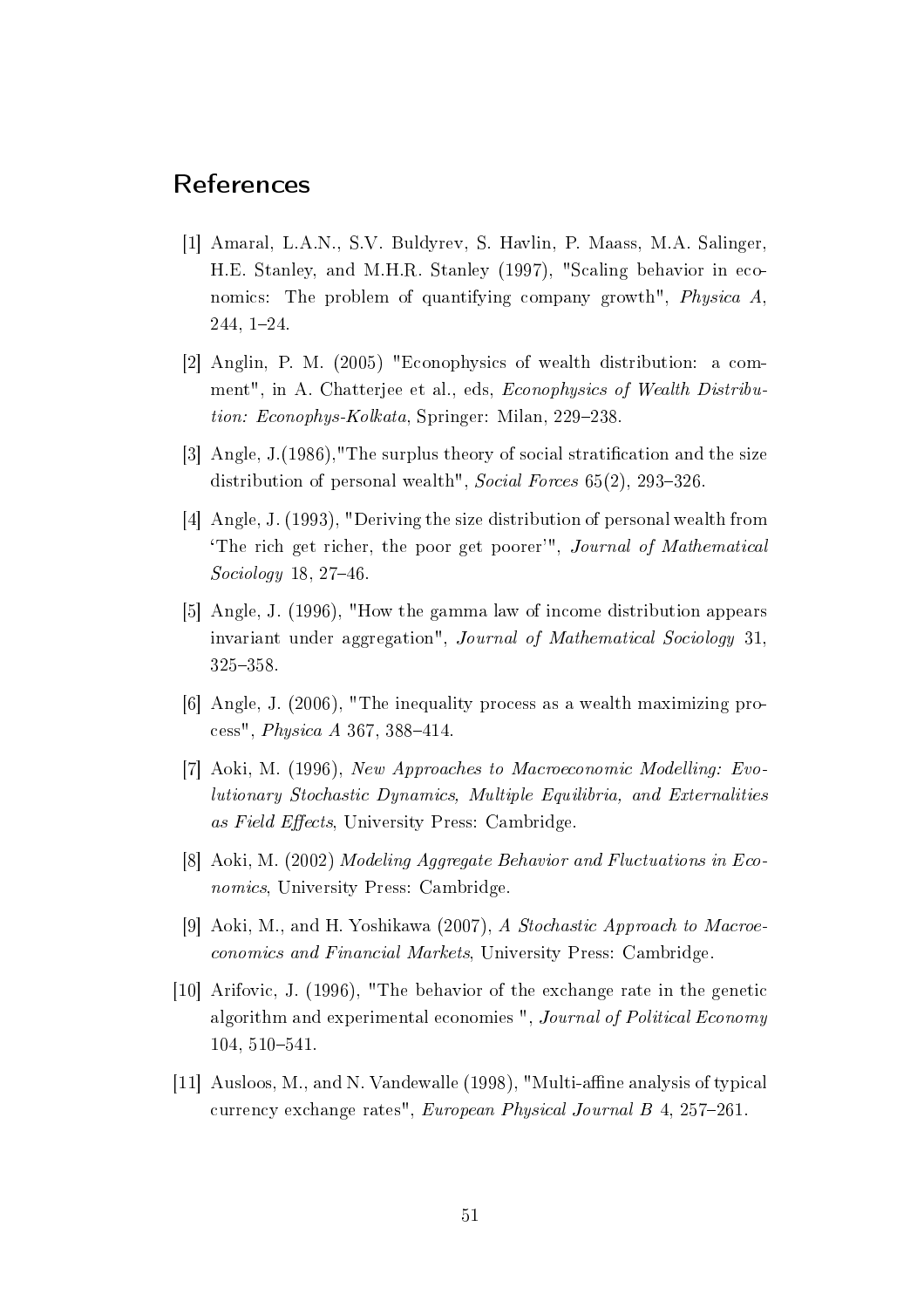## References

- [1] Amaral, L.A.N., S.V. Buldyrev, S. Havlin, P. Maass, M.A. Salinger, H.E. Stanley, and M.H.R. Stanley (1997), "Scaling behavior in economics: The problem of quantifying company growth", *Physica A*, 244, 124.
- [2] Anglin, P. M. (2005) "Econophysics of wealth distribution: a comment", in A. Chatterjee et al., eds, Econophysics of Wealth Distribution: Econophys-Kolkata, Springer: Milan, 229–238.
- [3] Angle, J.(1986),"The surplus theory of social stratication and the size distribution of personal wealth", Social Forces  $65(2)$ , 293-326.
- [4] Angle, J. (1993), "Deriving the size distribution of personal wealth from `The rich get richer, the poor get poorer'", Journal of Mathematical  $Sociology$  18, 27-46.
- [5] Angle, J. (1996), "How the gamma law of income distribution appears invariant under aggregation", Journal of Mathematical Sociology 31, 325358.
- [6] Angle, J. (2006), "The inequality process as a wealth maximizing process", *Physica A* 367, 388-414.
- [7] Aoki, M. (1996), New Approaches to Macroeconomic Modelling: Evolutionary Stochastic Dynamics, Multiple Equilibria, and Externalities as Field Effects, University Press: Cambridge.
- [8] Aoki, M. (2002) Modeling Aggregate Behavior and Fluctuations in Economics, University Press: Cambridge.
- [9] Aoki, M., and H. Yoshikawa (2007), A Stochastic Approach to Macroeconomics and Financial Markets, University Press: Cambridge.
- [10] Arifovic, J. (1996), "The behavior of the exchange rate in the genetic algorithm and experimental economies ", Journal of Political Economy 104, 510-541.
- [11] Ausloos, M., and N. Vandewalle (1998), "Multi-affine analysis of typical currency exchange rates", European Physical Journal  $B$  4, 257–261.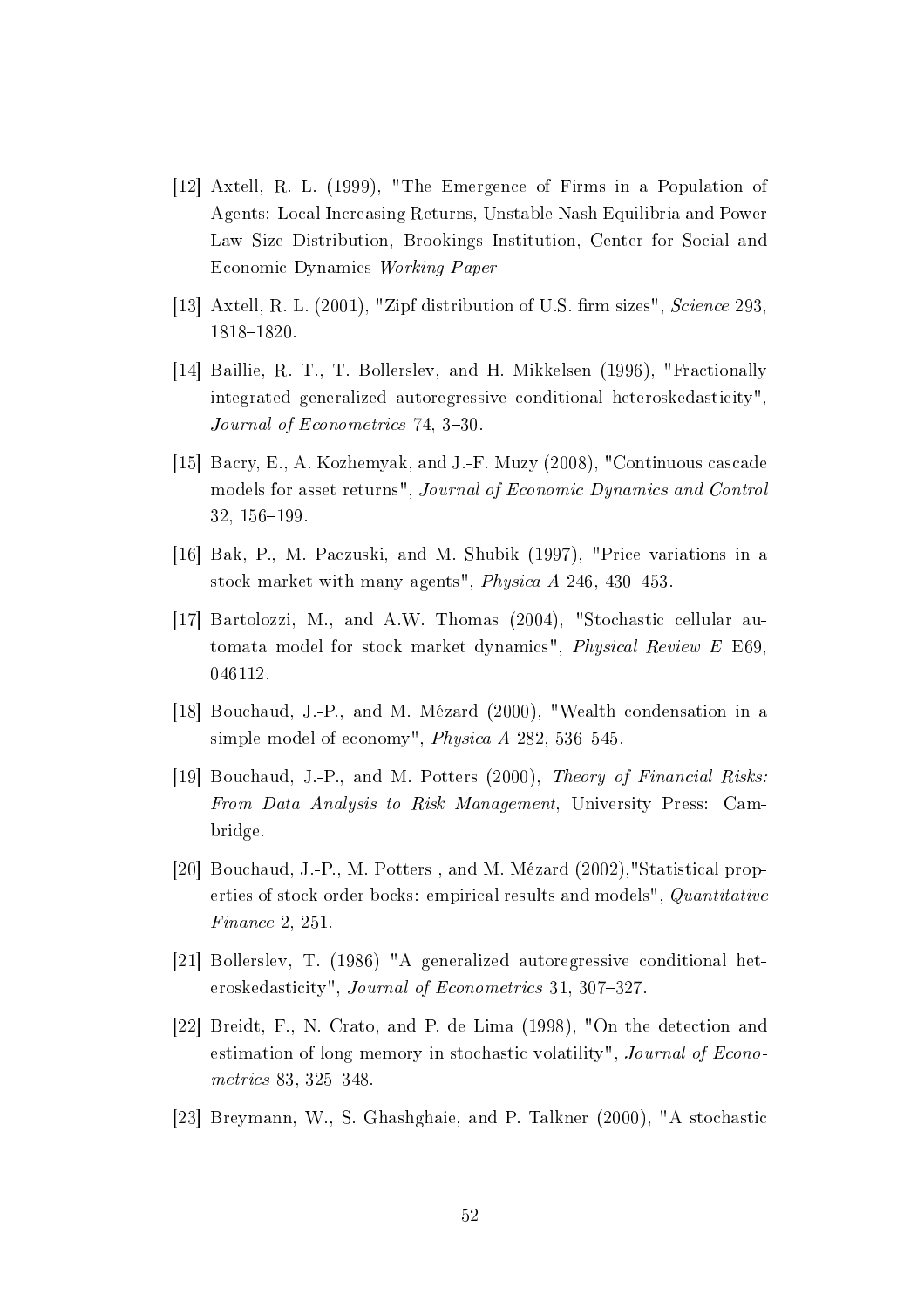- [12] Axtell, R. L. (1999), "The Emergence of Firms in a Population of Agents: Local Increasing Returns, Unstable Nash Equilibria and Power Law Size Distribution, Brookings Institution, Center for Social and Economic Dynamics Working Paper
- [13] Axtell, R. L.  $(2001)$ , "Zipf distribution of U.S. firm sizes", *Science* 293 18181820.
- [14] Baillie, R. T., T. Bollerslev, and H. Mikkelsen (1996), "Fractionally integrated generalized autoregressive conditional heteroskedasticity", Journal of Econometrics 74, 3-30.
- [15] Bacry, E., A. Kozhemyak, and J.-F. Muzy (2008), "Continuous cascade models for asset returns", Journal of Economic Dynamics and Control 32, 156-199.
- [16] Bak, P., M. Paczuski, and M. Shubik (1997), "Price variations in a stock market with many agents", *Physica A* 246, 430-453.
- [17] Bartolozzi, M., and A.W. Thomas (2004), "Stochastic cellular automata model for stock market dynamics", Physical Review E E69, 046112.
- [18] Bouchaud, J.-P., and M. Mézard (2000), "Wealth condensation in a simple model of economy", *Physica A* 282, 536-545.
- [19] Bouchaud, J.-P., and M. Potters (2000), Theory of Financial Risks: From Data Analysis to Risk Management, University Press: Cambridge.
- [20] Bouchaud, J.-P., M. Potters , and M. Mézard (2002),"Statistical properties of stock order bocks: empirical results and models", Quantitative Finance 2, 251.
- [21] Bollerslev, T. (1986) "A generalized autoregressive conditional heteroskedasticity", Journal of Econometrics 31, 307-327.
- [22] Breidt, F., N. Crato, and P. de Lima (1998), "On the detection and estimation of long memory in stochastic volatility", Journal of Econometrics 83, 325–348.
- [23] Breymann, W., S. Ghashghaie, and P. Talkner (2000), "A stochastic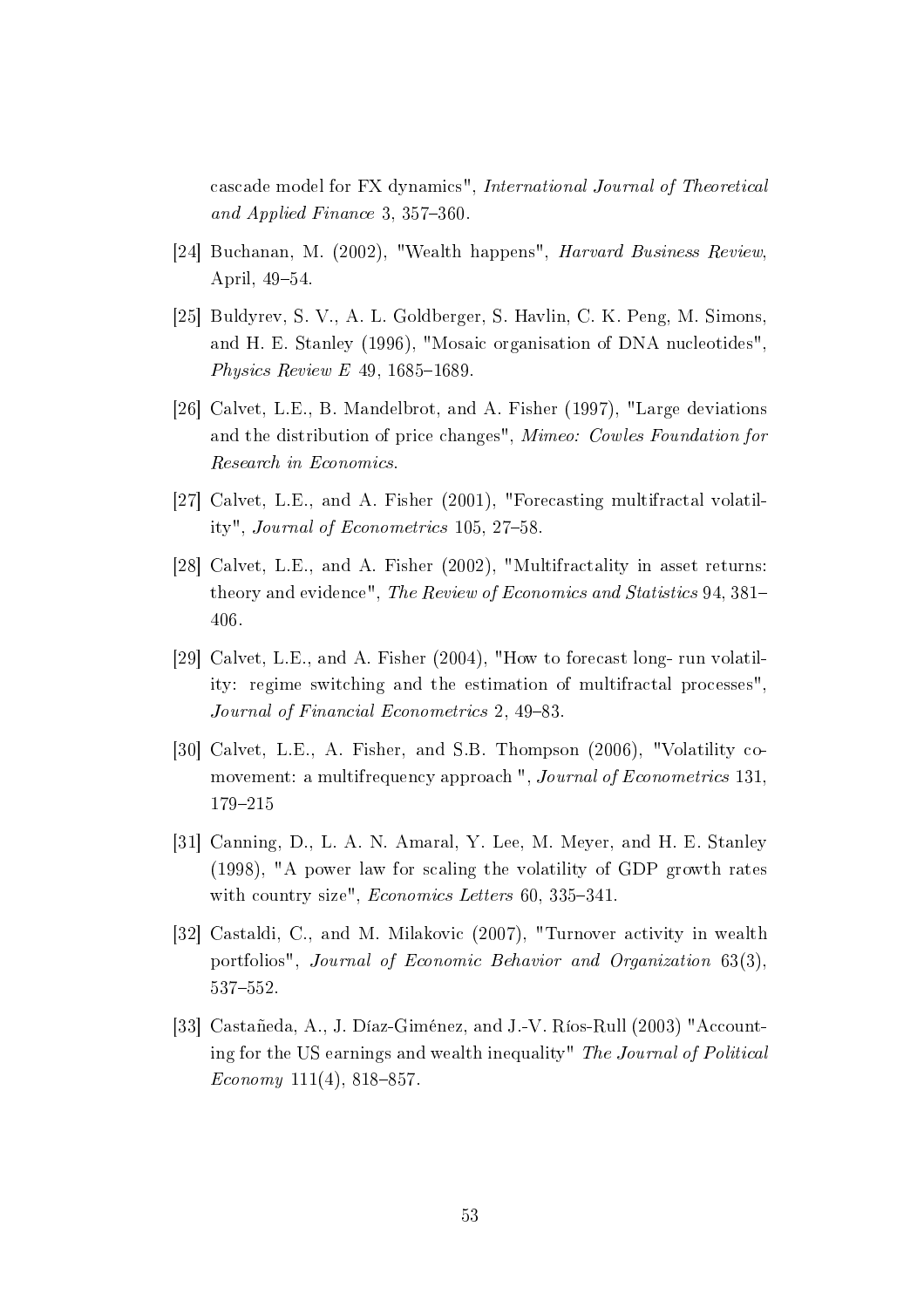cascade model for FX dynamics", International Journal of Theoretical and Applied Finance 3,  $357-360$ .

- [24] Buchanan, M. (2002), "Wealth happens", Harvard Business Review, April, 49-54.
- [25] Buldyrev, S. V., A. L. Goldberger, S. Havlin, C. K. Peng, M. Simons, and H. E. Stanley (1996), "Mosaic organisation of DNA nucleotides", Physics Review  $E$  49, 1685-1689.
- [26] Calvet, L.E., B. Mandelbrot, and A. Fisher (1997), "Large deviations and the distribution of price changes", Mimeo: Cowles Foundation for Research in Economics.
- [27] Calvet, L.E., and A. Fisher (2001), "Forecasting multifractal volatility", Journal of Econometrics  $105, 27-58$ .
- [28] Calvet, L.E., and A. Fisher (2002), "Multifractality in asset returns: theory and evidence", The Review of Economics and Statistics 94, 381 406.
- [29] Calvet, L.E., and A. Fisher (2004), "How to forecast long- run volatility: regime switching and the estimation of multifractal processes", Journal of Financial Econometrics 2, 49-83.
- [30] Calvet, L.E., A. Fisher, and S.B. Thompson (2006), "Volatility comovement: a multifrequency approach ", Journal of Econometrics 131, 179-215
- [31] Canning, D., L. A. N. Amaral, Y. Lee, M. Meyer, and H. E. Stanley (1998), "A power law for scaling the volatility of GDP growth rates with country size",  $Economics$  Letters 60, 335-341.
- [32] Castaldi, C., and M. Milakovic (2007), "Turnover activity in wealth portfolios", Journal of Economic Behavior and Organization 63(3), 537-552.
- [33] Castañeda, A., J. Díaz-Giménez, and J.-V. Ríos-Rull (2003) "Accounting for the US earnings and wealth inequality" The Journal of Political  $Economy 111(4), 818-857.$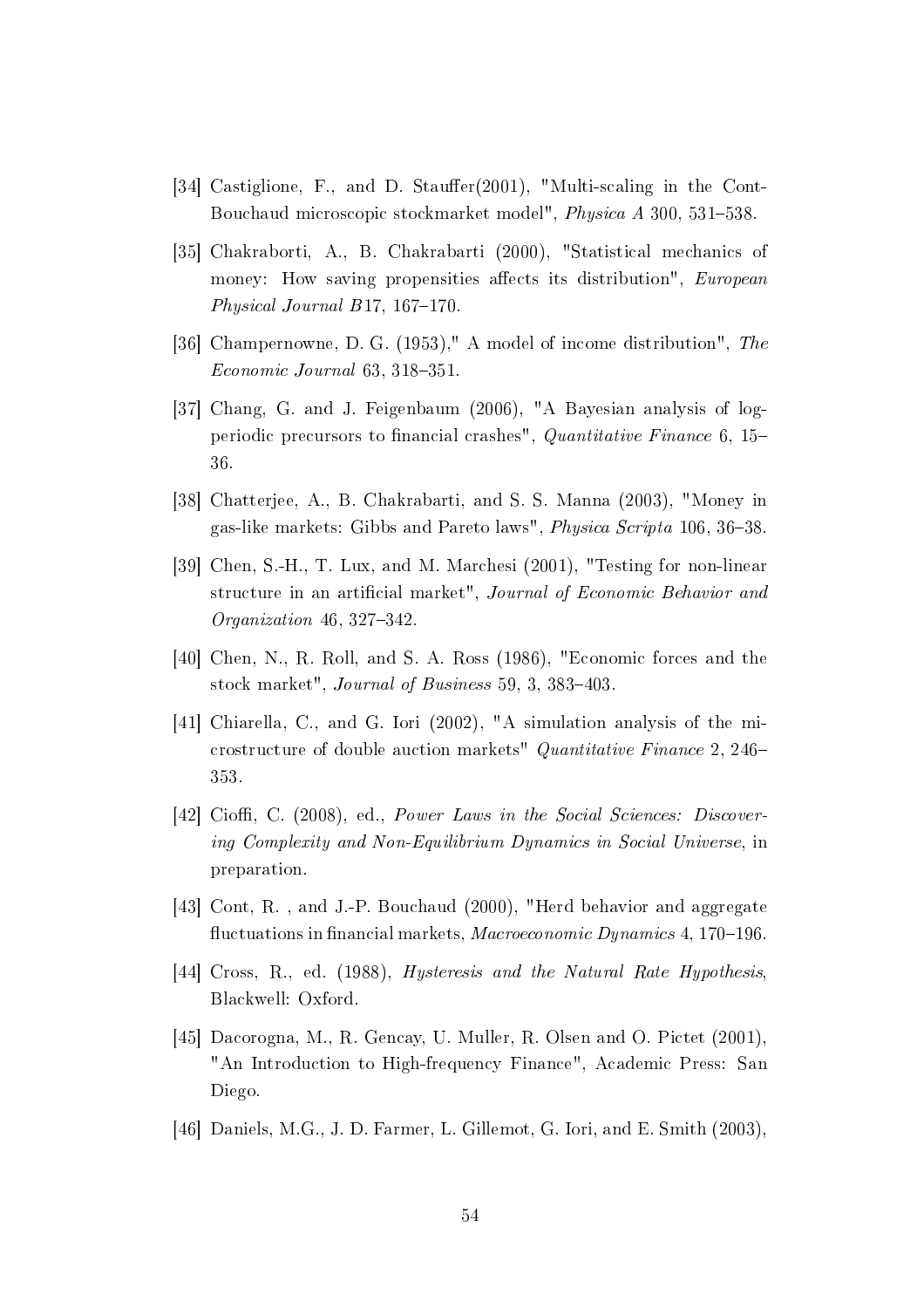- [34] Castiglione, F., and D. Stauffer(2001), "Multi-scaling in the Cont-Bouchaud microscopic stockmarket model", *Physica A* 300, 531-538.
- [35] Chakraborti, A., B. Chakrabarti (2000), "Statistical mechanics of money: How saving propensities affects its distribution", *European* Physical Journal B17,  $167-170$ .
- [36] Champernowne, D. G. (1953)," A model of income distribution", The  $Economic\ Journal\ 63,\ 318-351.$
- [37] Chang, G. and J. Feigenbaum (2006), "A Bayesian analysis of logperiodic precursors to financial crashes", Quantitative Finance 6, 15-36.
- [38] Chatterjee, A., B. Chakrabarti, and S. S. Manna (2003), "Money in gas-like markets: Gibbs and Pareto laws", *Physica Scripta* 106, 36–38.
- [39] Chen, S.-H., T. Lux, and M. Marchesi (2001), "Testing for non-linear structure in an artificial market", Journal of Economic Behavior and Organization 46, 327-342.
- [40] Chen, N., R. Roll, and S. A. Ross (1986), "Economic forces and the stock market", Journal of Business 59, 3, 383-403.
- [41] Chiarella, C., and G. Iori (2002), "A simulation analysis of the microstructure of double auction markets" Quantitative Finance 2, 246 353.
- [42] Cioffi, C. (2008), ed., *Power Laws in the Social Sciences: Discover*ing Complexity and Non-Equilibrium Dynamics in Social Universe, in preparation.
- [43] Cont, R., and J.-P. Bouchaud (2000), "Herd behavior and aggregate fluctuations in financial markets, Macroeconomic Dynamics 4, 170–196.
- [44] Cross, R., ed. (1988), Hysteresis and the Natural Rate Hypothesis, Blackwell: Oxford.
- [45] Dacorogna, M., R. Gencay, U. Muller, R. Olsen and O. Pictet (2001), "An Introduction to High-frequency Finance", Academic Press: San Diego.
- [46] Daniels, M.G., J. D. Farmer, L. Gillemot, G. Iori, and E. Smith (2003),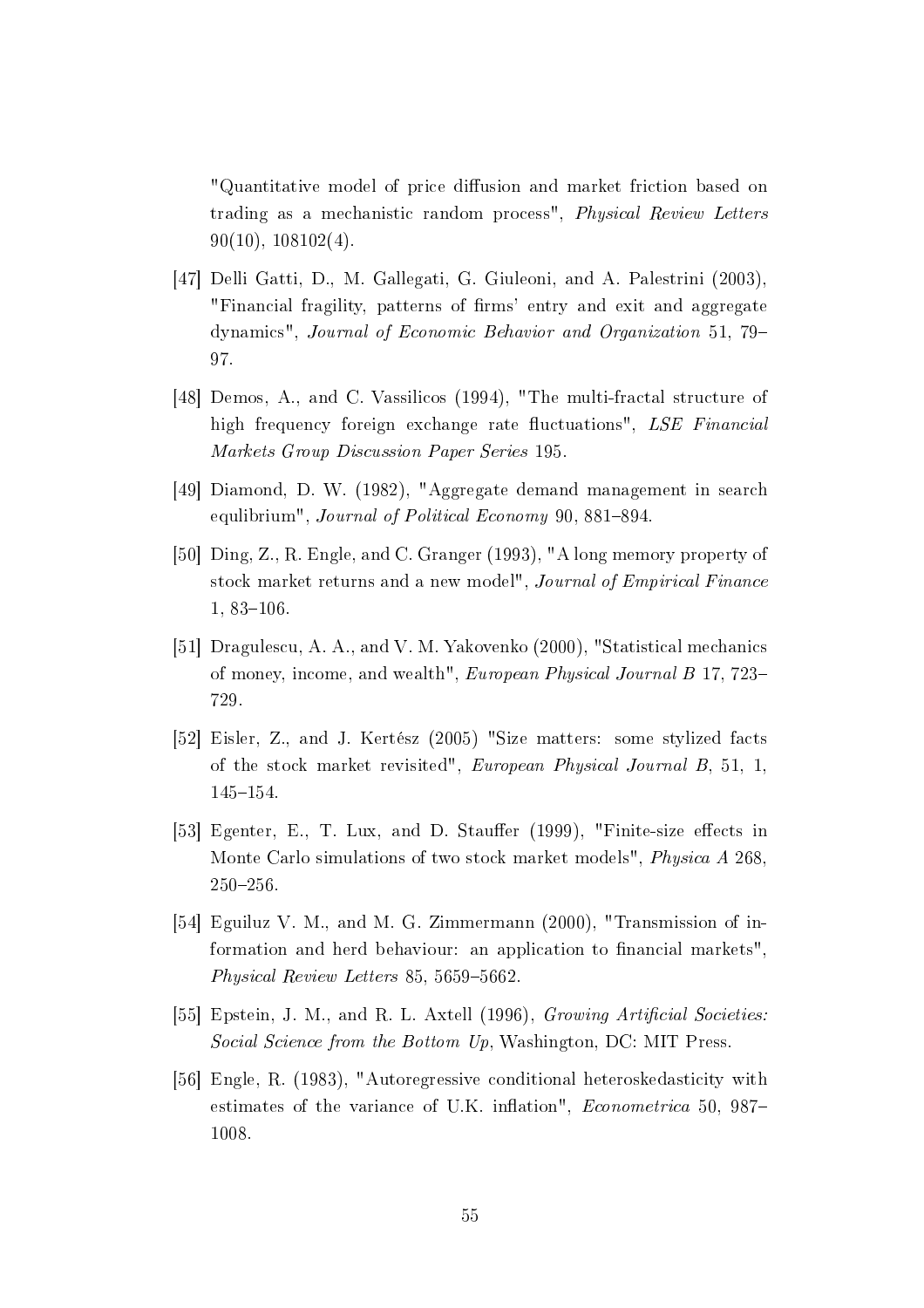"Quantitative model of price diffusion and market friction based on trading as a mechanistic random process", Physical Review Letters  $90(10), 108102(4).$ 

- [47] Delli Gatti, D., M. Gallegati, G. Giuleoni, and A. Palestrini (2003), "Financial fragility, patterns of firms' entry and exit and aggregate dynamics", Journal of Economic Behavior and Organization 51, 79 97.
- [48] Demos, A., and C. Vassilicos (1994), "The multi-fractal structure of high frequency foreign exchange rate fluctuations", LSE Financial Markets Group Discussion Paper Series 195.
- [49] Diamond, D. W. (1982), "Aggregate demand management in search equlibrium", Journal of Political Economy 90, 881-894.
- [50] Ding, Z., R. Engle, and C. Granger (1993), "A long memory property of stock market returns and a new model", Journal of Empirical Finance  $1,83-106.$
- [51] Dragulescu, A. A., and V. M. Yakovenko (2000), "Statistical mechanics of money, income, and wealth", European Physical Journal B 17, 723 729.
- [52] Eisler, Z., and J. Kertész (2005) "Size matters: some stylized facts of the stock market revisited", European Physical Journal B, 51, 1, 145-154.
- [53] Egenter, E., T. Lux, and D. Stauffer (1999), "Finite-size effects in Monte Carlo simulations of two stock market models", Physica A 268,  $250 - 256$ .
- [54] Eguiluz V. M., and M. G. Zimmermann (2000), "Transmission of information and herd behaviour: an application to financial markets". Physical Review Letters 85, 5659-5662.
- [55] Epstein, J. M., and R. L. Axtell (1996), *Growing Artificial Societies:* Social Science from the Bottom Up, Washington, DC: MIT Press.
- [56] Engle, R. (1983), "Autoregressive conditional heteroskedasticity with estimates of the variance of U.K. inflation",  $Econometrica$  50, 987– 1008.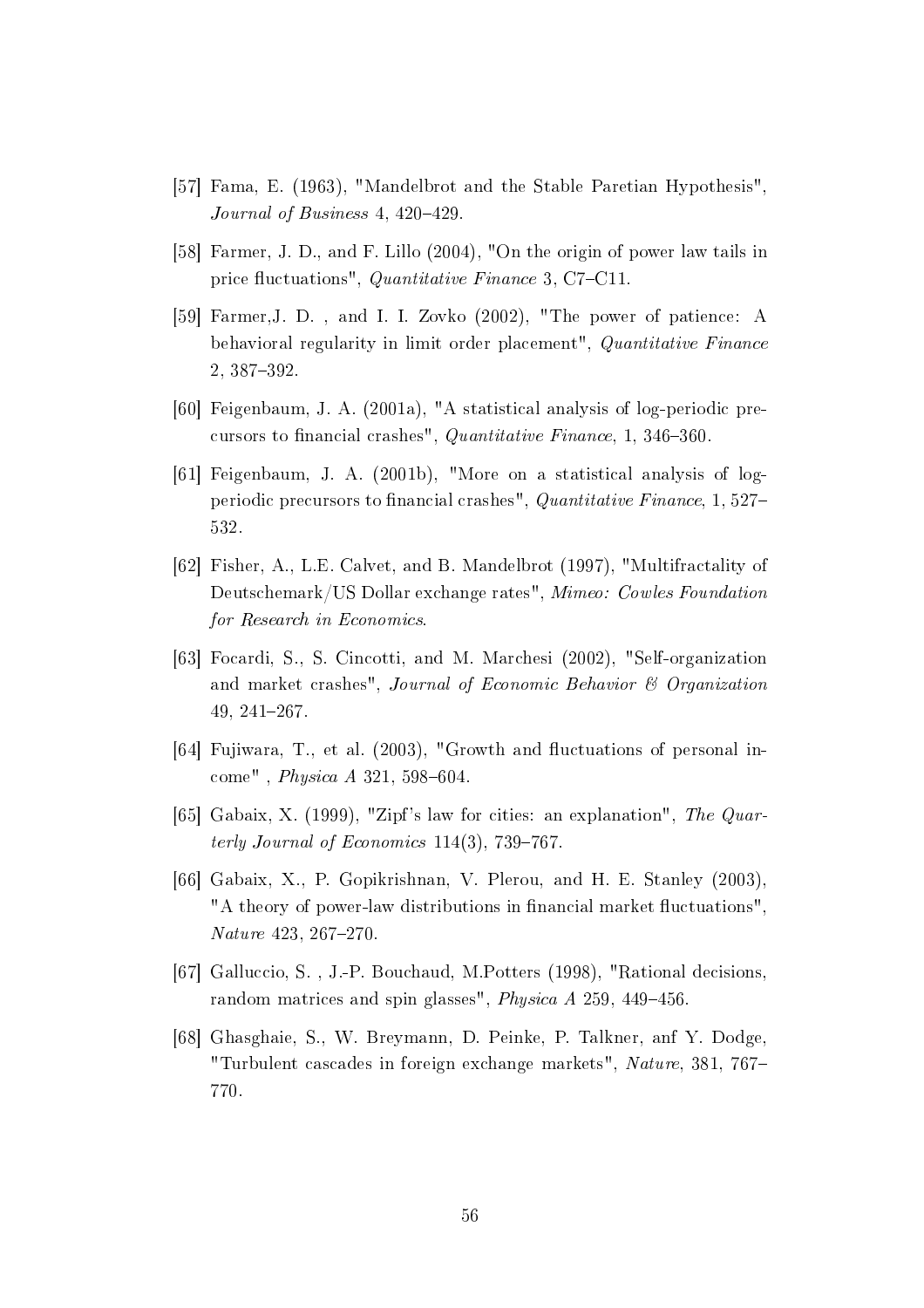- [57] Fama, E. (1963), "Mandelbrot and the Stable Paretian Hypothesis", Journal of Business  $4, 420-429$ .
- [58] Farmer, J. D., and F. Lillo (2004), "On the origin of power law tails in price fluctuations", Quantitative Finance 3, C7-C11.
- [59] Farmer,J. D. , and I. I. Zovko (2002), "The power of patience: A behavioral regularity in limit order placement", Quantitative Finance 2, 387-392.
- [60] Feigenbaum, J. A. (2001a), "A statistical analysis of log-periodic precursors to financial crashes", Quantitative Finance, 1, 346-360.
- [61] Feigenbaum, J. A. (2001b), "More on a statistical analysis of logperiodic precursors to financial crashes", Quantitative Finance,  $1, 527-$ 532.
- [62] Fisher, A., L.E. Calvet, and B. Mandelbrot (1997), "Multifractality of Deutschemark/US Dollar exchange rates", Mimeo: Cowles Foundation for Research in Economics.
- [63] Focardi, S., S. Cincotti, and M. Marchesi (2002), "Self-organization and market crashes", Journal of Economic Behavior & Organization 49, 241267.
- [64] Fujiwara, T., et al. (2003), "Growth and fluctuations of personal in $come"$ , *Physica A* 321, 598-604.
- [65] Gabaix, X. (1999), "Zipf's law for cities: an explanation", The Quarterly Journal of Economics  $114(3)$ , 739-767.
- [66] Gabaix, X., P. Gopikrishnan, V. Plerou, and H. E. Stanley (2003), "A theory of power-law distributions in financial market fluctuations".  $Nature\ 423,\ 267-270.$
- [67] Galluccio, S. , J.-P. Bouchaud, M.Potters (1998), "Rational decisions, random matrices and spin glasses", *Physica A* 259, 449-456.
- [68] Ghasghaie, S., W. Breymann, D. Peinke, P. Talkner, anf Y. Dodge, "Turbulent cascades in foreign exchange markets", Nature, 381, 767 770.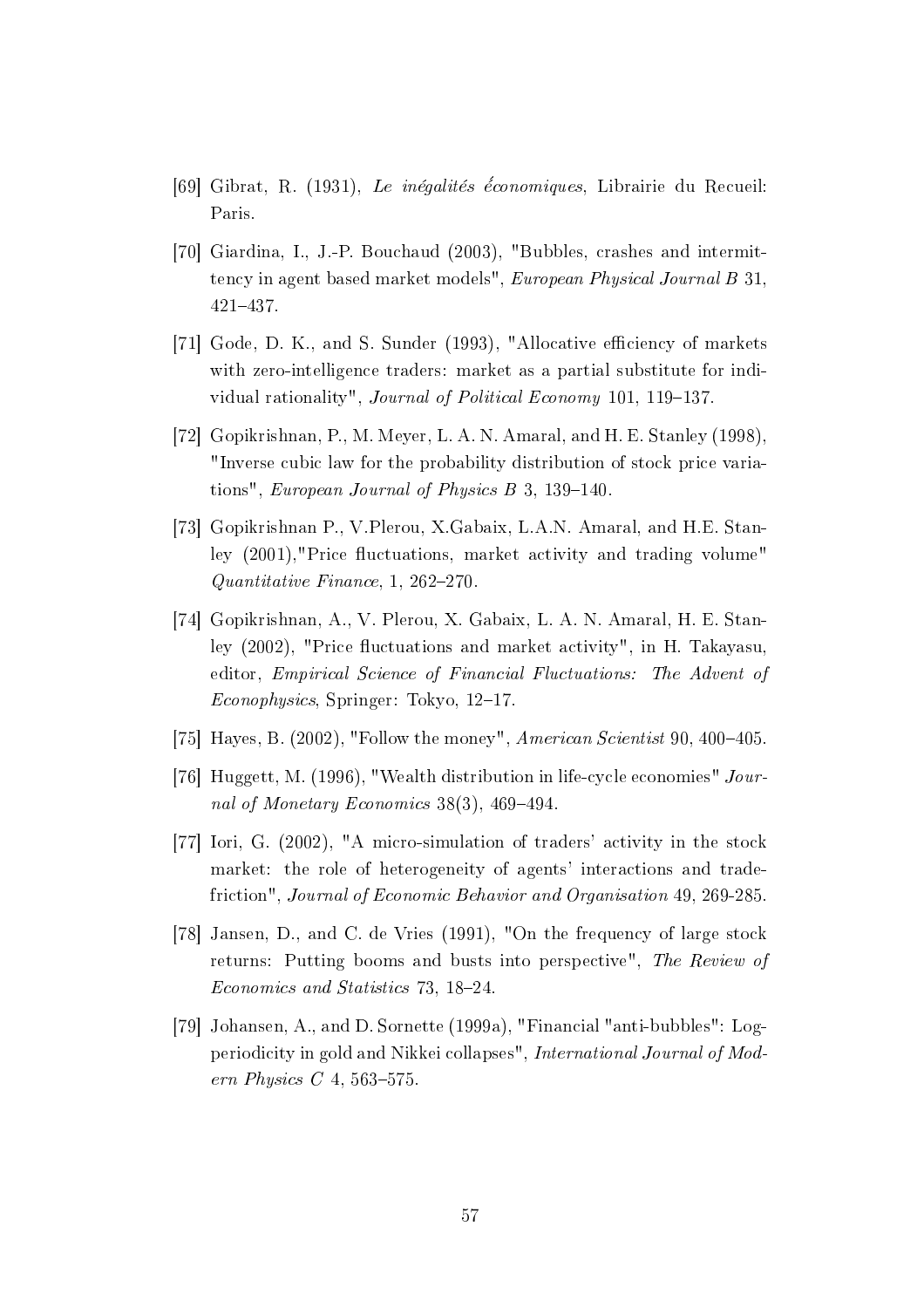- [69] Gibrat, R. (1931), Le inégalités économiques. Librairie du Recueil: Paris.
- [70] Giardina, I., J.-P. Bouchaud (2003), "Bubbles, crashes and intermittency in agent based market models", European Physical Journal B 31, 421437.
- [71] Gode, D. K., and S. Sunder (1993), "Allocative efficiency of markets with zero-intelligence traders: market as a partial substitute for individual rationality", Journal of Political Economy 101, 119-137.
- [72] Gopikrishnan, P., M. Meyer, L. A. N. Amaral, and H. E. Stanley (1998), "Inverse cubic law for the probability distribution of stock price variations", European Journal of Physics  $B$  3, 139-140.
- [73] Gopikrishnan P., V.Plerou, X.Gabaix, L.A.N. Amaral, and H.E. Stanley  $(2001)$ , "Price fluctuations, market activity and trading volume"  $Quantitative\, Finance, 1, 262-270.$
- [74] Gopikrishnan, A., V. Plerou, X. Gabaix, L. A. N. Amaral, H. E. Stanley  $(2002)$ , "Price fluctuations and market activity", in H. Takayasu, editor, Empirical Science of Financial Fluctuations: The Advent of  $Econophysics$ , Springer: Tokyo, 12–17.
- [75] Hayes, B.  $(2002)$ , "Follow the money", American Scientist 90, 400–405.
- [76] Huggett, M. (1996), "Wealth distribution in life-cycle economies" Journal of Monetary Economics 38(3), 469-494.
- [77] Iori, G. (2002), "A micro-simulation of traders' activity in the stock market: the role of heterogeneity of agents' interactions and tradefriction", Journal of Economic Behavior and Organisation 49, 269-285.
- [78] Jansen, D., and C. de Vries (1991), "On the frequency of large stock returns: Putting booms and busts into perspective", The Review of Economics and Statistics 73, 18-24.
- [79] Johansen, A., and D. Sornette (1999a), "Financial "anti-bubbles": Logperiodicity in gold and Nikkei collapses", International Journal of Modern Physics  $C$  4, 563-575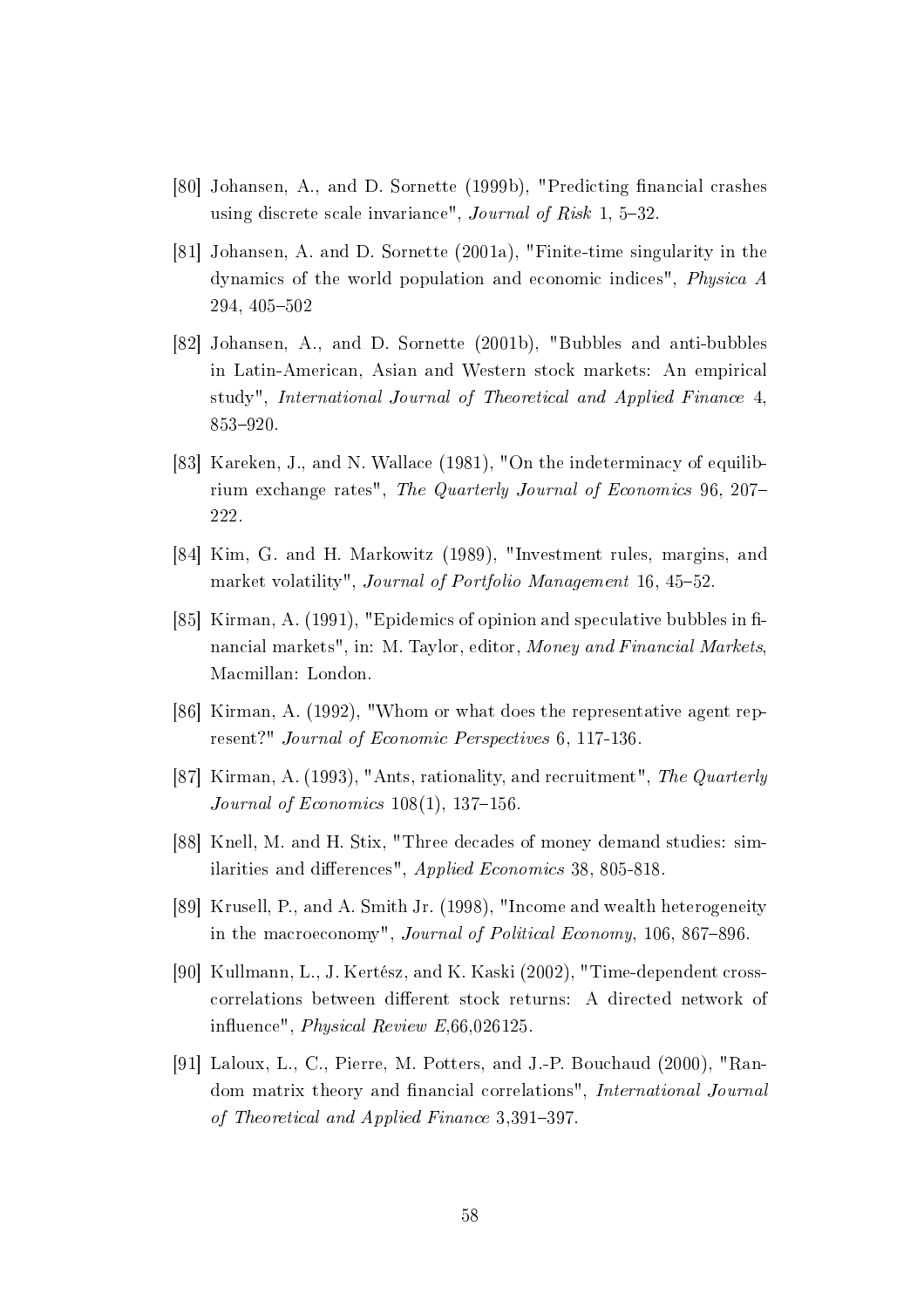- [80] Johansen, A., and D. Sornette (1999b), "Predicting financial crashes using discrete scale invariance", *Journal of Risk* 1,  $5-32$ .
- [81] Johansen, A. and D. Sornette (2001a), "Finite-time singularity in the dynamics of the world population and economic indices", Physica A 294, 405-502
- [82] Johansen, A., and D. Sornette (2001b), "Bubbles and anti-bubbles in Latin-American, Asian and Western stock markets: An empirical study", International Journal of Theoretical and Applied Finance 4, 853-920.
- [83] Kareken, J., and N. Wallace (1981), "On the indeterminacy of equilibrium exchange rates", The Quarterly Journal of Economics 96, 207 222.
- [84] Kim, G. and H. Markowitz (1989), "Investment rules, margins, and market volatility", Journal of Portfolio Management 16, 45–52.
- [85] Kirman, A. (1991), "Epidemics of opinion and speculative bubbles in financial markets", in: M. Taylor, editor, Money and Financial Markets, Macmillan: London.
- [86] Kirman, A. (1992), "Whom or what does the representative agent represent?" Journal of Economic Perspectives 6, 117-136.
- [87] Kirman, A. (1993), "Ants, rationality, and recruitment", The Quarterly Journal of Economics  $108(1)$ ,  $137-156$ .
- [88] Knell, M. and H. Stix, "Three decades of money demand studies: similarities and differences", Applied Economics 38, 805-818.
- [89] Krusell, P., and A. Smith Jr. (1998), "Income and wealth heterogeneity in the macroeconomy", Journal of Political Economy, 106, 867-896.
- [90] Kullmann, L., J. Kertész, and K. Kaski (2002), "Time-dependent crosscorrelations between different stock returns: A directed network of influence", *Physical Review E*,66,026125.
- [91] Laloux, L., C., Pierre, M. Potters, and J.-P. Bouchaud (2000), "Random matrix theory and financial correlations", *International Journal* of Theoretical and Applied Finance  $3,391-397$ .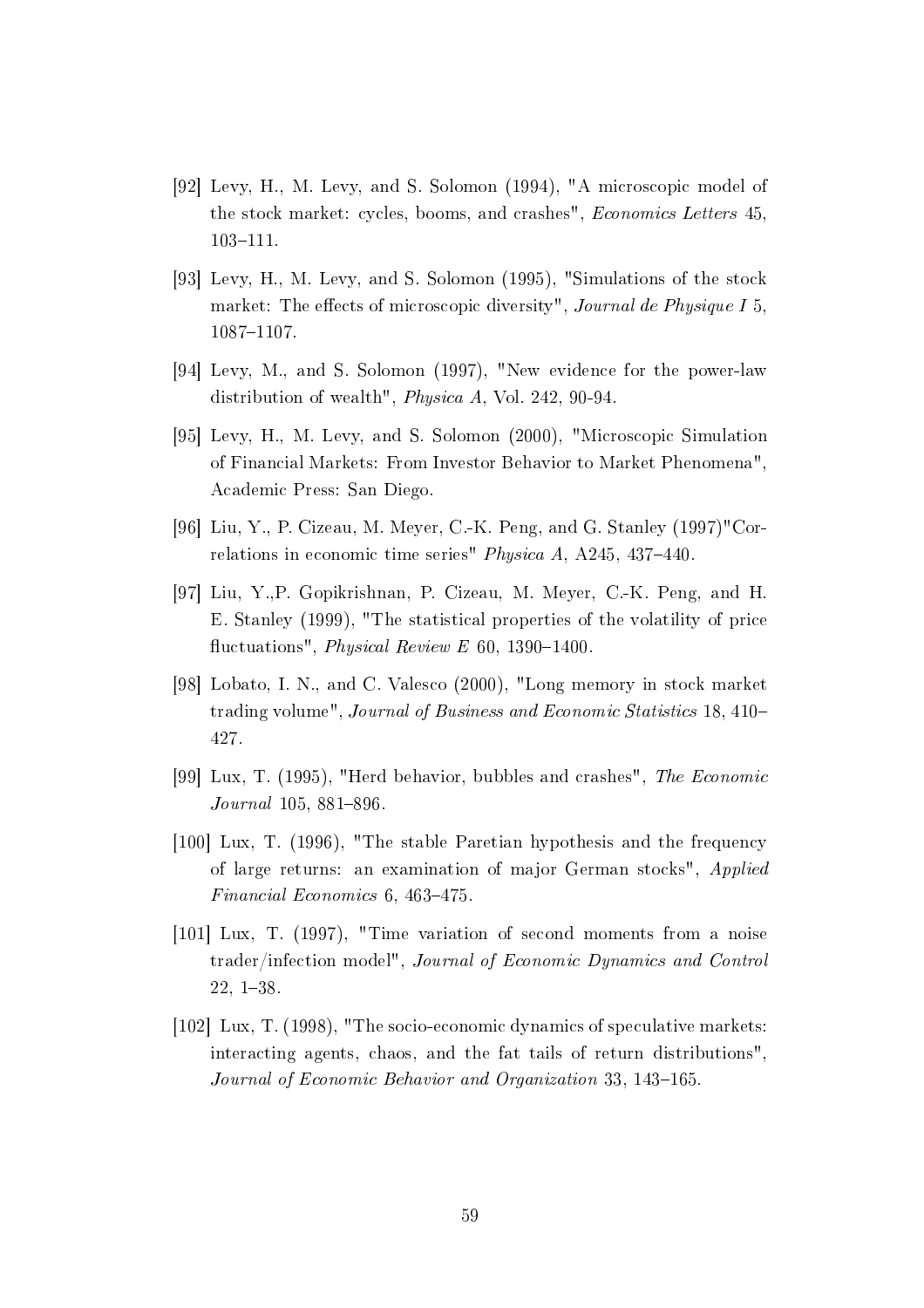- [92] Levy, H., M. Levy, and S. Solomon (1994), "A microscopic model of the stock market: cycles, booms, and crashes", Economics Letters 45, 103-111.
- [93] Levy, H., M. Levy, and S. Solomon (1995), "Simulations of the stock market: The effects of microscopic diversity", Journal de Physique I 5, 1087-1107.
- [94] Levy, M., and S. Solomon (1997), "New evidence for the power-law distribution of wealth", Physica A, Vol. 242, 90-94.
- [95] Levy, H., M. Levy, and S. Solomon (2000), "Microscopic Simulation of Financial Markets: From Investor Behavior to Market Phenomena", Academic Press: San Diego.
- [96] Liu, Y., P. Cizeau, M. Meyer, C.-K. Peng, and G. Stanley (1997)"Correlations in economic time series" Physica A, A245, 437-440.
- [97] Liu, Y.,P. Gopikrishnan, P. Cizeau, M. Meyer, C.-K. Peng, and H. E. Stanley (1999), "The statistical properties of the volatility of price fluctuations", *Physical Review E* 60, 1390-1400.
- [98] Lobato, I. N., and C. Valesco (2000), "Long memory in stock market trading volume", Journal of Business and Economic Statistics 18, 410 427.
- [99] Lux, T. (1995), "Herd behavior, bubbles and crashes", The Economic  $Journal~105,~881–896.$
- [100] Lux, T. (1996), "The stable Paretian hypothesis and the frequency of large returns: an examination of major German stocks", Applied  $Financial\ Economics\ 6, 463-475.$
- [101] Lux, T. (1997), "Time variation of second moments from a noise trader/infection model", Journal of Economic Dynamics and Control 22, 138.
- [102] Lux, T. (1998), "The socio-economic dynamics of speculative markets: interacting agents, chaos, and the fat tails of return distributions", Journal of Economic Behavior and Organization 33, 143–165.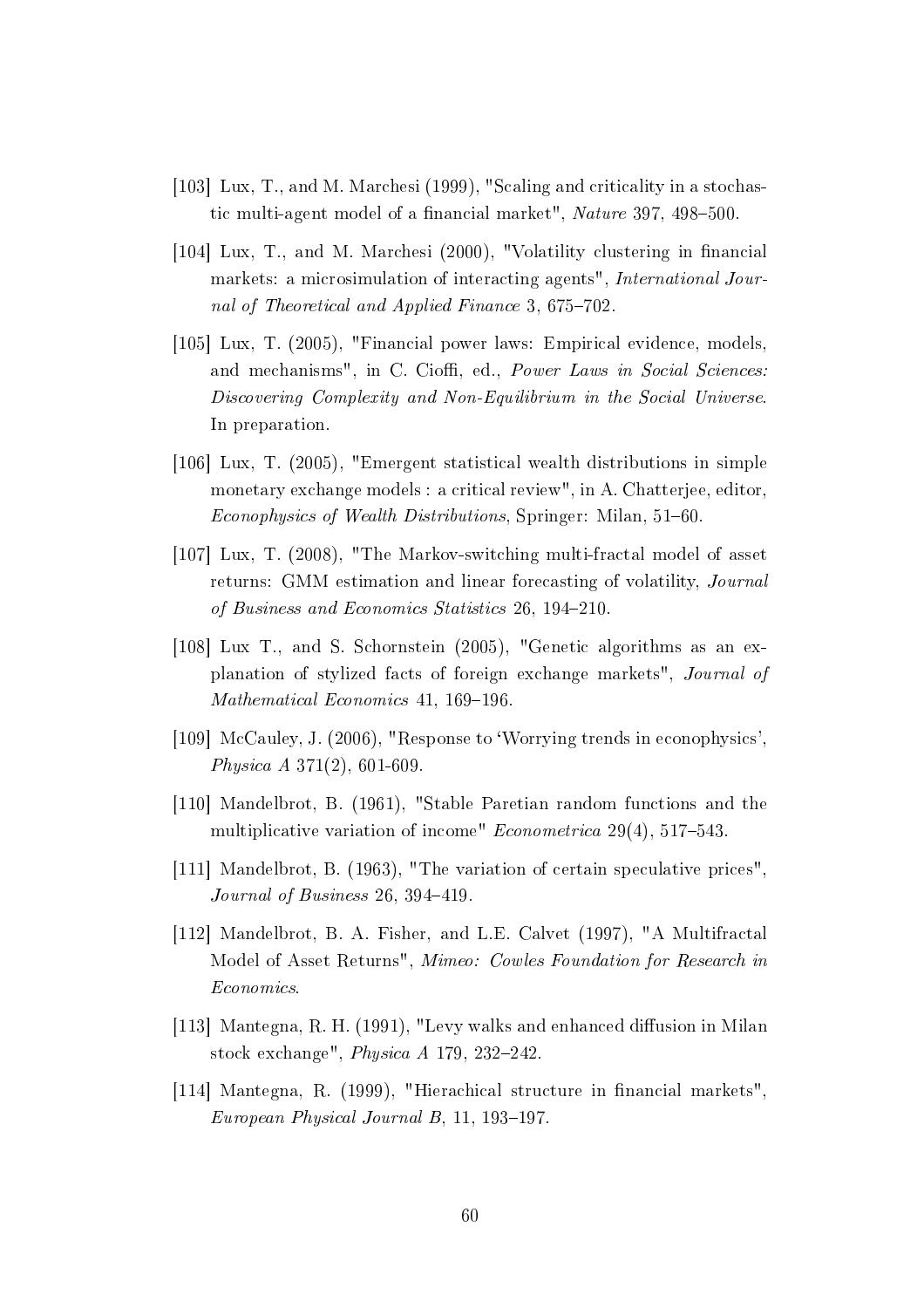- [103] Lux, T., and M. Marchesi (1999), "Scaling and criticality in a stochastic multi-agent model of a financial market",  $Nature$  397, 498-500.
- [104] Lux, T., and M. Marchesi (2000), "Volatility clustering in financial markets: a microsimulation of interacting agents", International Journal of Theoretical and Applied Finance 3, 675–702.
- [105] Lux, T. (2005), "Financial power laws: Empirical evidence, models, and mechanisms", in C. Cioffi, ed., *Power Laws in Social Sciences:* Discovering Complexity and Non-Equilibrium in the Social Universe. In preparation.
- [106] Lux, T. (2005), "Emergent statistical wealth distributions in simple monetary exchange models : a critical review", in A. Chatterjee, editor, Econophysics of Wealth Distributions, Springer: Milan, 51–60.
- [107] Lux, T. (2008), "The Markov-switching multi-fractal model of asset returns: GMM estimation and linear forecasting of volatility, Journal of Business and Economics Statistics 26, 194-210.
- [108] Lux T., and S. Schornstein (2005), "Genetic algorithms as an explanation of stylized facts of foreign exchange markets", Journal of Mathematical Economics 41, 169-196.
- [109] McCauley, J. (2006), "Response to 'Worrying trends in econophysics', Physica A 371(2), 601-609.
- [110] Mandelbrot, B. (1961), "Stable Paretian random functions and the multiplicative variation of income" Econometrica 29(4), 517-543.
- [111] Mandelbrot, B. (1963), "The variation of certain speculative prices", Journal of Business  $26, 394-419$ .
- [112] Mandelbrot, B. A. Fisher, and L.E. Calvet (1997), "A Multifractal Model of Asset Returns", Mimeo: Cowles Foundation for Research in Economics.
- [113] Mantegna, R. H. (1991), "Levy walks and enhanced diffusion in Milan stock exchange", *Physica A* 179, 232-242.
- [114] Mantegna, R. (1999), "Hierachical structure in financial markets", European Physical Journal B,  $11, 193-197$ .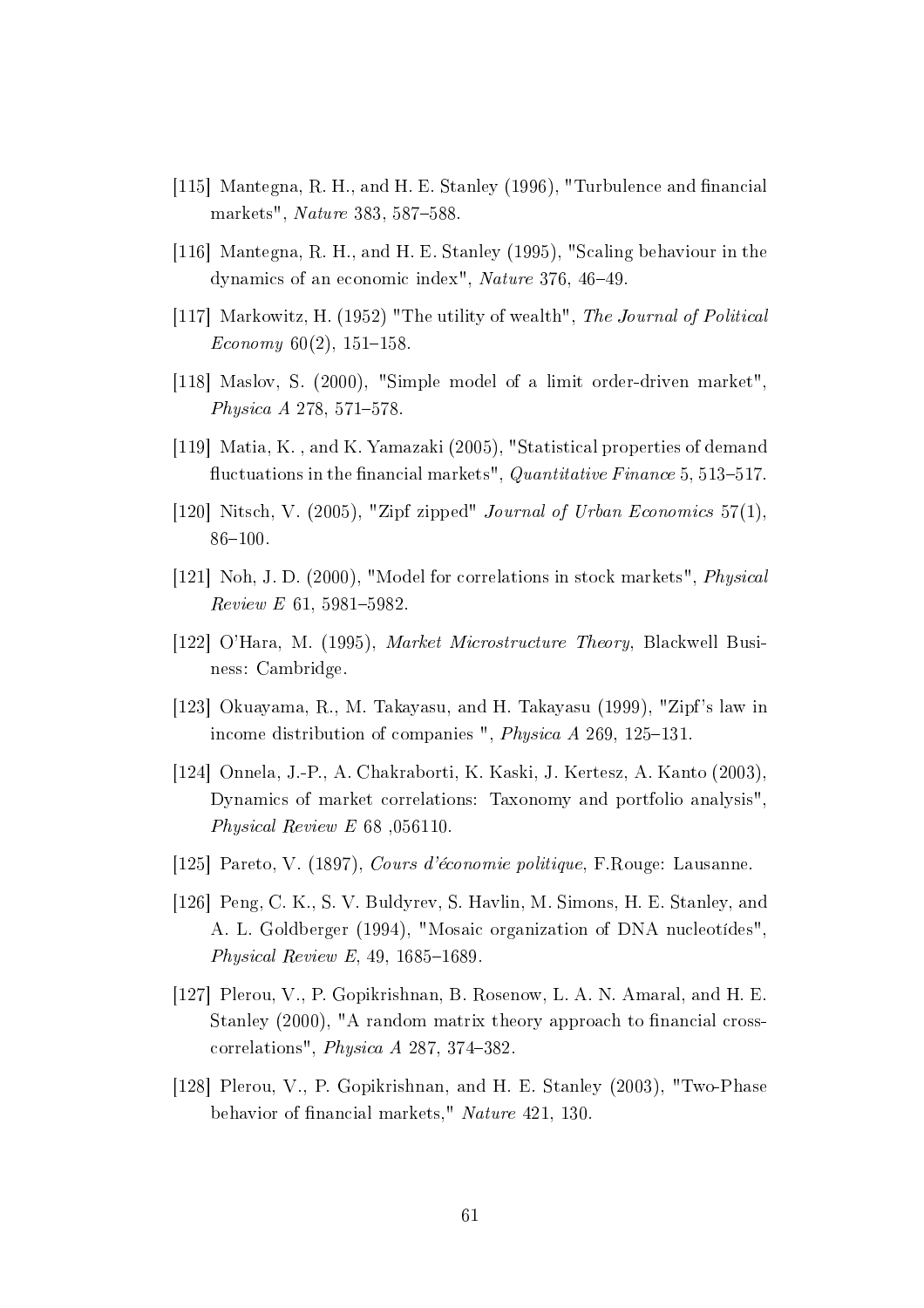- [115] Mantegna, R. H., and H. E. Stanley (1996), "Turbulence and financial markets", *Nature* 383, 587–588.
- [116] Mantegna, R. H., and H. E. Stanley (1995), "Scaling behaviour in the dynamics of an economic index",  $Nature\ 376, 46-49.$
- [117] Markowitz, H. (1952) "The utility of wealth", The Journal of Political  $Economy 60(2), 151-158.$
- [118] Maslov, S. (2000), "Simple model of a limit order-driven market", *Physica A* 278, 571-578.
- [119] Matia, K. , and K. Yamazaki (2005), "Statistical properties of demand fluctuations in the financial markets", *Quantitative Finance* 5, 513-517.
- [120] Nitsch, V. (2005), "Zipf zipped" Journal of Urban Economics 57(1),  $86 - 100.$
- [121] Noh, J. D. (2000), "Model for correlations in stock markets", Physical  $Review\ E\ 61, \ 5981-5982.$
- [122] O'Hara, M. (1995), Market Microstructure Theory, Blackwell Business: Cambridge.
- [123] Okuayama, R., M. Takayasu, and H. Takayasu (1999), "Zipf's law in income distribution of companies ", *Physica A* 269, 125-131.
- [124] Onnela, J.-P., A. Chakraborti, K. Kaski, J. Kertesz, A. Kanto (2003), Dynamics of market correlations: Taxonomy and portfolio analysis" Physical Review E 68 ,056110.
- [125] Pareto, V. (1897), Cours d'économie politique, F.Rouge: Lausanne.
- [126] Peng, C. K., S. V. Buldyrev, S. Havlin, M. Simons, H. E. Stanley, and A. L. Goldberger (1994), "Mosaic organization of DNA nucleotides" Physical Review E, 49, 1685-1689.
- [127] Plerou, V., P. Gopikrishnan, B. Rosenow, L. A. N. Amaral, and H. E. Stanley (2000), "A random matrix theory approach to financial crosscorrelations", *Physica A* 287, 374-382.
- [128] Plerou, V., P. Gopikrishnan, and H. E. Stanley (2003), "Two-Phase behavior of financial markets," Nature 421, 130.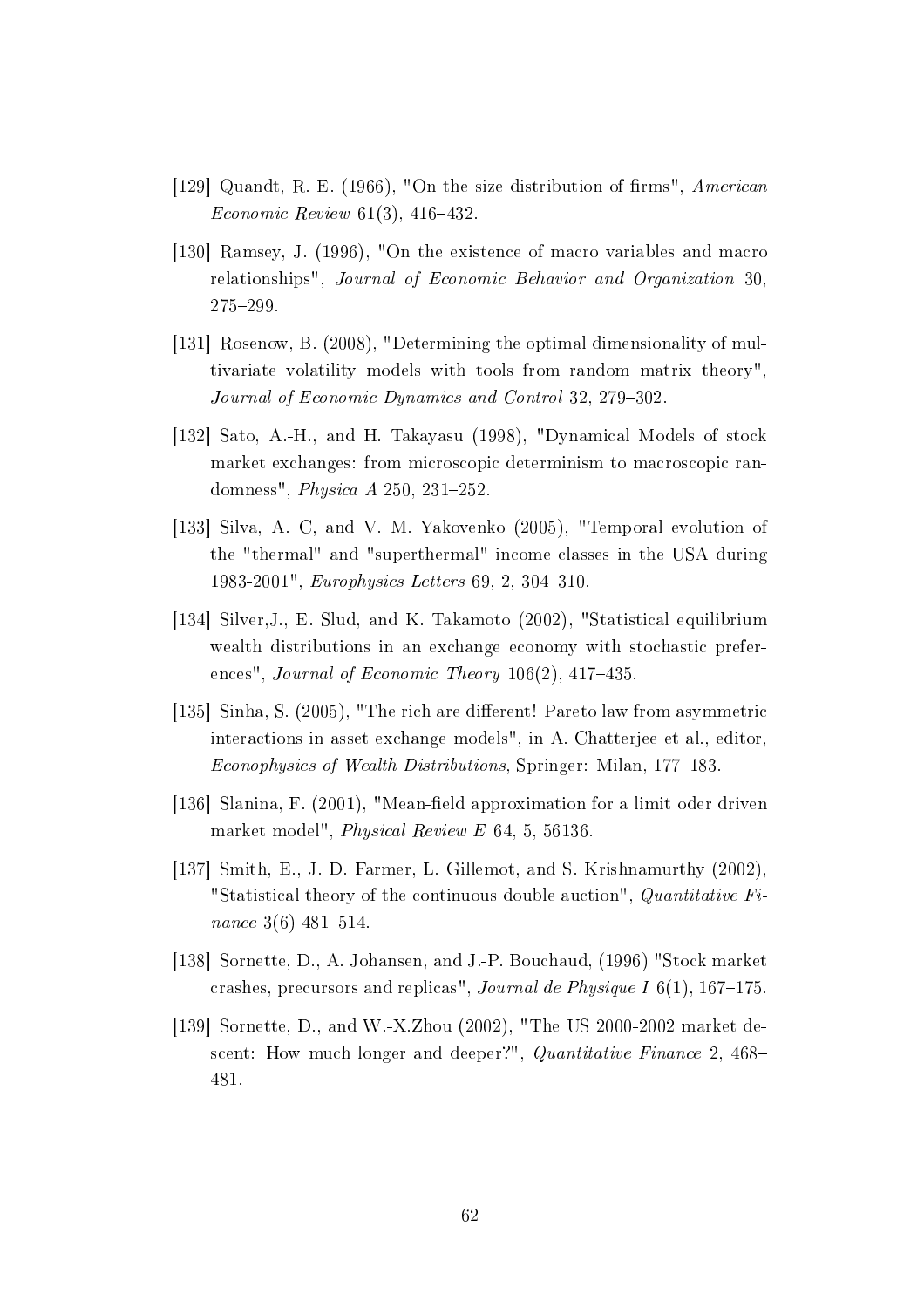- [129] Quandt, R. E. (1966), "On the size distribution of firms",  $American$ Economic Review  $61(3)$ , 416-432.
- [130] Ramsey, J. (1996), "On the existence of macro variables and macro relationships", Journal of Economic Behavior and Organization 30, 275-299.
- [131] Rosenow, B. (2008), "Determining the optimal dimensionality of multivariate volatility models with tools from random matrix theory", Journal of Economic Dynamics and Control 32, 279-302.
- [132] Sato, A.-H., and H. Takayasu (1998), "Dynamical Models of stock market exchanges: from microscopic determinism to macroscopic randomness", *Physica A* 250, 231–252.
- [133] Silva, A. C, and V. M. Yakovenko (2005), "Temporal evolution of the "thermal" and "superthermal" income classes in the USA during 1983-2001", *Europhysics Letters* 69, 2, 304-310.
- [134] Silver,J., E. Slud, and K. Takamoto (2002), "Statistical equilibrium wealth distributions in an exchange economy with stochastic preferences", Journal of Economic Theory  $106(2)$ ,  $417-435$ .
- [135] Sinha, S. (2005), "The rich are different! Pareto law from asymmetric interactions in asset exchange models", in A. Chatterjee et al., editor, Econophysics of Wealth Distributions, Springer: Milan, 177–183.
- [136] Slanina, F. (2001), "Mean-field approximation for a limit oder driven market model", Physical Review E 64, 5, 56136.
- [137] Smith, E., J. D. Farmer, L. Gillemot, and S. Krishnamurthy (2002), "Statistical theory of the continuous double auction", Quantitative Finance 3(6)  $481-514$ .
- [138] Sornette, D., A. Johansen, and J.-P. Bouchaud, (1996) "Stock market crashes, precursors and replicas", Journal de Physique I 6(1), 167–175.
- [139] Sornette, D., and W.-X.Zhou (2002), "The US 2000-2002 market descent: How much longer and deeper?", *Quantitative Finance* 2, 468– 481.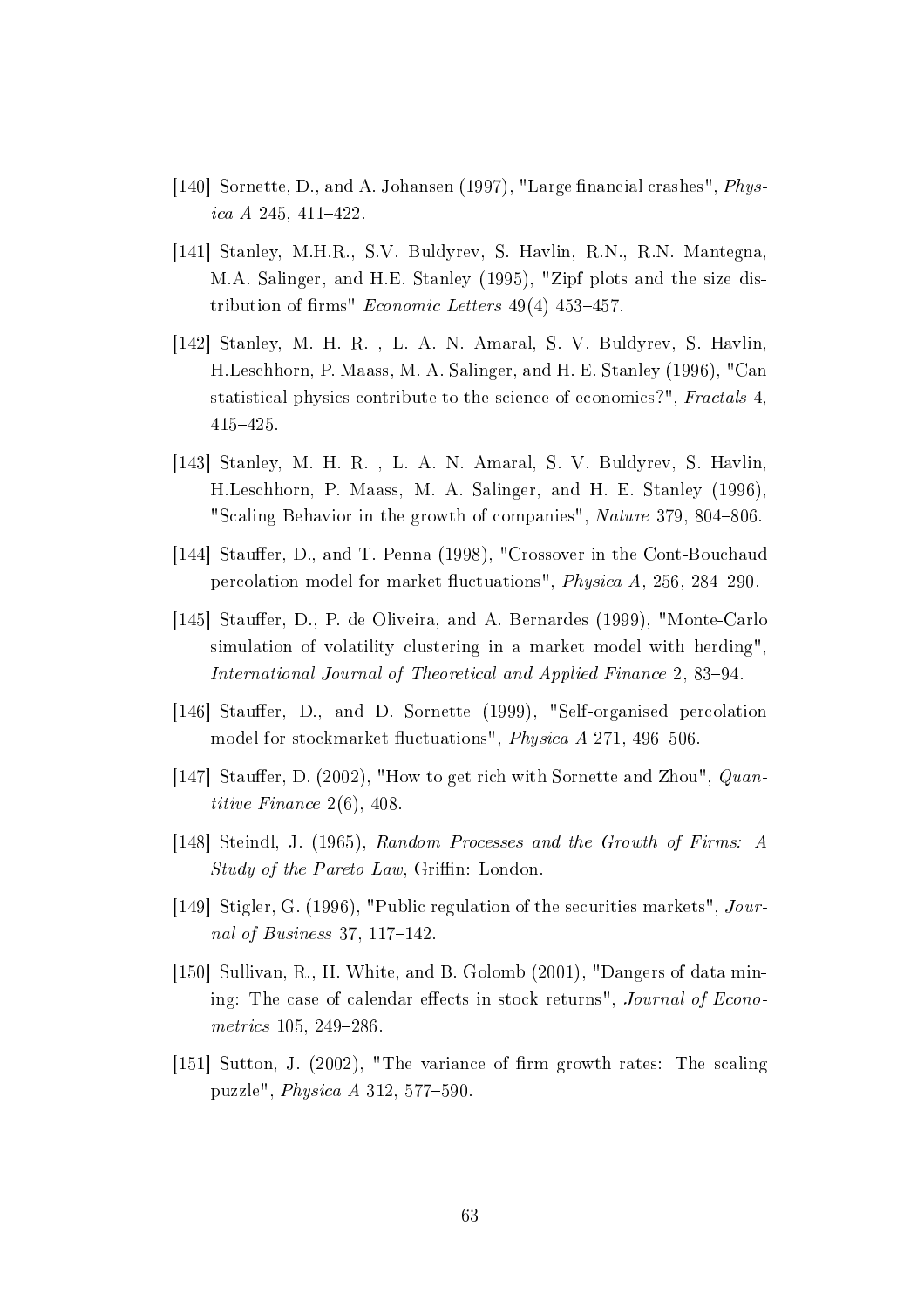- [140] Sornette, D., and A. Johansen (1997), "Large financial crashes",  $Phys$ ica  $A$  245, 411-422.
- [141] Stanley, M.H.R., S.V. Buldyrev, S. Havlin, R.N., R.N. Mantegna, M.A. Salinger, and H.E. Stanley (1995), "Zipf plots and the size distribution of firms" *Economic Letters*  $49(4)$   $453-457$ .
- [142] Stanley, M. H. R. , L. A. N. Amaral, S. V. Buldyrev, S. Havlin, H.Leschhorn, P. Maass, M. A. Salinger, and H. E. Stanley (1996), "Can statistical physics contribute to the science of economics?", Fractals 4, 415425.
- [143] Stanley, M. H. R. , L. A. N. Amaral, S. V. Buldyrev, S. Havlin, H.Leschhorn, P. Maass, M. A. Salinger, and H. E. Stanley (1996), "Scaling Behavior in the growth of companies", Nature 379, 804–806.
- [144] Stauffer, D., and T. Penna (1998), "Crossover in the Cont-Bouchaud percolation model for market fluctuations", *Physica A*, 256, 284–290.
- [145] Stauffer, D., P. de Oliveira, and A. Bernardes (1999), "Monte-Carlo simulation of volatility clustering in a market model with herding" International Journal of Theoretical and Applied Finance 2, 83-94.
- [146] Stauffer, D., and D. Sornette (1999), "Self-organised percolation model for stockmarket fluctuations", *Physica A* 271, 496-506.
- [147] Stauffer, D. (2002), "How to get rich with Sornette and Zhou",  $Quan$ titive Finance 2(6), 408.
- [148] Steindl, J. (1965), Random Processes and the Growth of Firms: A Study of the Pareto Law, Griffin: London.
- [149] Stigler, G. (1996), "Public regulation of the securities markets", Journal of Business 37, 117-142.
- [150] Sullivan, R., H. White, and B. Golomb (2001), "Dangers of data mining: The case of calendar effects in stock returns", Journal of Econometrics  $105, 249 - 286$ .
- [151] Sutton, J.  $(2002)$ , "The variance of firm growth rates: The scaling puzzle", *Physica A* 312, 577–590.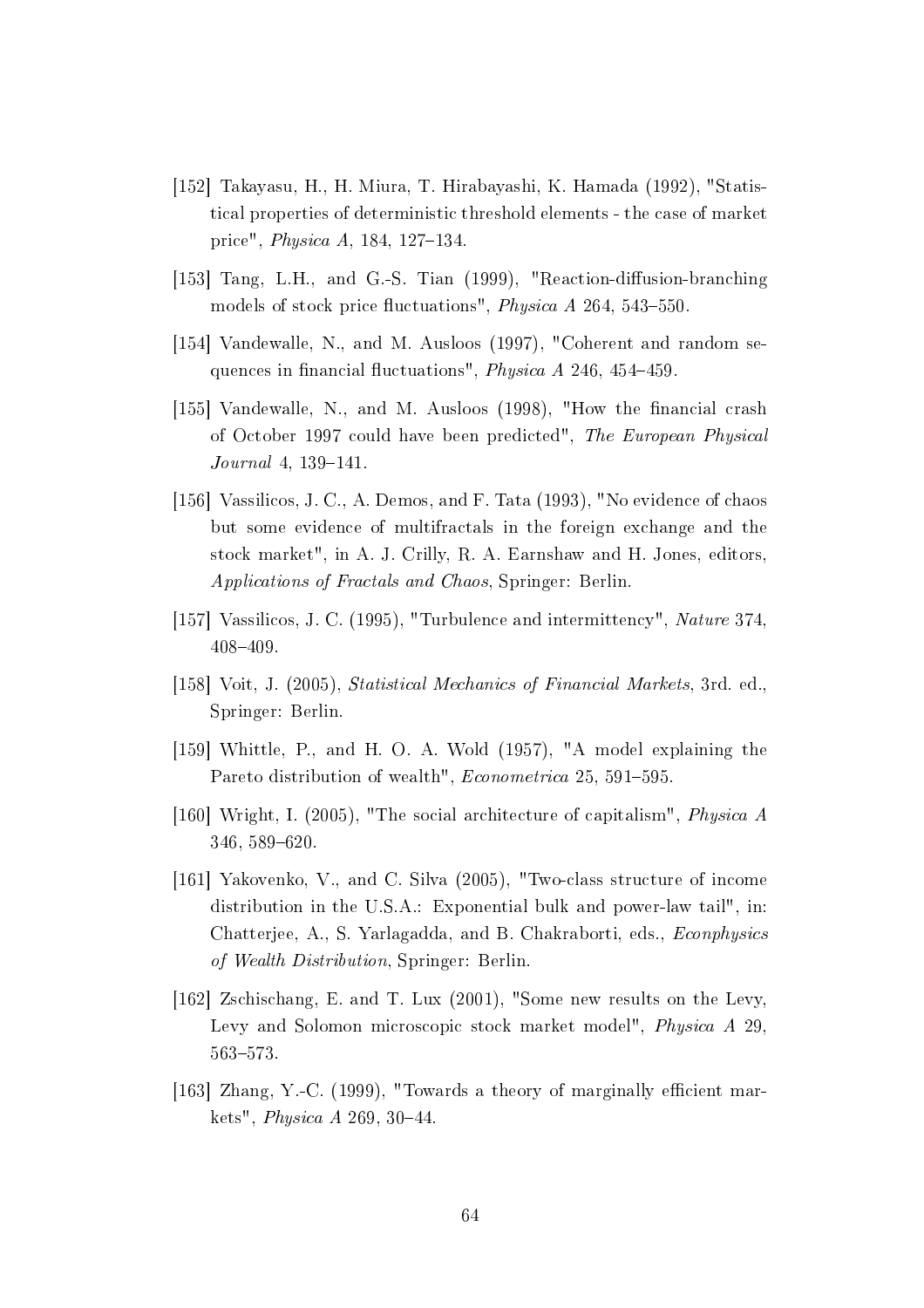- [152] Takayasu, H., H. Miura, T. Hirabayashi, K. Hamada (1992), "Statistical properties of deterministic threshold elements - the case of market price", *Physica A*,  $184, 127-134$ .
- [153] Tang, L.H., and G.-S. Tian (1999), "Reaction-diffusion-branching models of stock price fluctuations", *Physica A* 264, 543-550.
- [154] Vandewalle, N., and M. Ausloos (1997), "Coherent and random sequences in financial fluctuations", *Physica A* 246, 454-459.
- [155] Vandewalle, N., and M. Ausloos  $(1998)$ , "How the financial crash" of October 1997 could have been predicted", The European Physical  $Journal\ 4, 139-141.$
- [156] Vassilicos, J. C., A. Demos, and F. Tata (1993), "No evidence of chaos but some evidence of multifractals in the foreign exchange and the stock market", in A. J. Crilly, R. A. Earnshaw and H. Jones, editors, Applications of Fractals and Chaos, Springer: Berlin.
- [157] Vassilicos, J. C. (1995), "Turbulence and intermittency", Nature 374, 408409.
- [158] Voit, J. (2005), Statistical Mechanics of Financial Markets, 3rd. ed., Springer: Berlin.
- [159] Whittle, P., and H. O. A. Wold (1957), "A model explaining the Pareto distribution of wealth", Econometrica 25, 591-595.
- [160] Wright, I. (2005), "The social architecture of capitalism", Physica A 346, 589-620.
- [161] Yakovenko, V., and C. Silva (2005), "Two-class structure of income distribution in the U.S.A.: Exponential bulk and power-law tail", in: Chatterjee, A., S. Yarlagadda, and B. Chakraborti, eds., Econphysics of Wealth Distribution, Springer: Berlin.
- [162] Zschischang, E. and T. Lux (2001), "Some new results on the Levy, Levy and Solomon microscopic stock market model", Physica A 29, 563-573.
- [163] Zhang, Y.-C. (1999), "Towards a theory of marginally efficient markets", *Physica A* 269, 30-44